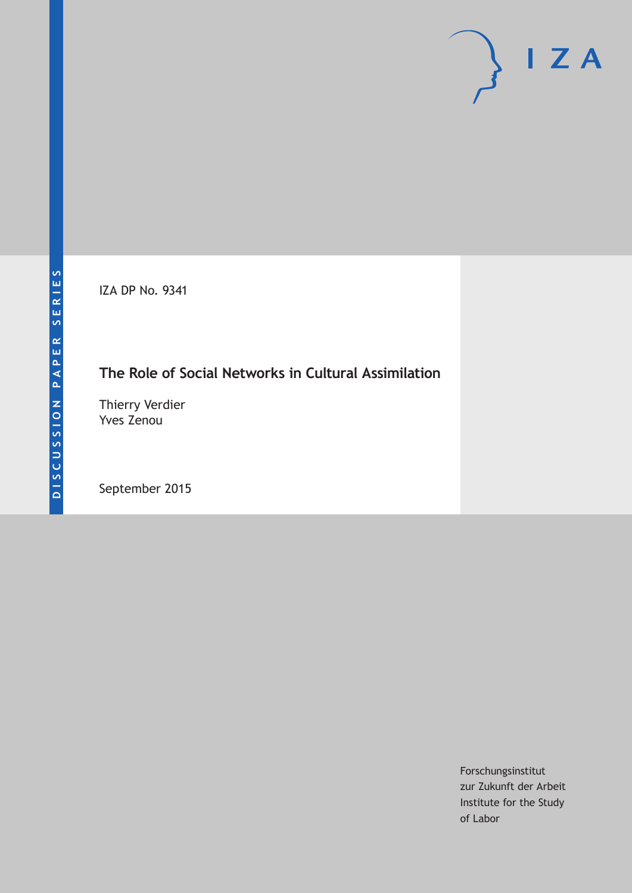IZA DP No. 9341

## **The Role of Social Networks in Cultural Assimilation**

Thierry Verdier Yves Zenou

September 2015

Forschungsinstitut zur Zukunft der Arbeit Institute for the Study of Labor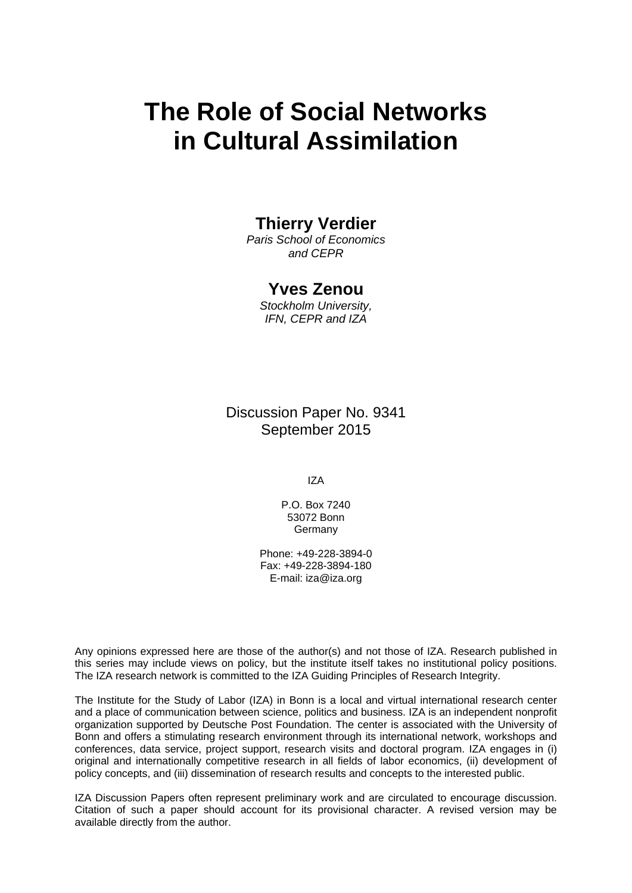# **The Role of Social Networks in Cultural Assimilation**

## **Thierry Verdier**

*Paris School of Economics and CEPR* 

## **Yves Zenou**

*Stockholm University, IFN, CEPR and IZA* 

Discussion Paper No. 9341 September 2015

IZA

P.O. Box 7240 53072 Bonn Germany

Phone: +49-228-3894-0 Fax: +49-228-3894-180 E-mail: iza@iza.org

Any opinions expressed here are those of the author(s) and not those of IZA. Research published in this series may include views on policy, but the institute itself takes no institutional policy positions. The IZA research network is committed to the IZA Guiding Principles of Research Integrity.

The Institute for the Study of Labor (IZA) in Bonn is a local and virtual international research center and a place of communication between science, politics and business. IZA is an independent nonprofit organization supported by Deutsche Post Foundation. The center is associated with the University of Bonn and offers a stimulating research environment through its international network, workshops and conferences, data service, project support, research visits and doctoral program. IZA engages in (i) original and internationally competitive research in all fields of labor economics, (ii) development of policy concepts, and (iii) dissemination of research results and concepts to the interested public.

IZA Discussion Papers often represent preliminary work and are circulated to encourage discussion. Citation of such a paper should account for its provisional character. A revised version may be available directly from the author.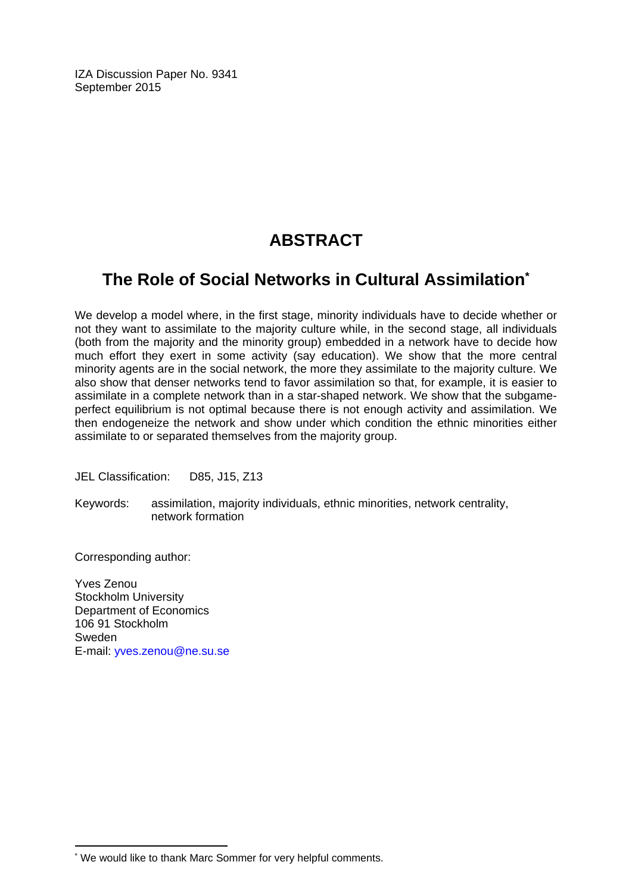IZA Discussion Paper No. 9341 September 2015

## **ABSTRACT**

## **The Role of Social Networks in Cultural Assimilation\***

We develop a model where, in the first stage, minority individuals have to decide whether or not they want to assimilate to the majority culture while, in the second stage, all individuals (both from the majority and the minority group) embedded in a network have to decide how much effort they exert in some activity (say education). We show that the more central minority agents are in the social network, the more they assimilate to the majority culture. We also show that denser networks tend to favor assimilation so that, for example, it is easier to assimilate in a complete network than in a star-shaped network. We show that the subgameperfect equilibrium is not optimal because there is not enough activity and assimilation. We then endogeneize the network and show under which condition the ethnic minorities either assimilate to or separated themselves from the majority group.

JEL Classification: D85, J15, Z13

Keywords: assimilation, majority individuals, ethnic minorities, network centrality, network formation

Corresponding author:

 $\overline{\phantom{a}}$ 

Yves Zenou Stockholm University Department of Economics 106 91 Stockholm Sweden E-mail: yves.zenou@ne.su.se

<sup>\*</sup> We would like to thank Marc Sommer for very helpful comments.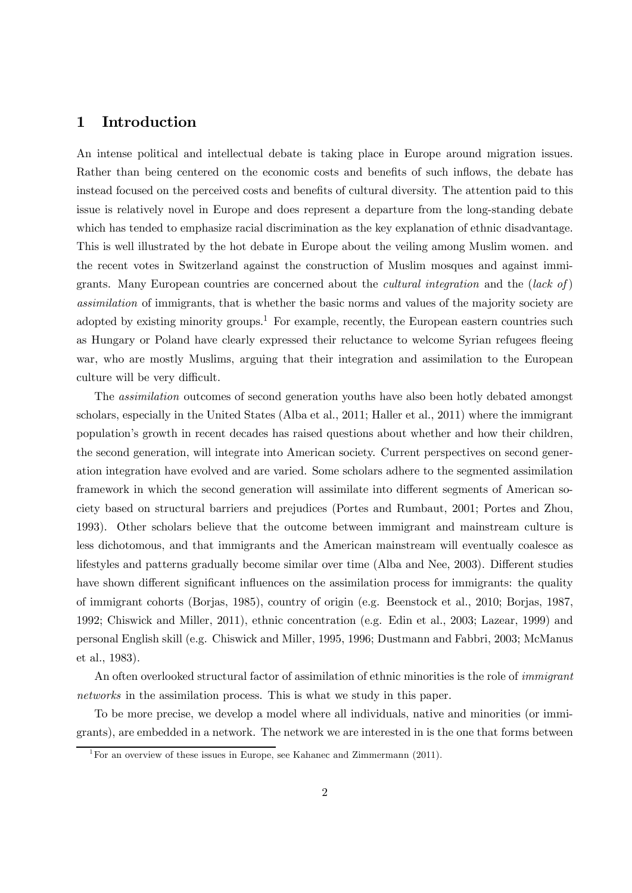## 1 Introduction

An intense political and intellectual debate is taking place in Europe around migration issues. Rather than being centered on the economic costs and benefits of such inflows, the debate has instead focused on the perceived costs and benefits of cultural diversity. The attention paid to this issue is relatively novel in Europe and does represent a departure from the long-standing debate which has tended to emphasize racial discrimination as the key explanation of ethnic disadvantage. This is well illustrated by the hot debate in Europe about the veiling among Muslim women. and the recent votes in Switzerland against the construction of Muslim mosques and against immigrants. Many European countries are concerned about the *cultural integration* and the (lack of) assimilation of immigrants, that is whether the basic norms and values of the majority society are adopted by existing minority groups.<sup>1</sup> For example, recently, the European eastern countries such as Hungary or Poland have clearly expressed their reluctance to welcome Syrian refugees fleeing war, who are mostly Muslims, arguing that their integration and assimilation to the European culture will be very difficult.

The assimilation outcomes of second generation youths have also been hotly debated amongst scholars, especially in the United States (Alba et al., 2011; Haller et al., 2011) where the immigrant population's growth in recent decades has raised questions about whether and how their children, the second generation, will integrate into American society. Current perspectives on second generation integration have evolved and are varied. Some scholars adhere to the segmented assimilation framework in which the second generation will assimilate into different segments of American society based on structural barriers and prejudices (Portes and Rumbaut, 2001; Portes and Zhou, 1993). Other scholars believe that the outcome between immigrant and mainstream culture is less dichotomous, and that immigrants and the American mainstream will eventually coalesce as lifestyles and patterns gradually become similar over time (Alba and Nee, 2003). Different studies have shown different significant influences on the assimilation process for immigrants: the quality of immigrant cohorts (Borjas, 1985), country of origin (e.g. Beenstock et al., 2010; Borjas, 1987, 1992; Chiswick and Miller, 2011), ethnic concentration (e.g. Edin et al., 2003; Lazear, 1999) and personal English skill (e.g. Chiswick and Miller, 1995, 1996; Dustmann and Fabbri, 2003; McManus et al., 1983).

An often overlooked structural factor of assimilation of ethnic minorities is the role of *immigrant* networks in the assimilation process. This is what we study in this paper.

To be more precise, we develop a model where all individuals, native and minorities (or immigrants), are embedded in a network. The network we are interested in is the one that forms between

<sup>&</sup>lt;sup>1</sup>For an overview of these issues in Europe, see Kahanec and Zimmermann (2011).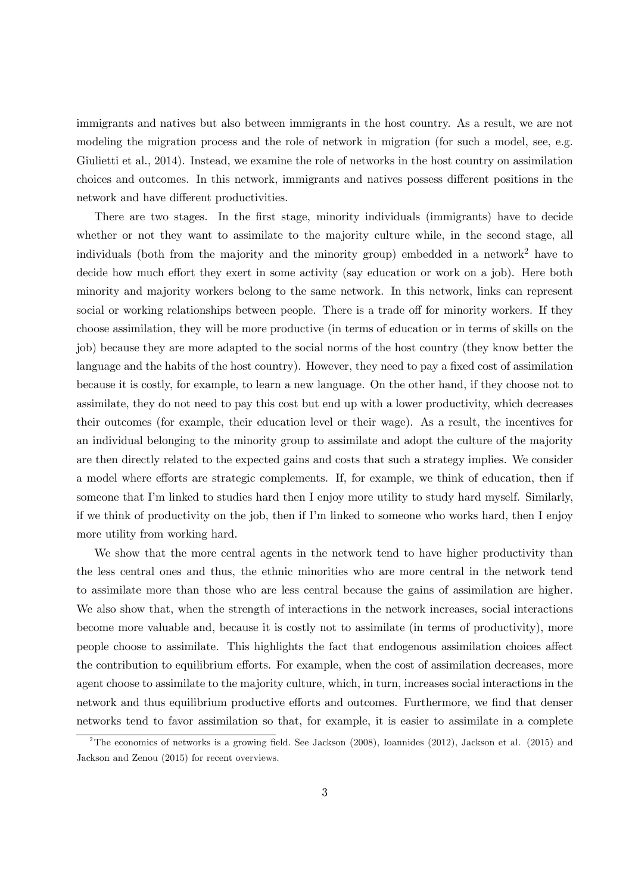immigrants and natives but also between immigrants in the host country. As a result, we are not modeling the migration process and the role of network in migration (for such a model, see, e.g. Giulietti et al., 2014). Instead, we examine the role of networks in the host country on assimilation choices and outcomes. In this network, immigrants and natives possess different positions in the network and have different productivities.

There are two stages. In the first stage, minority individuals (immigrants) have to decide whether or not they want to assimilate to the majority culture while, in the second stage, all individuals (both from the majority and the minority group) embedded in a network<sup>2</sup> have to decide how much effort they exert in some activity (say education or work on a job). Here both minority and majority workers belong to the same network. In this network, links can represent social or working relationships between people. There is a trade off for minority workers. If they choose assimilation, they will be more productive (in terms of education or in terms of skills on the job) because they are more adapted to the social norms of the host country (they know better the language and the habits of the host country). However, they need to pay a fixed cost of assimilation because it is costly, for example, to learn a new language. On the other hand, if they choose not to assimilate, they do not need to pay this cost but end up with a lower productivity, which decreases their outcomes (for example, their education level or their wage). As a result, the incentives for an individual belonging to the minority group to assimilate and adopt the culture of the majority are then directly related to the expected gains and costs that such a strategy implies. We consider a model where efforts are strategic complements. If, for example, we think of education, then if someone that I'm linked to studies hard then I enjoy more utility to study hard myself. Similarly, if we think of productivity on the job, then if I'm linked to someone who works hard, then I enjoy more utility from working hard.

We show that the more central agents in the network tend to have higher productivity than the less central ones and thus, the ethnic minorities who are more central in the network tend to assimilate more than those who are less central because the gains of assimilation are higher. We also show that, when the strength of interactions in the network increases, social interactions become more valuable and, because it is costly not to assimilate (in terms of productivity), more people choose to assimilate. This highlights the fact that endogenous assimilation choices affect the contribution to equilibrium efforts. For example, when the cost of assimilation decreases, more agent choose to assimilate to the majority culture, which, in turn, increases social interactions in the network and thus equilibrium productive efforts and outcomes. Furthermore, we find that denser networks tend to favor assimilation so that, for example, it is easier to assimilate in a complete

<sup>&</sup>lt;sup>2</sup>The economics of networks is a growing field. See Jackson  $(2008)$ , Ioannides  $(2012)$ , Jackson et al.  $(2015)$  and Jackson and Zenou (2015) for recent overviews.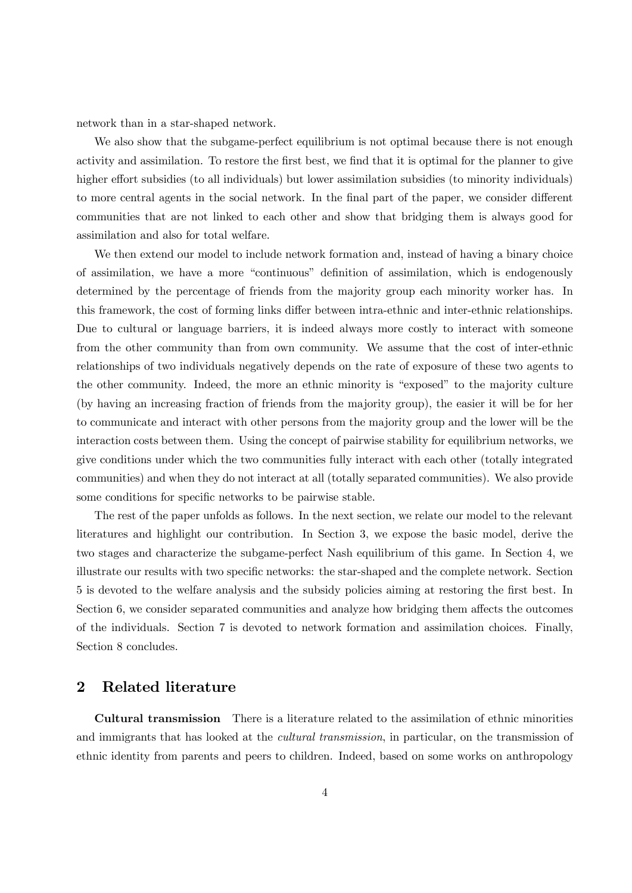network than in a star-shaped network.

We also show that the subgame-perfect equilibrium is not optimal because there is not enough activity and assimilation. To restore the first best, we find that it is optimal for the planner to give higher effort subsidies (to all individuals) but lower assimilation subsidies (to minority individuals) to more central agents in the social network. In the final part of the paper, we consider different communities that are not linked to each other and show that bridging them is always good for assimilation and also for total welfare.

We then extend our model to include network formation and, instead of having a binary choice of assimilation, we have a more "continuous" definition of assimilation, which is endogenously determined by the percentage of friends from the majority group each minority worker has. In this framework, the cost of forming links differ between intra-ethnic and inter-ethnic relationships. Due to cultural or language barriers, it is indeed always more costly to interact with someone from the other community than from own community. We assume that the cost of inter-ethnic relationships of two individuals negatively depends on the rate of exposure of these two agents to the other community. Indeed, the more an ethnic minority is "exposed" to the majority culture (by having an increasing fraction of friends from the majority group), the easier it will be for her to communicate and interact with other persons from the majority group and the lower will be the interaction costs between them. Using the concept of pairwise stability for equilibrium networks, we give conditions under which the two communities fully interact with each other (totally integrated communities) and when they do not interact at all (totally separated communities). We also provide some conditions for specific networks to be pairwise stable.

The rest of the paper unfolds as follows. In the next section, we relate our model to the relevant literatures and highlight our contribution. In Section 3, we expose the basic model, derive the two stages and characterize the subgame-perfect Nash equilibrium of this game. In Section 4, we illustrate our results with two specific networks: the star-shaped and the complete network. Section 5 is devoted to the welfare analysis and the subsidy policies aiming at restoring the first best. In Section 6, we consider separated communities and analyze how bridging them affects the outcomes of the individuals. Section 7 is devoted to network formation and assimilation choices. Finally, Section 8 concludes.

## 2 Related literature

Cultural transmission There is a literature related to the assimilation of ethnic minorities and immigrants that has looked at the *cultural transmission*, in particular, on the transmission of ethnic identity from parents and peers to children. Indeed, based on some works on anthropology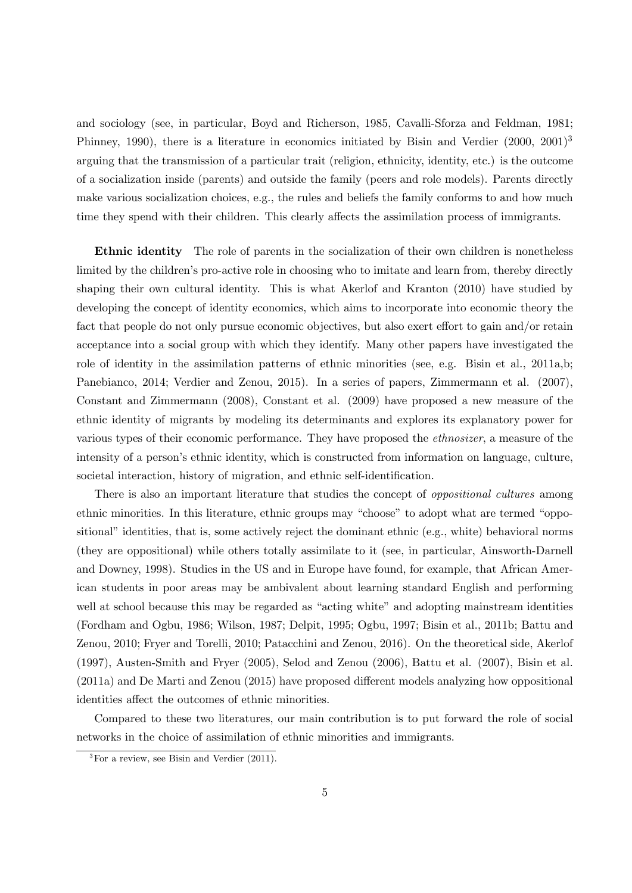and sociology (see, in particular, Boyd and Richerson, 1985, Cavalli-Sforza and Feldman, 1981; Phinney, 1990), there is a literature in economics initiated by Bisin and Verdier (2000, 2001)<sup>3</sup> arguing that the transmission of a particular trait (religion, ethnicity, identity, etc.) is the outcome of a socialization inside (parents) and outside the family (peers and role models). Parents directly make various socialization choices, e.g., the rules and beliefs the family conforms to and how much time they spend with their children. This clearly affects the assimilation process of immigrants.

Ethnic identity The role of parents in the socialization of their own children is nonetheless limited by the children's pro-active role in choosing who to imitate and learn from, thereby directly shaping their own cultural identity. This is what Akerlof and Kranton (2010) have studied by developing the concept of identity economics, which aims to incorporate into economic theory the fact that people do not only pursue economic objectives, but also exert effort to gain and/or retain acceptance into a social group with which they identify. Many other papers have investigated the role of identity in the assimilation patterns of ethnic minorities (see, e.g. Bisin et al., 2011a,b; Panebianco, 2014; Verdier and Zenou, 2015). In a series of papers, Zimmermann et al. (2007), Constant and Zimmermann (2008), Constant et al. (2009) have proposed a new measure of the ethnic identity of migrants by modeling its determinants and explores its explanatory power for various types of their economic performance. They have proposed the ethnosizer, a measure of the intensity of a person's ethnic identity, which is constructed from information on language, culture, societal interaction, history of migration, and ethnic self-identification.

There is also an important literature that studies the concept of *oppositional cultures* among ethnic minorities. In this literature, ethnic groups may "choose" to adopt what are termed "oppositional" identities, that is, some actively reject the dominant ethnic (e.g., white) behavioral norms (they are oppositional) while others totally assimilate to it (see, in particular, Ainsworth-Darnell and Downey, 1998). Studies in the US and in Europe have found, for example, that African American students in poor areas may be ambivalent about learning standard English and performing well at school because this may be regarded as "acting white" and adopting mainstream identities (Fordham and Ogbu, 1986; Wilson, 1987; Delpit, 1995; Ogbu, 1997; Bisin et al., 2011b; Battu and Zenou, 2010; Fryer and Torelli, 2010; Patacchini and Zenou, 2016). On the theoretical side, Akerlof (1997), Austen-Smith and Fryer (2005), Selod and Zenou (2006), Battu et al. (2007), Bisin et al. (2011a) and De Marti and Zenou (2015) have proposed different models analyzing how oppositional identities affect the outcomes of ethnic minorities.

Compared to these two literatures, our main contribution is to put forward the role of social networks in the choice of assimilation of ethnic minorities and immigrants.

 ${}^{3}$ For a review, see Bisin and Verdier (2011).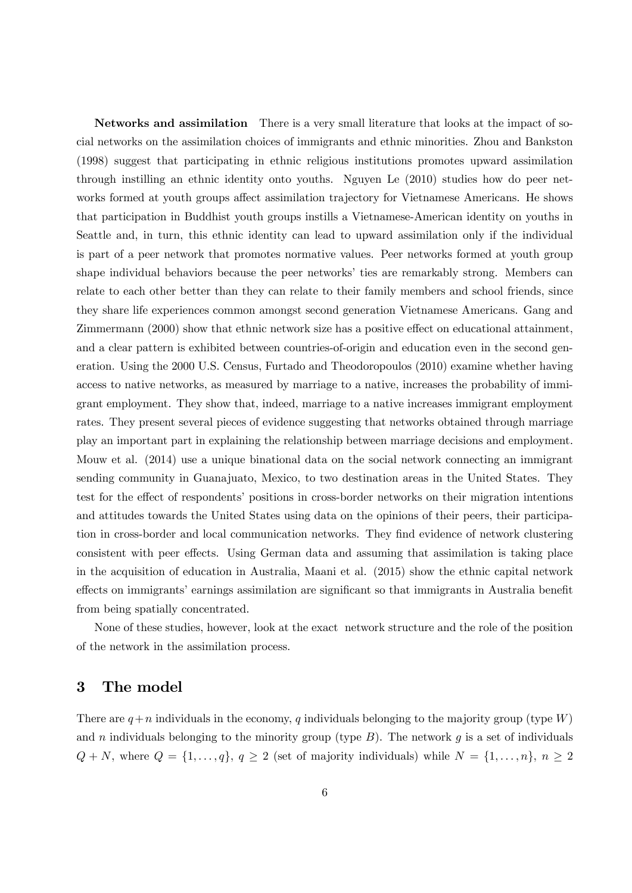Networks and assimilation There is a very small literature that looks at the impact of social networks on the assimilation choices of immigrants and ethnic minorities. Zhou and Bankston (1998) suggest that participating in ethnic religious institutions promotes upward assimilation through instilling an ethnic identity onto youths. Nguyen Le (2010) studies how do peer networks formed at youth groups affect assimilation trajectory for Vietnamese Americans. He shows that participation in Buddhist youth groups instills a Vietnamese-American identity on youths in Seattle and, in turn, this ethnic identity can lead to upward assimilation only if the individual is part of a peer network that promotes normative values. Peer networks formed at youth group shape individual behaviors because the peer networks' ties are remarkably strong. Members can relate to each other better than they can relate to their family members and school friends, since they share life experiences common amongst second generation Vietnamese Americans. Gang and Zimmermann (2000) show that ethnic network size has a positive effect on educational attainment, and a clear pattern is exhibited between countries-of-origin and education even in the second generation. Using the 2000 U.S. Census, Furtado and Theodoropoulos (2010) examine whether having access to native networks, as measured by marriage to a native, increases the probability of immigrant employment. They show that, indeed, marriage to a native increases immigrant employment rates. They present several pieces of evidence suggesting that networks obtained through marriage play an important part in explaining the relationship between marriage decisions and employment. Mouw et al. (2014) use a unique binational data on the social network connecting an immigrant sending community in Guanajuato, Mexico, to two destination areas in the United States. They test for the effect of respondents' positions in cross-border networks on their migration intentions and attitudes towards the United States using data on the opinions of their peers, their participation in cross-border and local communication networks. They find evidence of network clustering consistent with peer effects. Using German data and assuming that assimilation is taking place in the acquisition of education in Australia, Maani et al. (2015) show the ethnic capital network effects on immigrants' earnings assimilation are significant so that immigrants in Australia benefit from being spatially concentrated.

None of these studies, however, look at the exact network structure and the role of the position of the network in the assimilation process.

## 3 The model

There are  $q + n$  individuals in the economy, q individuals belonging to the majority group (type W) and *n* individuals belonging to the minority group (type  $B$ ). The network  $q$  is a set of individuals  $Q + N$ , where  $Q = \{1, \ldots, q\}$ ,  $q \ge 2$  (set of majority individuals) while  $N = \{1, \ldots, n\}$ ,  $n \ge 2$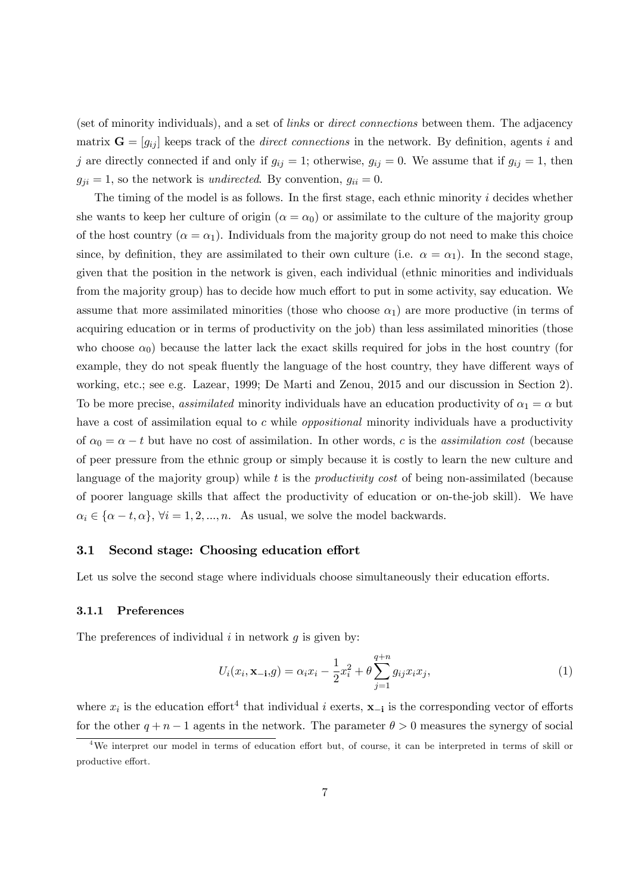(set of minority individuals), and a set of links or direct connections between them. The adjacency matrix  $\mathbf{G} = [g_{ij}]$  keeps track of the *direct connections* in the network. By definition, agents i and j are directly connected if and only if  $g_{ij} = 1$ ; otherwise,  $g_{ij} = 0$ . We assume that if  $g_{ij} = 1$ , then  $g_{ji} = 1$ , so the network is *undirected*. By convention,  $g_{ii} = 0$ .

The timing of the model is as follows. In the first stage, each ethnic minority  $i$  decides whether she wants to keep her culture of origin  $(\alpha = \alpha_0)$  or assimilate to the culture of the majority group of the host country ( $\alpha = \alpha_1$ ). Individuals from the majority group do not need to make this choice since, by definition, they are assimilated to their own culture (i.e.  $\alpha = \alpha_1$ ). In the second stage, given that the position in the network is given, each individual (ethnic minorities and individuals from the majority group) has to decide how much effort to put in some activity, say education. We assume that more assimilated minorities (those who choose  $\alpha_1$ ) are more productive (in terms of acquiring education or in terms of productivity on the job) than less assimilated minorities (those who choose  $\alpha_0$ ) because the latter lack the exact skills required for jobs in the host country (for example, they do not speak fluently the language of the host country, they have different ways of working, etc.; see e.g. Lazear, 1999; De Marti and Zenou, 2015 and our discussion in Section 2). To be more precise, *assimilated* minority individuals have an education productivity of  $\alpha_1 = \alpha$  but have a cost of assimilation equal to  $c$  while *oppositional* minority individuals have a productivity of  $\alpha_0 = \alpha - t$  but have no cost of assimilation. In other words, c is the assimilation cost (because of peer pressure from the ethnic group or simply because it is costly to learn the new culture and language of the majority group) while  $t$  is the *productivity cost* of being non-assimilated (because of poorer language skills that affect the productivity of education or on-the-job skill). We have  $\alpha_i \in {\alpha - t, \alpha}$ ,  $\forall i = 1, 2, ..., n$ . As usual, we solve the model backwards.

#### 3.1 Second stage: Choosing education effort

Let us solve the second stage where individuals choose simultaneously their education efforts.

#### 3.1.1 Preferences

The preferences of individual  $i$  in network  $q$  is given by:

$$
U_i(x_i, \mathbf{x}_{-i}, g) = \alpha_i x_i - \frac{1}{2} x_i^2 + \theta \sum_{j=1}^{q+n} g_{ij} x_i x_j,
$$
 (1)

where  $x_i$  is the education effort<sup>4</sup> that individual *i* exerts,  $\mathbf{x}_{-i}$  is the corresponding vector of efforts for the other  $q + n - 1$  agents in the network. The parameter  $\theta > 0$  measures the synergy of social

<sup>4</sup>We interpret our model in terms of education effort but, of course, it can be interpreted in terms of skill or productive effort.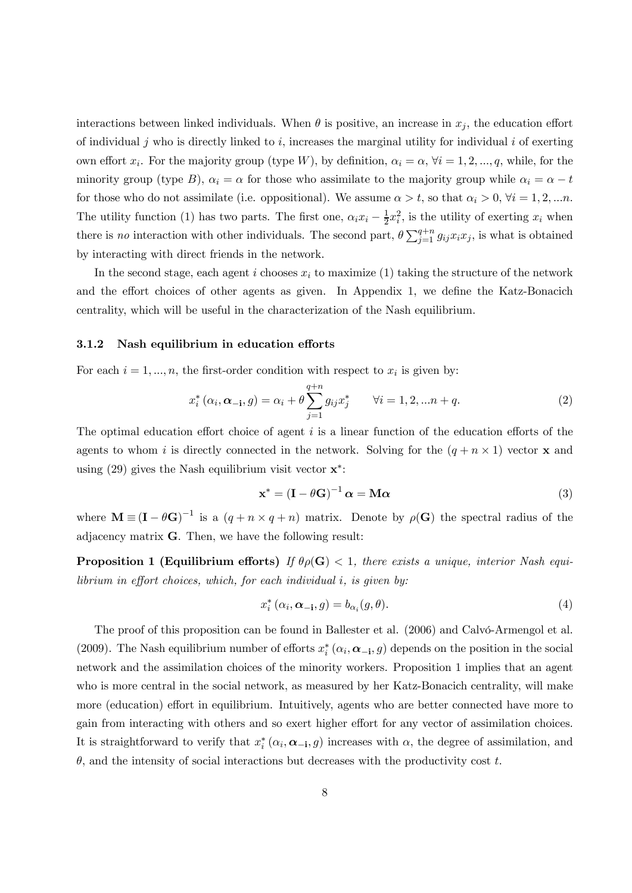interactions between linked individuals. When  $\theta$  is positive, an increase in  $x_j$ , the education effort of individual  $\hat{j}$  who is directly linked to  $\hat{i}$ , increases the marginal utility for individual  $\hat{i}$  of exerting own effort  $x_i$ . For the majority group (type W), by definition,  $\alpha_i = \alpha, \forall i = 1, 2, ..., q$ , while, for the minority group (type B),  $\alpha_i = \alpha$  for those who assimilate to the majority group while  $\alpha_i = \alpha - t$ for those who do not assimilate (i.e. oppositional). We assume  $\alpha > t$ , so that  $\alpha_i > 0$ ,  $\forall i = 1, 2, \dots n$ . The utility function (1) has two parts. The first one,  $\alpha_i x_i - \frac{1}{2} x_i^2$ , is the utility of exerting  $x_i$  when there is no interaction with other individuals. The second part,  $\theta \sum_{j=1}^{q+n} g_{ij} x_i x_j$ , is what is obtained by interacting with direct friends in the network.

In the second stage, each agent i chooses  $x_i$  to maximize (1) taking the structure of the network and the effort choices of other agents as given. In Appendix 1, we define the Katz-Bonacich centrality, which will be useful in the characterization of the Nash equilibrium.

#### 3.1.2 Nash equilibrium in education efforts

For each  $i = 1, ..., n$ , the first-order condition with respect to  $x_i$  is given by:

$$
x_i^* (\alpha_i, \alpha_{-i}, g) = \alpha_i + \theta \sum_{j=1}^{q+n} g_{ij} x_j^* \qquad \forall i = 1, 2, \dots n+q.
$$
 (2)

The optimal education effort choice of agent  $i$  is a linear function of the education efforts of the agents to whom *i* is directly connected in the network. Solving for the  $(q + n \times 1)$  vector **x** and using (29) gives the Nash equilibrium visit vector  $\mathbf{x}^*$ :

$$
\mathbf{x}^* = (\mathbf{I} - \theta \mathbf{G})^{-1} \, \boldsymbol{\alpha} = \mathbf{M} \boldsymbol{\alpha} \tag{3}
$$

where  $\mathbf{M} \equiv (\mathbf{I} - \theta \mathbf{G})^{-1}$  is a  $(q + n \times q + n)$  matrix. Denote by  $\rho(\mathbf{G})$  the spectral radius of the adjacency matrix G. Then, we have the following result:

**Proposition 1 (Equilibrium efforts)** If  $\theta \rho(\mathbf{G}) < 1$ , there exists a unique, interior Nash equilibrium in effort choices, which, for each individual  $i$ , is given by:

$$
x_i^* (\alpha_i, \alpha_{-i}, g) = b_{\alpha_i}(g, \theta). \tag{4}
$$

The proof of this proposition can be found in Ballester et al. (2006) and Calvó-Armengol et al. (2009). The Nash equilibrium number of efforts  $x_i^* (\alpha_i, \alpha_{-i}, g)$  depends on the position in the social network and the assimilation choices of the minority workers. Proposition 1 implies that an agent who is more central in the social network, as measured by her Katz-Bonacich centrality, will make more (education) effort in equilibrium. Intuitively, agents who are better connected have more to gain from interacting with others and so exert higher effort for any vector of assimilation choices. It is straightforward to verify that  $x_i^* (\alpha_i, \alpha_{-i}, g)$  increases with  $\alpha$ , the degree of assimilation, and  $\theta$ , and the intensity of social interactions but decreases with the productivity cost t.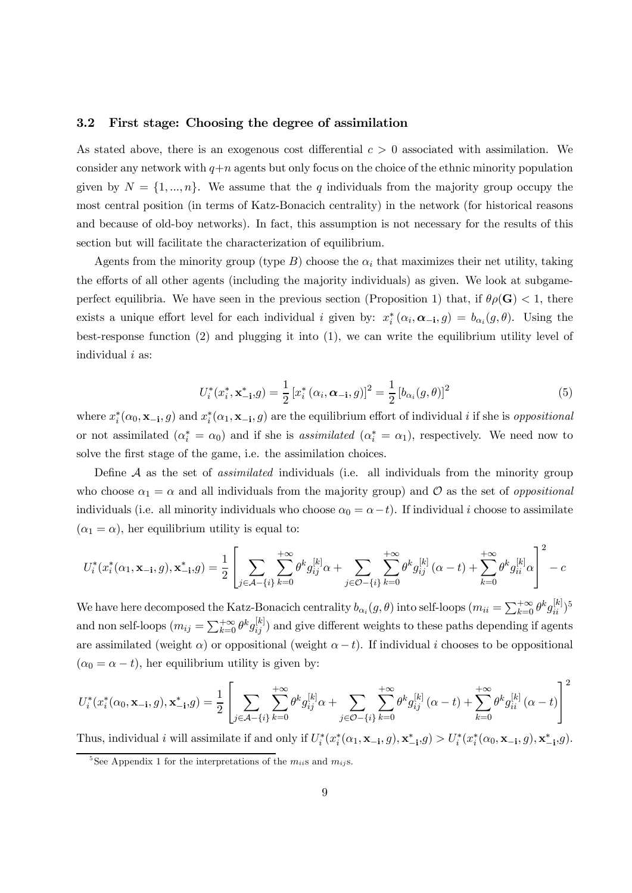#### 3.2 First stage: Choosing the degree of assimilation

As stated above, there is an exogenous cost differential  $c > 0$  associated with assimilation. We consider any network with  $q + n$  agents but only focus on the choice of the ethnic minority population given by  $N = \{1, ..., n\}$ . We assume that the q individuals from the majority group occupy the most central position (in terms of Katz-Bonacich centrality) in the network (for historical reasons and because of old-boy networks). In fact, this assumption is not necessary for the results of this section but will facilitate the characterization of equilibrium.

Agents from the minority group (type  $B$ ) choose the  $\alpha_i$  that maximizes their net utility, taking the efforts of all other agents (including the majority individuals) as given. We look at subgameperfect equilibria. We have seen in the previous section (Proposition 1) that, if  $\theta \rho(\mathbf{G}) < 1$ , there exists a unique effort level for each individual *i* given by:  $x_i^*(\alpha_i, \alpha_{-i}, g) = b_{\alpha_i}(g, \theta)$ . Using the best-response function (2) and plugging it into (1), we can write the equilibrium utility level of individual  $i$  as:

$$
U_i^*(x_i^*, \mathbf{x}_{-i}^*, g) = \frac{1}{2} [x_i^* (\alpha_i, \alpha_{-i}, g)]^2 = \frac{1}{2} [b_{\alpha_i}(g, \theta)]^2
$$
(5)

where  $x_i^*(\alpha_0, \mathbf{x}_{-i}, g)$  and  $x_i^*(\alpha_1, \mathbf{x}_{-i}, g)$  are the equilibrium effort of individual *i* if she is *oppositional* or not assimilated  $(\alpha_i^* = \alpha_0)$  and if she is *assimilated*  $(\alpha_i^* = \alpha_1)$ , respectively. We need now to solve the first stage of the game, i.e. the assimilation choices.

Define  $A$  as the set of *assimilated* individuals (i.e. all individuals from the minority group who choose  $\alpha_1 = \alpha$  and all individuals from the majority group) and  $\mathcal O$  as the set of *oppositional* individuals (i.e. all minority individuals who choose  $\alpha_0 = \alpha - t$ ). If individual *i* choose to assimilate  $(\alpha_1 = \alpha)$ , her equilibrium utility is equal to:

$$
U_i^*(x_i^*(\alpha_1, \mathbf{x}_{-i}, g), \mathbf{x}_{-i}^*, g) = \frac{1}{2} \left[ \sum_{j \in \mathcal{A} - \{i\}} \sum_{k=0}^{+\infty} \theta^k g_{ij}^{[k]} \alpha + \sum_{j \in \mathcal{O} - \{i\}} \sum_{k=0}^{+\infty} \theta^k g_{ij}^{[k]} \left( \alpha - t \right) + \sum_{k=0}^{+\infty} \theta^k g_{ii}^{[k]} \alpha \right]^2 - c
$$

We have here decomposed the Katz-Bonacich centrality  $b_{\alpha_i}(g, \theta)$  into self-loops  $(m_{ii} = \sum_{k=0}^{+\infty} \theta^k g_{ii}^{[k]})^5$ and non self-loops  $(m_{ij} = \sum_{k=0}^{+\infty} \theta^k g_{ij}^{[k]})$  and give different weights to these paths depending if agents are assimilated (weight  $\alpha$ ) or oppositional (weight  $\alpha - t$ ). If individual *i* chooses to be oppositional  $(\alpha_0 = \alpha - t)$ , her equilibrium utility is given by:

$$
U_i^*(x_i^*(\alpha_0, \mathbf{x}_{-i}, g), \mathbf{x}_{-i}^*, g) = \frac{1}{2} \left[ \sum_{j \in \mathcal{A} - \{i\}} \sum_{k=0}^{+\infty} \theta^k g_{ij}^{[k]} \alpha + \sum_{j \in \mathcal{O} - \{i\}} \sum_{k=0}^{+\infty} \theta^k g_{ij}^{[k]} \left( \alpha - t \right) + \sum_{k=0}^{+\infty} \theta^k g_{ii}^{[k]} \left( \alpha - t \right) \right]^2
$$

Thus, individual *i* will assimilate if and only if  $U_i^*(x_i^*(\alpha_1, \mathbf{x}_{-i}, g), \mathbf{x}_{-i}^*, g) > U_i^*(x_i^*(\alpha_0, \mathbf{x}_{-i}, g), \mathbf{x}_{-i}^*, g)$ .

<sup>&</sup>lt;sup>5</sup>See Appendix 1 for the interpretations of the  $m_{ii}$ s and  $m_{ii}$ s.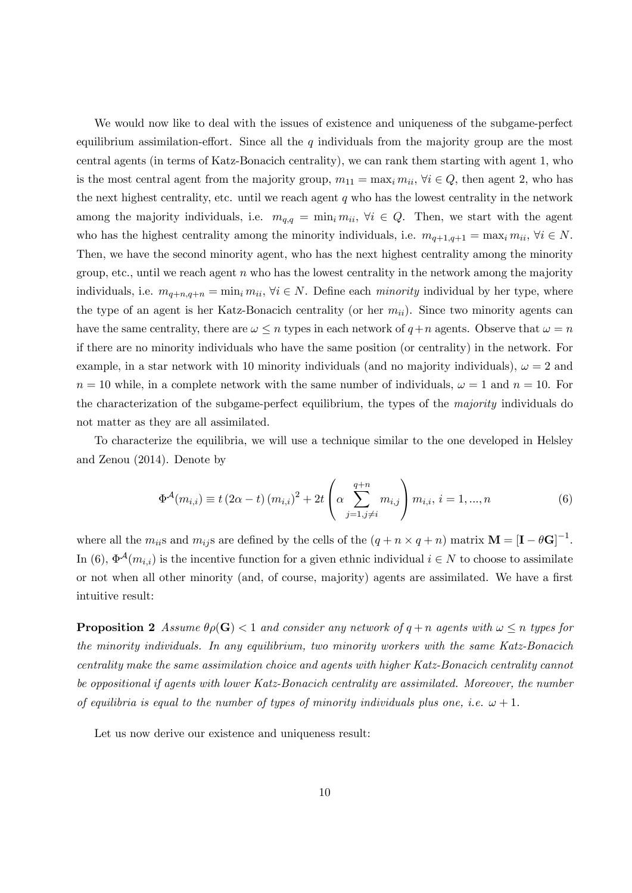We would now like to deal with the issues of existence and uniqueness of the subgame-perfect equilibrium assimilation-effort. Since all the  $q$  individuals from the majority group are the most central agents (in terms of Katz-Bonacich centrality), we can rank them starting with agent 1, who is the most central agent from the majority group,  $m_{11} = \max_i m_{ii}$ ,  $\forall i \in Q$ , then agent 2, who has the next highest centrality, etc. until we reach agent  $q$  who has the lowest centrality in the network among the majority individuals, i.e.  $m_{q,q} = \min_i m_{ii}, \forall i \in Q$ . Then, we start with the agent who has the highest centrality among the minority individuals, i.e.  $m_{q+1,q+1} = \max_i m_{ii}, \forall i \in N$ . Then, we have the second minority agent, who has the next highest centrality among the minority group, etc., until we reach agent  $n$  who has the lowest centrality in the network among the majority individuals, i.e.  $m_{q+n,q+n} = \min_i m_{ii}, \forall i \in N$ . Define each *minority* individual by her type, where the type of an agent is her Katz-Bonacich centrality (or her  $m_{ii}$ ). Since two minority agents can have the same centrality, there are  $\omega \leq n$  types in each network of  $q+n$  agents. Observe that  $\omega = n$ if there are no minority individuals who have the same position (or centrality) in the network. For example, in a star network with 10 minority individuals (and no majority individuals),  $\omega = 2$  and  $n = 10$  while, in a complete network with the same number of individuals,  $\omega = 1$  and  $n = 10$ . For the characterization of the subgame-perfect equilibrium, the types of the majority individuals do not matter as they are all assimilated.

To characterize the equilibria, we will use a technique similar to the one developed in Helsley and Zenou (2014). Denote by

$$
\Phi^{\mathcal{A}}(m_{i,i}) \equiv t (2\alpha - t) (m_{i,i})^2 + 2t \left( \alpha \sum_{j=1, j \neq i}^{q+n} m_{i,j} \right) m_{i,i}, i = 1, ..., n
$$
\n(6)

where all the  $m_{ii}$ s and  $m_{ij}$ s are defined by the cells of the  $(q + n \times q + n)$  matrix  $\mathbf{M} = [\mathbf{I} - \theta \mathbf{G}]^{-1}$ . In (6),  $\Phi^{\mathcal{A}}(m_{i,i})$  is the incentive function for a given ethnic individual  $i \in N$  to choose to assimilate or not when all other minority (and, of course, majority) agents are assimilated. We have a first intuitive result:

**Proposition 2** Assume  $\theta_{\rho}(\mathbf{G}) < 1$  and consider any network of  $q + n$  agents with  $\omega \leq n$  types for the minority individuals. In any equilibrium, two minority workers with the same Katz-Bonacich centrality make the same assimilation choice and agents with higher Katz-Bonacich centrality cannot be oppositional if agents with lower Katz-Bonacich centrality are assimilated. Moreover, the number of equilibria is equal to the number of types of minority individuals plus one, i.e.  $\omega + 1$ .

Let us now derive our existence and uniqueness result: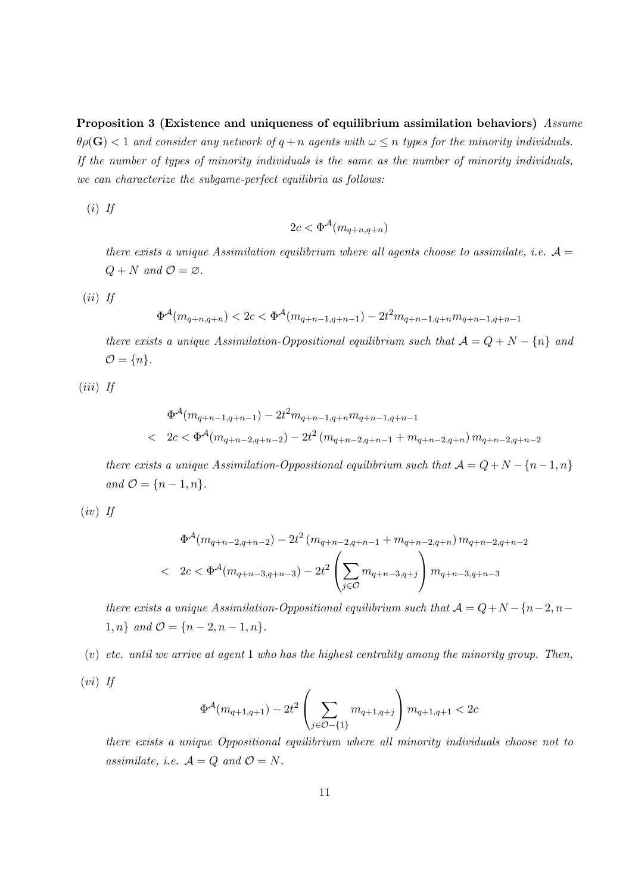Proposition 3 (Existence and uniqueness of equilibrium assimilation behaviors) Assume  $\theta \rho(\mathbf{G}) < 1$  and consider any network of  $q + n$  agents with  $\omega \leq n$  types for the minority individuals. If the number of types of minority individuals is the same as the number of minority individuals, we can characterize the subgame-perfect equilibria as follows:

 $(i)$  If

$$
2c < \Phi^{\mathcal{A}}(m_{q+n,q+n})
$$

there exists a unique Assimilation equilibrium where all agents choose to assimilate, i.e.  $\mathcal{A} =$  $Q + N$  and  $\mathcal{O} = \varnothing$ .

 $(ii)$  If

$$
\Phi^{\mathcal{A}}(m_{q+n,q+n}) < 2c < \Phi^{\mathcal{A}}(m_{q+n-1,q+n-1}) - 2t^2 m_{q+n-1,q+n} m_{q+n-1,q+n-1}
$$

there exists a unique Assimilation-Oppositional equilibrium such that  $A = Q + N - \{n\}$  and  $\mathcal{O} = \{n\}.$ 

 $(iii)$  If

$$
\Phi^{\mathcal{A}}(m_{q+n-1,q+n-1}) - 2t^2 m_{q+n-1,q+n} m_{q+n-1,q+n-1}
$$
\n
$$
\leftarrow 2c < \Phi^{\mathcal{A}}(m_{q+n-2,q+n-2}) - 2t^2 \left( m_{q+n-2,q+n-1} + m_{q+n-2,q+n} \right) m_{q+n-2,q+n-2}
$$

there exists a unique Assimilation-Oppositional equilibrium such that  $A = Q + N - {n-1, n}$ and  $\mathcal{O} = \{n-1, n\}.$ 

$$
(iv) \enskip \mathit{If}
$$

$$
\Phi^{\mathcal{A}}(m_{q+n-2,q+n-2}) - 2t^2 (m_{q+n-2,q+n-1} + m_{q+n-2,q+n}) m_{q+n-2,q+n-2}
$$
\n
$$
\leftarrow 2c < \Phi^{\mathcal{A}}(m_{q+n-3,q+n-3}) - 2t^2 \left( \sum_{j \in \mathcal{O}} m_{q+n-3,q+j} \right) m_{q+n-3,q+n-3}
$$

there exists a unique Assimilation-Oppositional equilibrium such that  $A = Q + N - {n-2, n-1$ 1, *n* } and  $\mathcal{O} = \{n-2, n-1, n\}.$ 

 $(v)$  etc. until we arrive at agent 1 who has the highest centrality among the minority group. Then,

 $(vi)$  If

$$
\Phi^{\mathcal{A}}(m_{q+1,q+1}) - 2t^2\left(\sum_{j\in\mathcal{O}-\{1\}}m_{q+1,q+j}\right)m_{q+1,q+1} < 2c
$$

there exists a unique Oppositional equilibrium where all minority individuals choose not to assimilate, i.e.  $\mathcal{A} = Q$  and  $\mathcal{O} = N$ .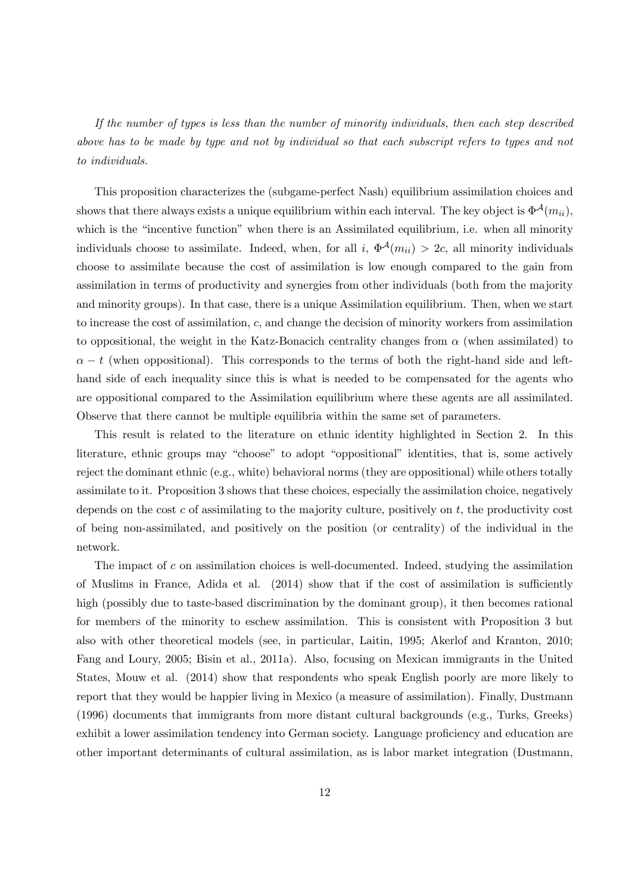If the number of types is less than the number of minority individuals, then each step described above has to be made by type and not by individual so that each subscript refers to types and not to individuals.

This proposition characterizes the (subgame-perfect Nash) equilibrium assimilation choices and shows that there always exists a unique equilibrium within each interval. The key object is  $\Phi^{\mathcal{A}}(m_{ii}),$ which is the "incentive function" when there is an Assimilated equilibrium, i.e. when all minority individuals choose to assimilate. Indeed, when, for all i,  $\Phi^{\mathcal{A}}(m_{ii}) > 2c$ , all minority individuals choose to assimilate because the cost of assimilation is low enough compared to the gain from assimilation in terms of productivity and synergies from other individuals (both from the majority and minority groups). In that case, there is a unique Assimilation equilibrium. Then, when we start to increase the cost of assimilation,  $c$ , and change the decision of minority workers from assimilation to oppositional, the weight in the Katz-Bonacich centrality changes from  $\alpha$  (when assimilated) to  $\alpha - t$  (when oppositional). This corresponds to the terms of both the right-hand side and lefthand side of each inequality since this is what is needed to be compensated for the agents who are oppositional compared to the Assimilation equilibrium where these agents are all assimilated. Observe that there cannot be multiple equilibria within the same set of parameters.

This result is related to the literature on ethnic identity highlighted in Section 2. In this literature, ethnic groups may "choose" to adopt "oppositional" identities, that is, some actively reject the dominant ethnic (e.g., white) behavioral norms (they are oppositional) while others totally assimilate to it. Proposition 3 shows that these choices, especially the assimilation choice, negatively depends on the cost  $c$  of assimilating to the majority culture, positively on  $t$ , the productivity cost of being non-assimilated, and positively on the position (or centrality) of the individual in the network.

The impact of  $c$  on assimilation choices is well-documented. Indeed, studying the assimilation of Muslims in France, Adida et al. (2014) show that if the cost of assimilation is sufficiently high (possibly due to taste-based discrimination by the dominant group), it then becomes rational for members of the minority to eschew assimilation. This is consistent with Proposition 3 but also with other theoretical models (see, in particular, Laitin, 1995; Akerlof and Kranton, 2010; Fang and Loury, 2005; Bisin et al., 2011a). Also, focusing on Mexican immigrants in the United States, Mouw et al. (2014) show that respondents who speak English poorly are more likely to report that they would be happier living in Mexico (a measure of assimilation). Finally, Dustmann (1996) documents that immigrants from more distant cultural backgrounds (e.g., Turks, Greeks) exhibit a lower assimilation tendency into German society. Language proficiency and education are other important determinants of cultural assimilation, as is labor market integration (Dustmann,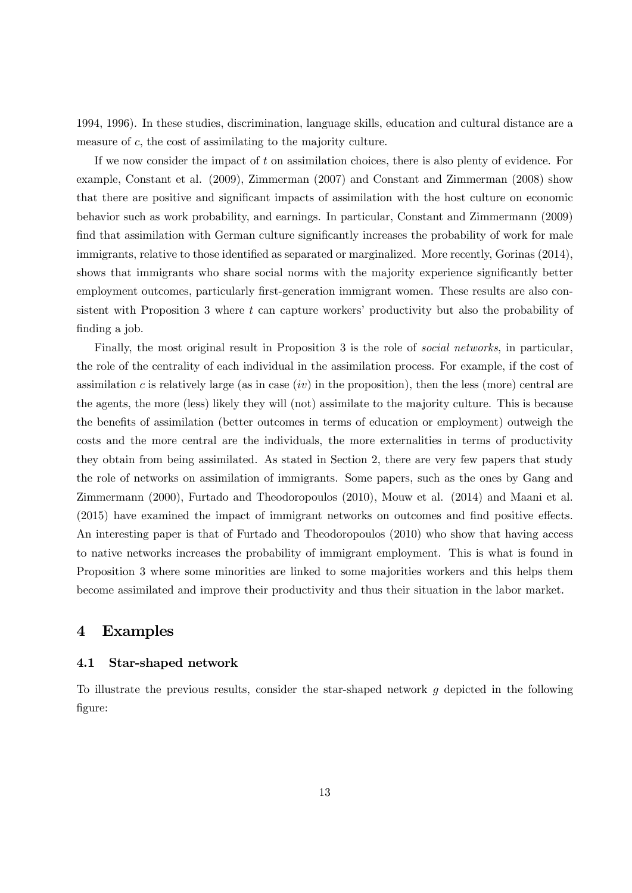1994, 1996). In these studies, discrimination, language skills, education and cultural distance are a measure of  $c$ , the cost of assimilating to the majority culture.

If we now consider the impact of  $t$  on assimilation choices, there is also plenty of evidence. For example, Constant et al. (2009), Zimmerman (2007) and Constant and Zimmerman (2008) show that there are positive and significant impacts of assimilation with the host culture on economic behavior such as work probability, and earnings. In particular, Constant and Zimmermann (2009) find that assimilation with German culture significantly increases the probability of work for male immigrants, relative to those identified as separated or marginalized. More recently, Gorinas (2014), shows that immigrants who share social norms with the majority experience significantly better employment outcomes, particularly first-generation immigrant women. These results are also consistent with Proposition 3 where t can capture workers' productivity but also the probability of finding a job.

Finally, the most original result in Proposition 3 is the role of *social networks*, in particular, the role of the centrality of each individual in the assimilation process. For example, if the cost of assimilation c is relatively large (as in case  $(iv)$  in the proposition), then the less (more) central are the agents, the more (less) likely they will (not) assimilate to the majority culture. This is because the benefits of assimilation (better outcomes in terms of education or employment) outweigh the costs and the more central are the individuals, the more externalities in terms of productivity they obtain from being assimilated. As stated in Section 2, there are very few papers that study the role of networks on assimilation of immigrants. Some papers, such as the ones by Gang and Zimmermann (2000), Furtado and Theodoropoulos (2010), Mouw et al. (2014) and Maani et al. (2015) have examined the impact of immigrant networks on outcomes and find positive effects. An interesting paper is that of Furtado and Theodoropoulos (2010) who show that having access to native networks increases the probability of immigrant employment. This is what is found in Proposition 3 where some minorities are linked to some majorities workers and this helps them become assimilated and improve their productivity and thus their situation in the labor market.

### 4 Examples

#### 4.1 Star-shaped network

To illustrate the previous results, consider the star-shaped network  $g$  depicted in the following figure: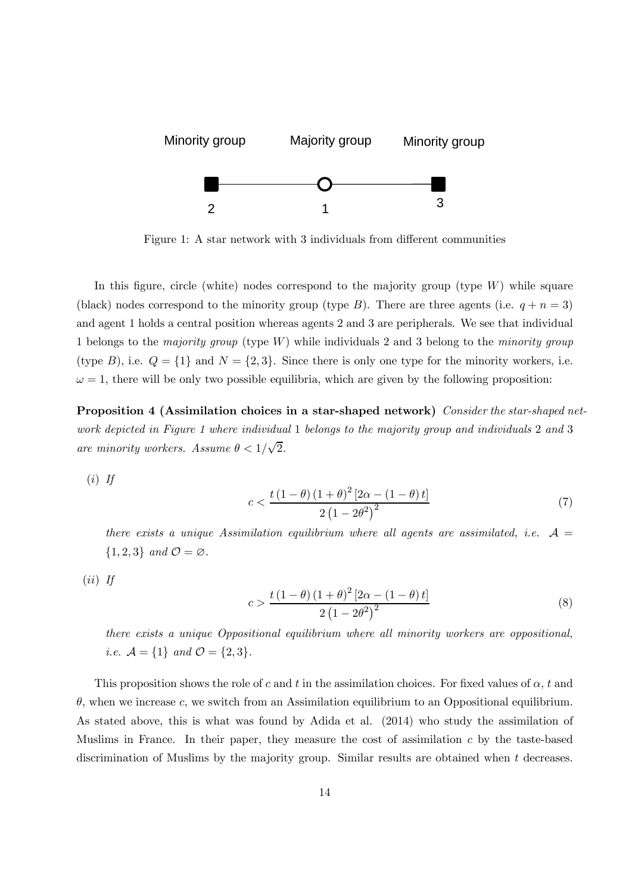

Figure 1: A star network with 3 individuals from different communities

In this figure, circle (white) nodes correspond to the majority group (type  $W$ ) while square (black) nodes correspond to the minority group (type B). There are three agents (i.e.  $q + n = 3$ ) and agent 1 holds a central position whereas agents 2 and 3 are peripherals. We see that individual 1 belongs to the majority group (type  $W$ ) while individuals 2 and 3 belong to the minority group (type B), i.e.  $Q = \{1\}$  and  $N = \{2, 3\}$ . Since there is only one type for the minority workers, i.e.  $\omega = 1$ , there will be only two possible equilibria, which are given by the following proposition:

Proposition 4 (Assimilation choices in a star-shaped network) Consider the star-shaped network depicted in Figure 1 where individual 1 belongs to the majority group and individuals 2 and 3 are minority workers. Assume  $\theta < 1/\sqrt{2}$ .

 $(i)$  If

$$
c < \frac{t\left(1-\theta\right)\left(1+\theta\right)^{2}\left[2\alpha - \left(1-\theta\right)t\right]}{2\left(1-2\theta^{2}\right)^{2}}
$$
\n
$$
(7)
$$

there exists a unique Assimilation equilibrium where all agents are assimilated, i.e.  $\mathcal{A} =$  $\{1, 2, 3\}$  and  $\mathcal{O} = \emptyset$ .

 $(ii)$  If

$$
c > \frac{t(1-\theta)(1+\theta)^2 [2\alpha - (1-\theta)t]}{2(1-2\theta^2)^2}
$$
 (8)

there exists a unique Oppositional equilibrium where all minority workers are oppositional, *i.e.*  $\mathcal{A} = \{1\}$  and  $\mathcal{O} = \{2, 3\}.$ 

This proposition shows the role of c and t in the assimilation choices. For fixed values of  $\alpha$ , t and  $\theta$ , when we increase c, we switch from an Assimilation equilibrium to an Oppositional equilibrium. As stated above, this is what was found by Adida et al. (2014) who study the assimilation of Muslims in France. In their paper, they measure the cost of assimilation  $c$  by the taste-based discrimination of Muslims by the majority group. Similar results are obtained when  $t$  decreases.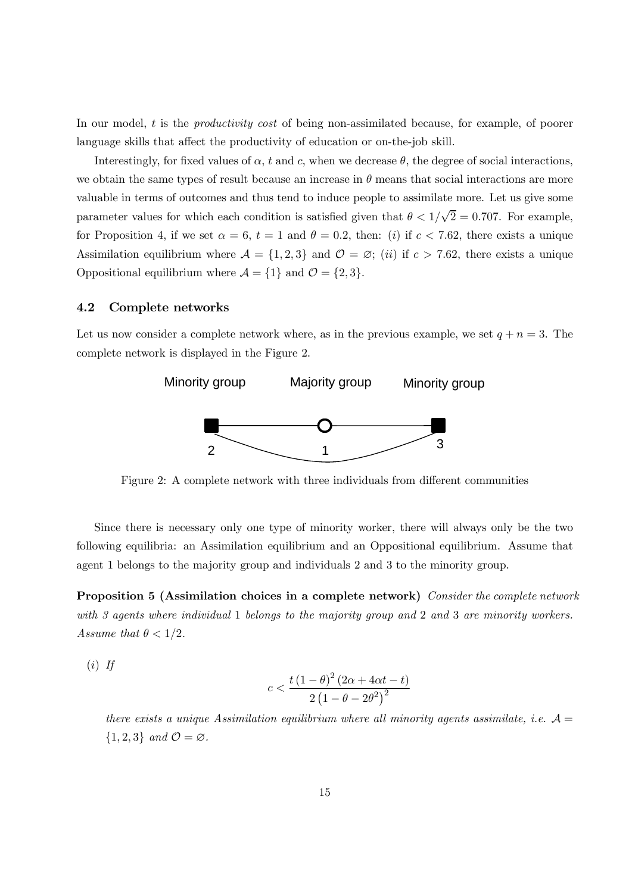In our model,  $t$  is the *productivity cost* of being non-assimilated because, for example, of poorer language skills that affect the productivity of education or on-the-job skill.

Interestingly, for fixed values of  $\alpha$ ,  $t$  and  $c$ , when we decrease  $\theta$ , the degree of social interactions, we obtain the same types of result because an increase in  $\theta$  means that social interactions are more valuable in terms of outcomes and thus tend to induce people to assimilate more. Let us give some parameter values for which each condition is satisfied given that  $\theta < 1/\sqrt{2} = 0.707$ . For example, for Proposition 4, if we set  $\alpha = 6$ ,  $t = 1$  and  $\theta = 0.2$ , then: (i) if  $c < 7.62$ , there exists a unique Assimilation equilibrium where  $\mathcal{A} = \{1, 2, 3\}$  and  $\mathcal{O} = \emptyset$ ; (*ii*) if  $c > 7.62$ , there exists a unique Oppositional equilibrium where  $\mathcal{A} = \{1\}$  and  $\mathcal{O} = \{2, 3\}.$ 

#### 4.2 Complete networks

Let us now consider a complete network where, as in the previous example, we set  $q + n = 3$ . The complete network is displayed in the Figure 2.



Figure 2: A complete network with three individuals from different communities

Since there is necessary only one type of minority worker, there will always only be the two following equilibria: an Assimilation equilibrium and an Oppositional equilibrium. Assume that agent 1 belongs to the majority group and individuals 2 and 3 to the minority group.

Proposition 5 (Assimilation choices in a complete network) Consider the complete network with 3 agents where individual 1 belongs to the majority group and 2 and 3 are minority workers. Assume that  $\theta < 1/2$ .

 $(i)$  If

$$
c < \frac{t(1-\theta)^2 (2\alpha + 4\alpha t - t)}{2 (1 - \theta - 2\theta^2)^2}
$$

there exists a unique Assimilation equilibrium where all minority agents assimilate, i.e.  $\mathcal{A} =$  $\{1, 2, 3\}$  and  $\mathcal{O} = \varnothing$ .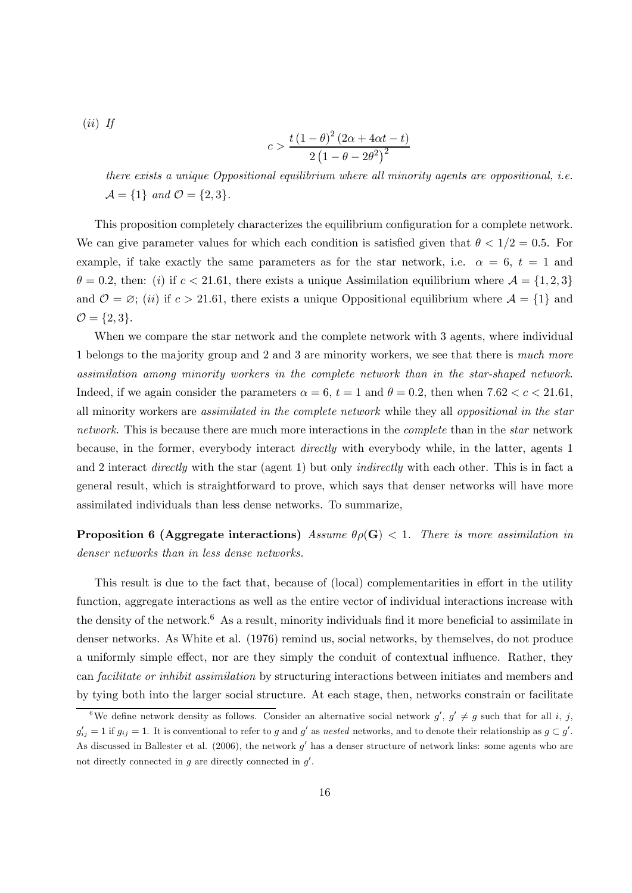(ii) If  

$$
c > \frac{t(1-\theta)^2(2\alpha + 4\alpha t - t)}{2(1-\theta - 2\theta^2)^2}
$$

there exists a unique Oppositional equilibrium where all minority agents are oppositional, i.e.  $\mathcal{A} = \{1\}$  and  $\mathcal{O} = \{2,3\}.$ 

This proposition completely characterizes the equilibrium configuration for a complete network. We can give parameter values for which each condition is satisfied given that  $\theta < 1/2 = 0.5$ . For example, if take exactly the same parameters as for the star network, i.e.  $\alpha = 6, t = 1$  and  $\theta = 0.2$ , then: (i) if  $c < 21.61$ , there exists a unique Assimilation equilibrium where  $\mathcal{A} = \{1, 2, 3\}$ and  $\mathcal{O} = \varnothing$ ; (*ii*) if  $c > 21.61$ , there exists a unique Oppositional equilibrium where  $\mathcal{A} = \{1\}$  and  $\mathcal{O} = \{2, 3\}.$ 

When we compare the star network and the complete network with 3 agents, where individual 1 belongs to the majority group and 2 and 3 are minority workers, we see that there is much more assimilation among minority workers in the complete network than in the star-shaped network. Indeed, if we again consider the parameters  $\alpha = 6$ ,  $t = 1$  and  $\theta = 0.2$ , then when  $7.62 < c < 21.61$ , all minority workers are assimilated in the complete network while they all oppositional in the star network. This is because there are much more interactions in the *complete* than in the *star* network because, in the former, everybody interact directly with everybody while, in the latter, agents 1 and 2 interact *directly* with the star (agent 1) but only *indirectly* with each other. This is in fact a general result, which is straightforward to prove, which says that denser networks will have more assimilated individuals than less dense networks. To summarize,

**Proposition 6 (Aggregate interactions)** Assume  $\theta \rho(\mathbf{G}) < 1$ . There is more assimilation in denser networks than in less dense networks.

This result is due to the fact that, because of (local) complementarities in effort in the utility function, aggregate interactions as well as the entire vector of individual interactions increase with the density of the network.<sup>6</sup> As a result, minority individuals find it more beneficial to assimilate in denser networks. As White et al. (1976) remind us, social networks, by themselves, do not produce a uniformly simple effect, nor are they simply the conduit of contextual influence. Rather, they can facilitate or inhibit assimilation by structuring interactions between initiates and members and by tying both into the larger social structure. At each stage, then, networks constrain or facilitate

<sup>&</sup>lt;sup>6</sup>We define network density as follows. Consider an alternative social network  $g'$ ,  $g' \neq g$  such that for all *i*, *j*,  $g'_{ij} = 1$  if  $g_{ij} = 1$ . It is conventional to refer to g and g' as nested networks, and to denote their relationship as  $g \subset g'$ . As discussed in Ballester et al. (2006), the network  $g'$  has a denser structure of network links: some agents who are not directly connected in  $g$  are directly connected in  $g'$ .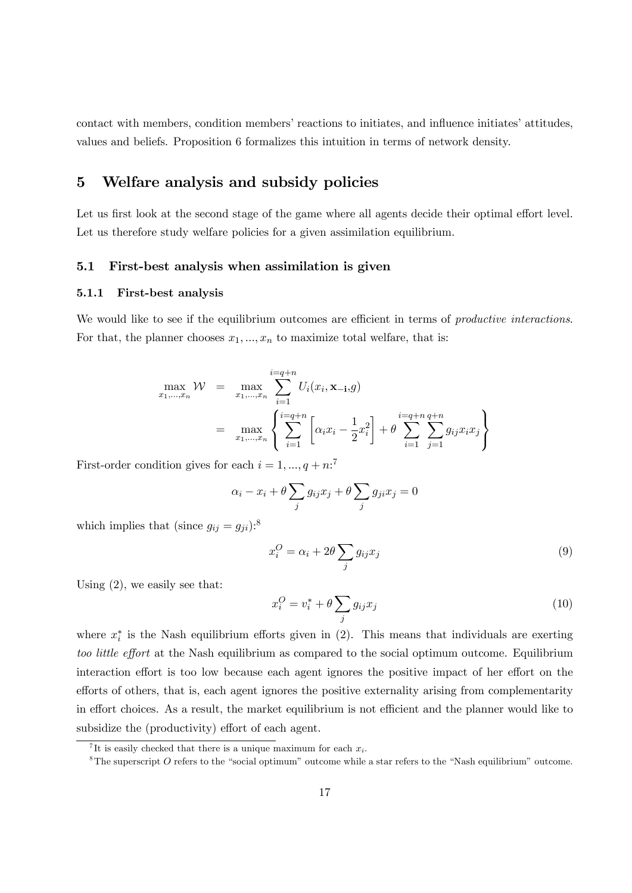contact with members, condition members' reactions to initiates, and influence initiates' attitudes, values and beliefs. Proposition 6 formalizes this intuition in terms of network density.

## 5 Welfare analysis and subsidy policies

Let us first look at the second stage of the game where all agents decide their optimal effort level. Let us therefore study welfare policies for a given assimilation equilibrium.

#### 5.1 First-best analysis when assimilation is given

#### 5.1.1 First-best analysis

We would like to see if the equilibrium outcomes are efficient in terms of *productive interactions*. For that, the planner chooses  $x_1, \ldots, x_n$  to maximize total welfare, that is:

$$
\max_{x_1,\dots,x_n} \mathcal{W} = \max_{x_1,\dots,x_n} \sum_{i=1}^{i=q+n} U_i(x_i, \mathbf{x}_{-i}, g)
$$
  
= 
$$
\max_{x_1,\dots,x_n} \left\{ \sum_{i=1}^{i=q+n} \left[ \alpha_i x_i - \frac{1}{2} x_i^2 \right] + \theta \sum_{i=1}^{i=q+n} \sum_{j=1}^{q+n} g_{ij} x_i x_j \right\}
$$

First-order condition gives for each  $i = 1, ..., q + n$ :<sup>7</sup>

$$
\alpha_i - x_i + \theta \sum_j g_{ij} x_j + \theta \sum_j g_{ji} x_j = 0
$$

which implies that (since  $g_{ij} = g_{ji}$ ):<sup>8</sup>

$$
x_i^O = \alpha_i + 2\theta \sum_j g_{ij} x_j \tag{9}
$$

Using  $(2)$ , we easily see that:

$$
x_i^O = v_i^* + \theta \sum_j g_{ij} x_j \tag{10}
$$

where  $x_i^*$  is the Nash equilibrium efforts given in (2). This means that individuals are exerting too little effort at the Nash equilibrium as compared to the social optimum outcome. Equilibrium interaction effort is too low because each agent ignores the positive impact of her effort on the efforts of others, that is, each agent ignores the positive externality arising from complementarity in effort choices. As a result, the market equilibrium is not efficient and the planner would like to subsidize the (productivity) effort of each agent.

<sup>&</sup>lt;sup>7</sup>It is easily checked that there is a unique maximum for each  $x_i$ .

 ${}^{8}$ The superscript  $O$  refers to the "social optimum" outcome while a star refers to the "Nash equilibrium" outcome.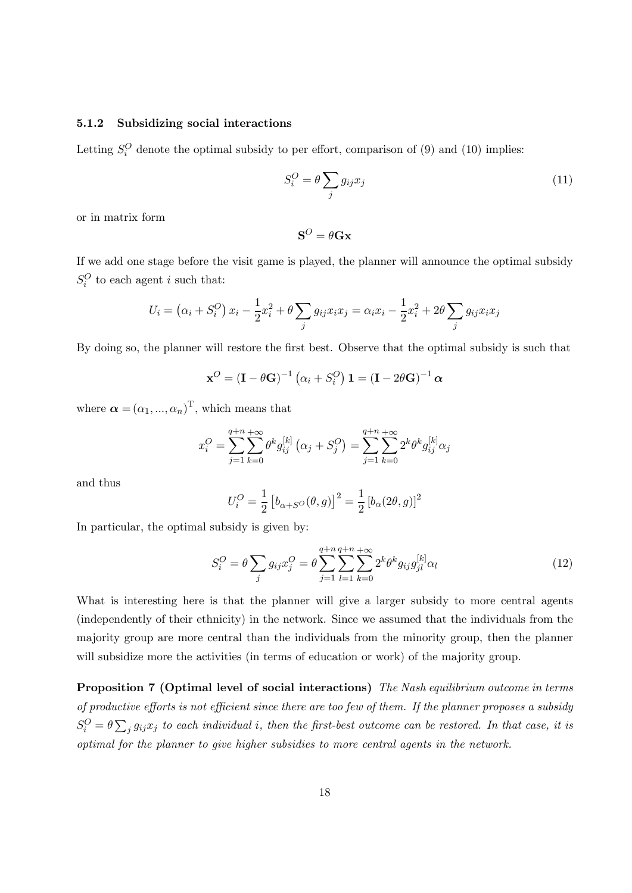#### 5.1.2 Subsidizing social interactions

Letting  $S_i^O$  denote the optimal subsidy to per effort, comparison of (9) and (10) implies:

$$
S_i^O = \theta \sum_j g_{ij} x_j \tag{11}
$$

or in matrix form

$$
\mathbf{S}^O=\theta\mathbf{G}\mathbf{x}
$$

If we add one stage before the visit game is played, the planner will announce the optimal subsidy  $S_i^O$  to each agent *i* such that:

$$
U_i = (\alpha_i + S_i^O) x_i - \frac{1}{2} x_i^2 + \theta \sum_j g_{ij} x_i x_j = \alpha_i x_i - \frac{1}{2} x_i^2 + 2\theta \sum_j g_{ij} x_i x_j
$$

By doing so, the planner will restore the first best. Observe that the optimal subsidy is such that

$$
\mathbf{x}^O = (\mathbf{I} - \theta \mathbf{G})^{-1} (\alpha_i + S_i^O) \mathbf{1} = (\mathbf{I} - 2\theta \mathbf{G})^{-1} \alpha
$$

where  $\boldsymbol{\alpha} = (\alpha_1, ..., \alpha_n)^{\mathrm{T}}$ , which means that

$$
x_i^O = \sum_{j=1}^{q+n} \sum_{k=0}^{+\infty} \theta^k g_{ij}^{[k]} \left( \alpha_j + S_j^O \right) = \sum_{j=1}^{q+n} \sum_{k=0}^{+\infty} 2^k \theta^k g_{ij}^{[k]} \alpha_j
$$

and thus

$$
U_i^O = \frac{1}{2} [b_{\alpha+S^O}(\theta, g)]^2 = \frac{1}{2} [b_{\alpha}(2\theta, g)]^2
$$

In particular, the optimal subsidy is given by:

$$
S_i^O = \theta \sum_j g_{ij} x_j^O = \theta \sum_{j=1}^{q+n} \sum_{l=1}^{q+n} \sum_{k=0}^{+\infty} 2^k \theta^k g_{ij} g_{jl}^{[k]} \alpha_l
$$
(12)

What is interesting here is that the planner will give a larger subsidy to more central agents (independently of their ethnicity) in the network. Since we assumed that the individuals from the majority group are more central than the individuals from the minority group, then the planner will subsidize more the activities (in terms of education or work) of the majority group.

Proposition 7 (Optimal level of social interactions) The Nash equilibrium outcome in terms of productive efforts is not efficient since there are too few of them. If the planner proposes a subsidy  $S_i^O = \theta \sum_j g_{ij} x_j$  to each individual i, then the first-best outcome can be restored. In that case, it is optimal for the planner to give higher subsidies to more central agents in the network.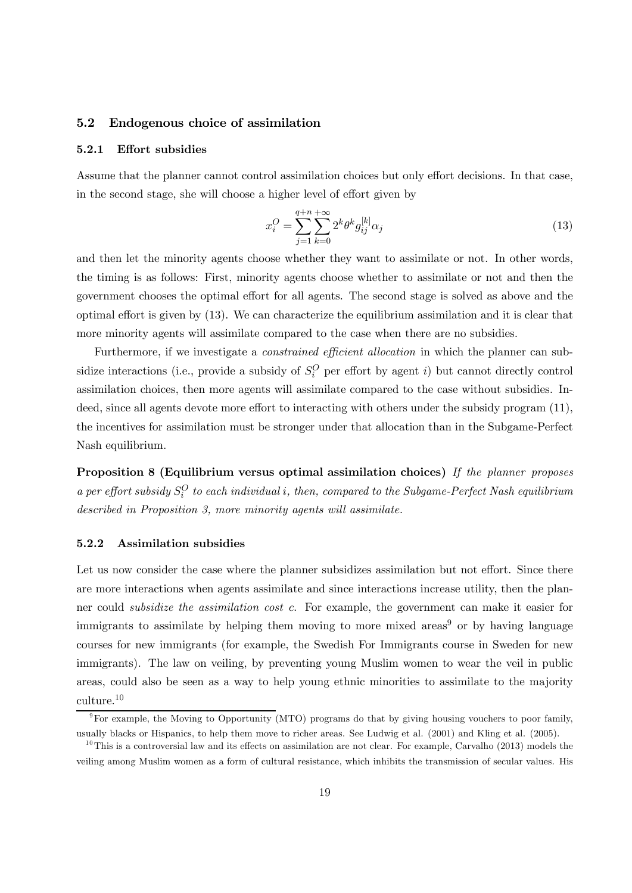#### 5.2 Endogenous choice of assimilation

#### 5.2.1 Effort subsidies

Assume that the planner cannot control assimilation choices but only effort decisions. In that case, in the second stage, she will choose a higher level of effort given by

$$
x_i^O = \sum_{j=1}^{q+n} \sum_{k=0}^{+\infty} 2^k \theta^k g_{ij}^{[k]} \alpha_j
$$
 (13)

and then let the minority agents choose whether they want to assimilate or not. In other words, the timing is as follows: First, minority agents choose whether to assimilate or not and then the government chooses the optimal effort for all agents. The second stage is solved as above and the optimal effort is given by (13). We can characterize the equilibrium assimilation and it is clear that more minority agents will assimilate compared to the case when there are no subsidies.

Furthermore, if we investigate a *constrained efficient allocation* in which the planner can subsidize interactions (i.e., provide a subsidy of  $S_i^O$  per effort by agent i) but cannot directly control assimilation choices, then more agents will assimilate compared to the case without subsidies. Indeed, since all agents devote more effort to interacting with others under the subsidy program (11), the incentives for assimilation must be stronger under that allocation than in the Subgame-Perfect Nash equilibrium.

Proposition 8 (Equilibrium versus optimal assimilation choices) If the planner proposes a per effort subsidy  $S_i^O$  to each individual i, then, compared to the Subgame-Perfect Nash equilibrium described in Proposition 3, more minority agents will assimilate.

#### 5.2.2 Assimilation subsidies

Let us now consider the case where the planner subsidizes assimilation but not effort. Since there are more interactions when agents assimilate and since interactions increase utility, then the planner could *subsidize the assimilation cost c*. For example, the government can make it easier for immigrants to assimilate by helping them moving to more mixed areas<sup>9</sup> or by having language courses for new immigrants (for example, the Swedish For Immigrants course in Sweden for new immigrants). The law on veiling, by preventing young Muslim women to wear the veil in public areas, could also be seen as a way to help young ethnic minorities to assimilate to the majority culture.10

<sup>9</sup>For example, the Moving to Opportunity (MTO) programs do that by giving housing vouchers to poor family, usually blacks or Hispanics, to help them move to richer areas. See Ludwig et al. (2001) and Kling et al. (2005).

 $10$ This is a controversial law and its effects on assimilation are not clear. For example, Carvalho (2013) models the veiling among Muslim women as a form of cultural resistance, which inhibits the transmission of secular values. His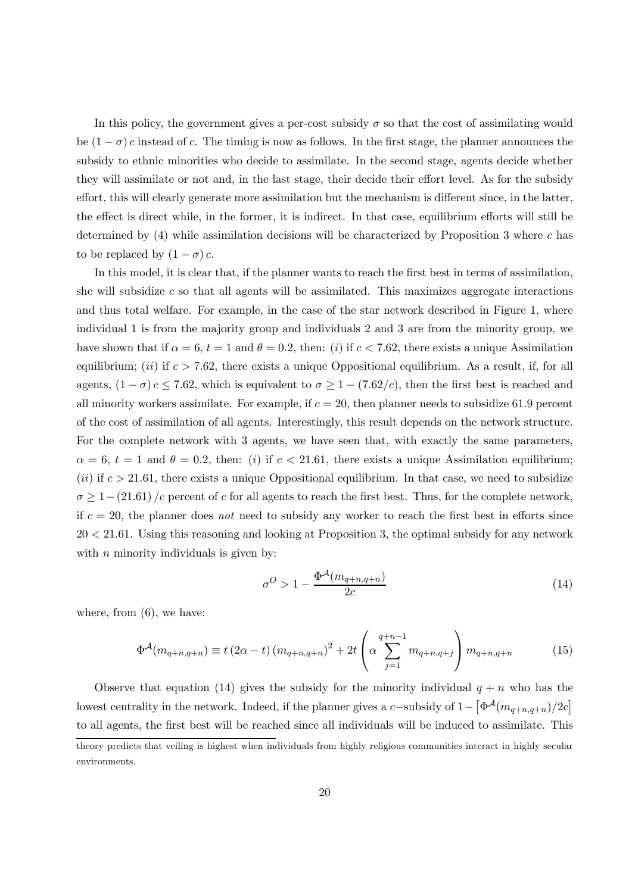In this policy, the government gives a per-cost subsidy  $\sigma$  so that the cost of assimilating would be  $(1 - \sigma) c$  instead of c. The timing is now as follows. In the first stage, the planner announces the subsidy to ethnic minorities who decide to assimilate. In the second stage, agents decide whether they will assimilate or not and, in the last stage, their decide their effort level. As for the subsidy effort, this will clearly generate more assimilation but the mechanism is different since, in the latter, the effect is direct while, in the former, it is indirect. In that case, equilibrium efforts will still be determined by  $(4)$  while assimilation decisions will be characterized by Proposition 3 where c has to be replaced by  $(1 - \sigma) c$ .

In this model, it is clear that, if the planner wants to reach the first best in terms of assimilation, she will subsidize  $c$  so that all agents will be assimilated. This maximizes aggregate interactions and thus total welfare. For example, in the case of the star network described in Figure 1, where individual 1 is from the majority group and individuals 2 and 3 are from the minority group, we have shown that if  $\alpha = 6$ ,  $t = 1$  and  $\theta = 0.2$ , then: (i) if  $c < 7.62$ , there exists a unique Assimilation equilibrium; (ii) if  $c > 7.62$ , there exists a unique Oppositional equilibrium. As a result, if, for all agents,  $(1 - \sigma) c \le 7.62$ , which is equivalent to  $\sigma \ge 1 - (7.62/c)$ , then the first best is reached and all minority workers assimilate. For example, if  $c = 20$ , then planner needs to subsidize 61.9 percent of the cost of assimilation of all agents. Interestingly, this result depends on the network structure. For the complete network with 3 agents, we have seen that, with exactly the same parameters,  $\alpha = 6$ ,  $t = 1$  and  $\theta = 0.2$ , then: (i) if  $c < 21.61$ , there exists a unique Assimilation equilibrium;  $(ii)$  if  $c > 21.61$ , there exists a unique Oppositional equilibrium. In that case, we need to subsidize  $\sigma \geq 1-(21.61)$  /c percent of c for all agents to reach the first best. Thus, for the complete network, if  $c = 20$ , the planner does not need to subsidy any worker to reach the first best in efforts since  $20 < 21.61$ . Using this reasoning and looking at Proposition 3, the optimal subsidy for any network with  $n$  minority individuals is given by:

$$
\sigma^O > 1 - \frac{\Phi^{\mathcal{A}}(m_{q+n,q+n})}{2c} \tag{14}
$$

where, from  $(6)$ , we have:

$$
\Phi^{\mathcal{A}}(m_{q+n,q+n}) \equiv t(2\alpha - t)(m_{q+n,q+n})^2 + 2t \left(\alpha \sum_{j=1}^{q+n-1} m_{q+n,q+j}\right) m_{q+n,q+n}
$$
(15)

Observe that equation (14) gives the subsidy for the minority individual  $q + n$  who has the lowest centrality in the network. Indeed, if the planner gives a c-subsidy of  $1 - \left[ \Phi^{\mathcal{A}}(m_{q+n,q+n})/2c \right]$ to all agents, the first best will be reached since all individuals will be induced to assimilate. This

theory predicts that veiling is highest when individuals from highly religious communities interact in highly secular environments.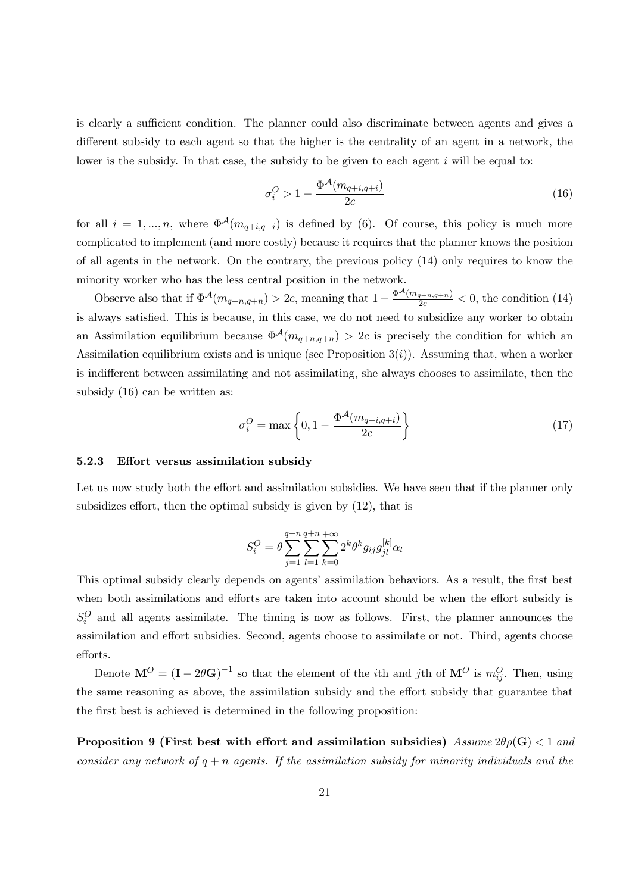is clearly a sufficient condition. The planner could also discriminate between agents and gives a different subsidy to each agent so that the higher is the centrality of an agent in a network, the lower is the subsidy. In that case, the subsidy to be given to each agent  $i$  will be equal to:

$$
\sigma_i^O > 1 - \frac{\Phi^{\mathcal{A}}(m_{q+i,q+i})}{2c} \tag{16}
$$

for all  $i = 1, ..., n$ , where  $\Phi^{\mathcal{A}}(m_{q+i,q+i})$  is defined by (6). Of course, this policy is much more complicated to implement (and more costly) because it requires that the planner knows the position of all agents in the network. On the contrary, the previous policy (14) only requires to know the minority worker who has the less central position in the network.

Observe also that if  $\Phi^{\mathcal{A}}(m_{q+n,q+n}) > 2c$ , meaning that  $1 - \frac{\Phi^{\mathcal{A}}(m_{q+n,q+n})}{2c} < 0$ , the condition (14) is always satisfied. This is because, in this case, we do not need to subsidize any worker to obtain an Assimilation equilibrium because  $\Phi^{\mathcal{A}}(m_{q+n,q+n}) > 2c$  is precisely the condition for which an Assimilation equilibrium exists and is unique (see Proposition  $3(i)$ ). Assuming that, when a worker is indifferent between assimilating and not assimilating, she always chooses to assimilate, then the subsidy (16) can be written as:

$$
\sigma_i^O = \max\left\{0, 1 - \frac{\Phi^{\mathcal{A}}(m_{q+i,q+i})}{2c}\right\}
$$
\n(17)

#### 5.2.3 Effort versus assimilation subsidy

Let us now study both the effort and assimilation subsidies. We have seen that if the planner only subsidizes effort, then the optimal subsidy is given by (12), that is

$$
S_i^O = \theta \sum_{j=1}^{q+n} \sum_{l=1}^{q+n} \sum_{k=0}^{+\infty} 2^k \theta^k g_{ij} g_{jl}^{[k]} \alpha_l
$$

This optimal subsidy clearly depends on agents' assimilation behaviors. As a result, the first best when both assimilations and efforts are taken into account should be when the effort subsidy is  $S_i^O$  and all agents assimilate. The timing is now as follows. First, the planner announces the assimilation and effort subsidies. Second, agents choose to assimilate or not. Third, agents choose efforts.

Denote  $\mathbf{M}^O = (\mathbf{I} - 2\theta\mathbf{G})^{-1}$  so that the element of the *i*th and *j*th of  $\mathbf{M}^O$  is  $m_{ij}^O$ . Then, using the same reasoning as above, the assimilation subsidy and the effort subsidy that guarantee that the first best is achieved is determined in the following proposition:

**Proposition 9 (First best with effort and assimilation subsidies)** Assume  $2\theta \rho(\mathbf{G}) < 1$  and consider any network of  $q + n$  agents. If the assimilation subsidy for minority individuals and the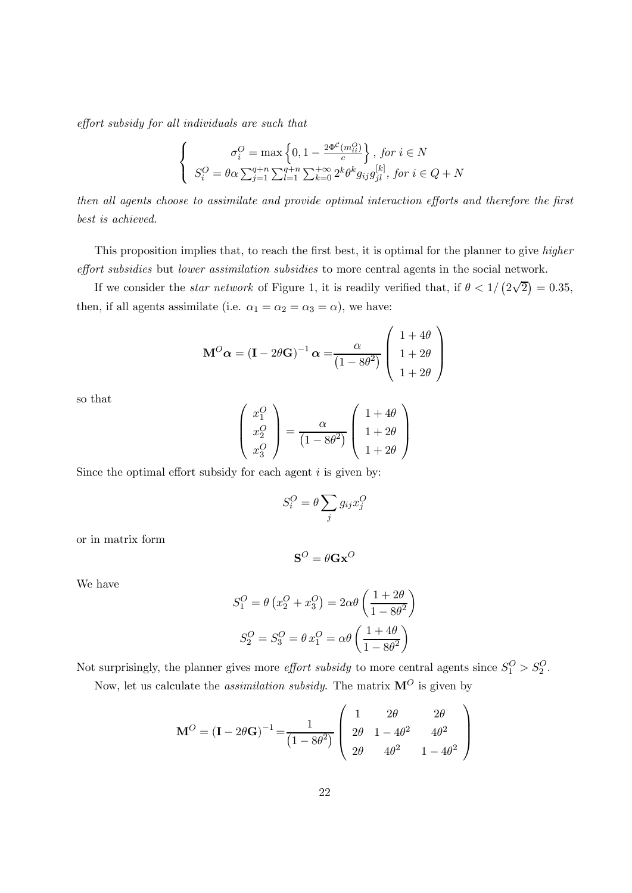effort subsidy for all individuals are such that

$$
\left\{\begin{array}{c} \sigma_i^{O}=\max\left\{0,1-\frac{2\Phi^{\mathcal{C}}(m_{ii}^{O})}{c}\right\},\,for\,i\in N\\ S_i^{O}=\theta\alpha\sum_{j=1}^{q+n}\sum_{l=1}^{q+n}\sum_{k=0}^{+\infty}2^k\theta^kg_{ij}g_{jl}^{[k]},\,for\,i\in Q+N\end{array}\right.
$$

then all agents choose to assimilate and provide optimal interaction efforts and therefore the first best is achieved.

This proposition implies that, to reach the first best, it is optimal for the planner to give higher effort subsidies but lower assimilation subsidies to more central agents in the social network.

If we consider the *star network* of Figure 1, it is readily verified that, if  $\theta < 1/(2\sqrt{2}) = 0.35$ , then, if all agents assimilate (i.e.  $\alpha_1 = \alpha_2 = \alpha_3 = \alpha$ ), we have:

$$
\mathbf{M}^O \alpha = (\mathbf{I} - 2\theta \mathbf{G})^{-1} \alpha = \frac{\alpha}{(1 - 8\theta^2)} \begin{pmatrix} 1 + 4\theta \\ 1 + 2\theta \\ 1 + 2\theta \end{pmatrix}
$$

so that

$$
\begin{pmatrix} x_1^O \\ x_2^O \\ x_3^O \end{pmatrix} = \frac{\alpha}{(1 - 8\theta^2)} \begin{pmatrix} 1 + 4\theta \\ 1 + 2\theta \\ 1 + 2\theta \end{pmatrix}
$$

Since the optimal effort subsidy for each agent  $i$  is given by:

$$
S_i^O = \theta \sum_j g_{ij} x_j^O
$$

or in matrix form

$$
\mathbf{S}^O = \theta \mathbf{Gx}^O
$$

We have

$$
S_1^O = \theta \left( x_2^O + x_3^O \right) = 2\alpha \theta \left( \frac{1+2\theta}{1-8\theta^2} \right)
$$

$$
S_2^O = S_3^O = \theta \, x_1^O = \alpha \theta \left( \frac{1+4\theta}{1-8\theta^2} \right)
$$

Not surprisingly, the planner gives more *effort subsidy* to more central agents since  $S_1^O > S_2^O$ . Now, let us calculate the *assimilation subsidy*. The matrix  $\mathbf{M}^O$  is given by

$$
\mathbf{M}^O = (\mathbf{I} - 2\theta \mathbf{G})^{-1} = \frac{1}{(1 - 8\theta^2)} \begin{pmatrix} 1 & 2\theta & 2\theta \\ 2\theta & 1 - 4\theta^2 & 4\theta^2 \\ 2\theta & 4\theta^2 & 1 - 4\theta^2 \end{pmatrix}
$$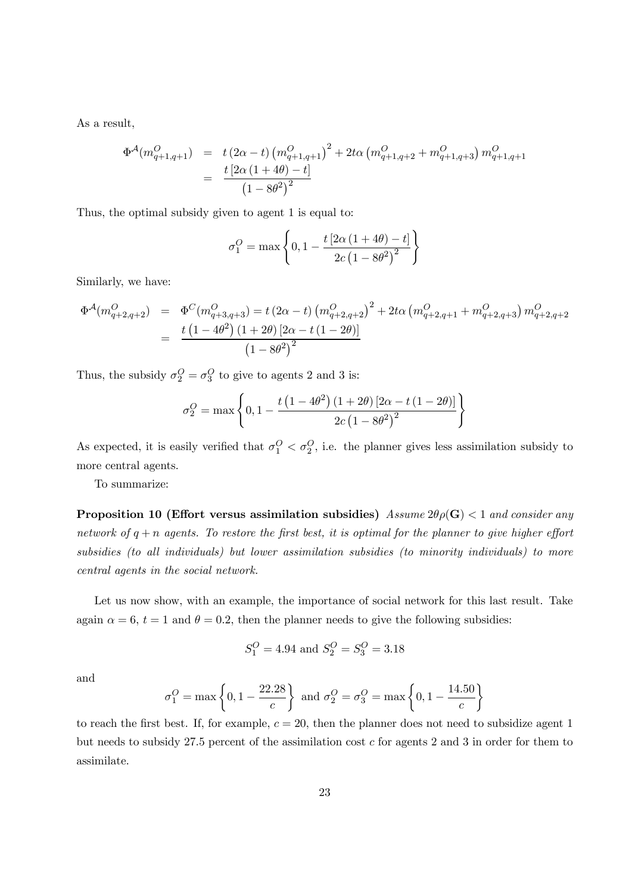As a result,

$$
\Phi^{\mathcal{A}}(m_{q+1,q+1}^{O}) = t(2\alpha - t) (m_{q+1,q+1}^{O})^2 + 2t\alpha (m_{q+1,q+2}^{O} + m_{q+1,q+3}^{O}) m_{q+1,q+1}^{O}
$$
  
= 
$$
\frac{t[2\alpha (1+4\theta) - t]}{(1-8\theta^2)^2}
$$

Thus, the optimal subsidy given to agent 1 is equal to:

$$
\sigma_1^O = \max \left\{ 0, 1 - \frac{t \left[ 2\alpha \left( 1 + 4\theta \right) - t \right]}{2c \left( 1 - 8\theta^2 \right)^2} \right\}
$$

Similarly, we have:

$$
\Phi^{\mathcal{A}}(m_{q+2,q+2}^{O}) = \Phi^{C}(m_{q+3,q+3}^{O}) = t (2\alpha - t) (m_{q+2,q+2}^{O})^{2} + 2t\alpha (m_{q+2,q+1}^{O} + m_{q+2,q+3}^{O}) m_{q+2,q+2}^{O}
$$
  
= 
$$
\frac{t (1 - 4\theta^{2}) (1 + 2\theta) [2\alpha - t (1 - 2\theta)]}{(1 - 8\theta^{2})^{2}}
$$

Thus, the subsidy  $\sigma_2^O = \sigma_3^O$  to give to agents 2 and 3 is:

$$
\sigma_2^O = \max \left\{ 0, 1 - \frac{t (1 - 4\theta^2) (1 + 2\theta) [2\alpha - t (1 - 2\theta)]}{2c (1 - 8\theta^2)^2} \right\}
$$

As expected, it is easily verified that  $\sigma_1^O < \sigma_2^O$ , i.e. the planner gives less assimilation subsidy to more central agents.

To summarize:

**Proposition 10 (Effort versus assimilation subsidies)** Assume  $2\theta \rho(\mathbf{G}) < 1$  and consider any network of  $q + n$  agents. To restore the first best, it is optimal for the planner to give higher effort subsidies (to all individuals) but lower assimilation subsidies (to minority individuals) to more central agents in the social network.

Let us now show, with an example, the importance of social network for this last result. Take again  $\alpha = 6$ ,  $t = 1$  and  $\theta = 0.2$ , then the planner needs to give the following subsidies:

$$
S_1^O = 4.94
$$
 and  $S_2^O = S_3^O = 3.18$ 

and

$$
\sigma_1^O = \max \left\{ 0, 1 - \frac{22.28}{c} \right\}
$$
 and  $\sigma_2^O = \sigma_3^O = \max \left\{ 0, 1 - \frac{14.50}{c} \right\}$ 

to reach the first best. If, for example,  $c = 20$ , then the planner does not need to subsidize agent 1 but needs to subsidy  $27.5$  percent of the assimilation cost  $c$  for agents 2 and 3 in order for them to assimilate.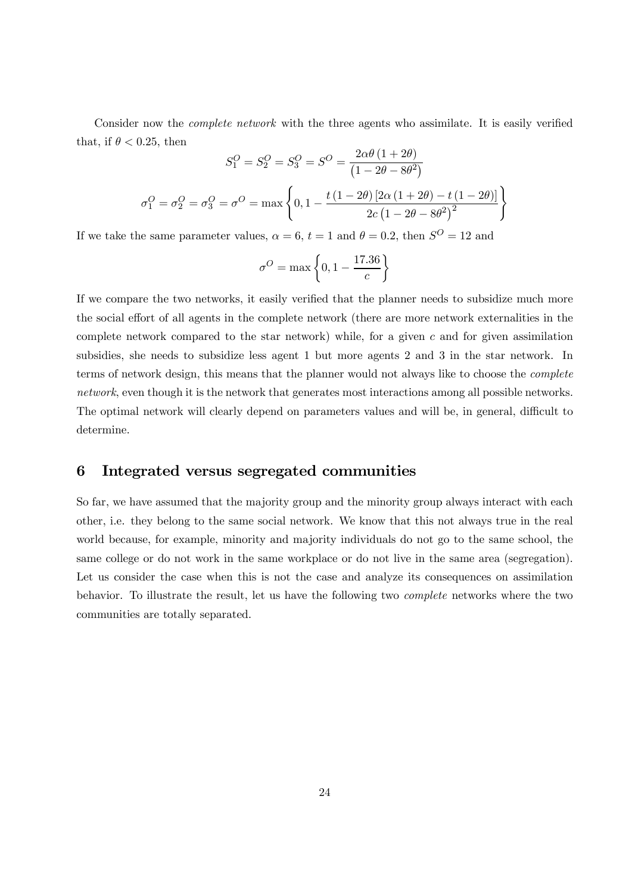Consider now the *complete network* with the three agents who assimilate. It is easily verified that, if  $\theta < 0.25$ , then

$$
S_1^O = S_2^O = S_3^O = \frac{2\alpha\theta (1+2\theta)}{(1-2\theta-8\theta^2)}
$$

$$
\sigma_1^O = \sigma_2^O = \sigma_3^O = \sigma^O = \max\left\{0, 1 - \frac{t(1-2\theta)[2\alpha(1+2\theta)-t(1-2\theta)]}{2c(1-2\theta-8\theta^2)^2}\right\}
$$

If we take the same parameter values,  $\alpha = 6$ ,  $t = 1$  and  $\theta = 0.2$ , then  $S^{O} = 12$  and

$$
\sigma^O = \max\left\{0, 1 - \frac{17.36}{c}\right\}
$$

If we compare the two networks, it easily verified that the planner needs to subsidize much more the social effort of all agents in the complete network (there are more network externalities in the complete network compared to the star network) while, for a given  $c$  and for given assimilation subsidies, she needs to subsidize less agent 1 but more agents 2 and 3 in the star network. In terms of network design, this means that the planner would not always like to choose the complete network, even though it is the network that generates most interactions among all possible networks. The optimal network will clearly depend on parameters values and will be, in general, difficult to determine.

## 6 Integrated versus segregated communities

So far, we have assumed that the majority group and the minority group always interact with each other, i.e. they belong to the same social network. We know that this not always true in the real world because, for example, minority and majority individuals do not go to the same school, the same college or do not work in the same workplace or do not live in the same area (segregation). Let us consider the case when this is not the case and analyze its consequences on assimilation behavior. To illustrate the result, let us have the following two complete networks where the two communities are totally separated.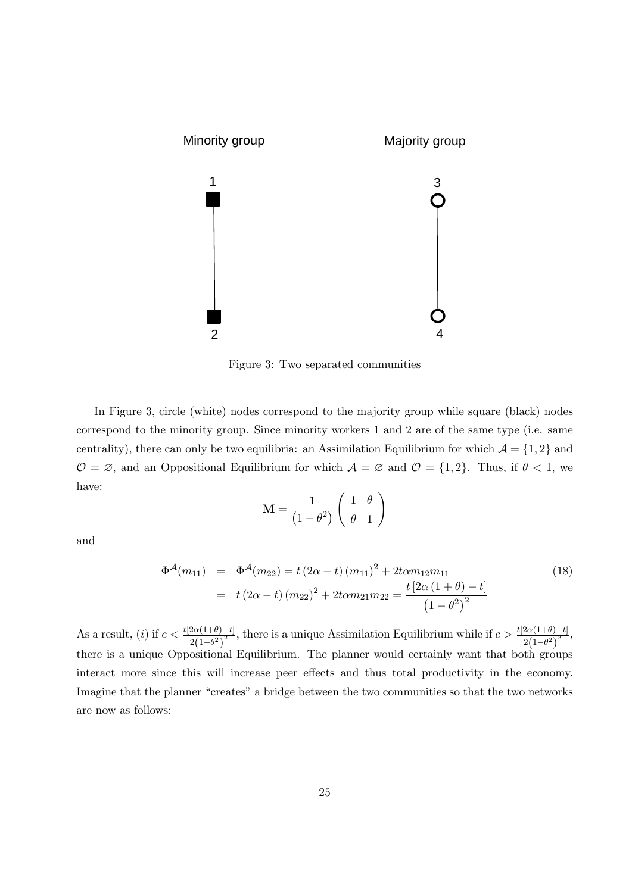

Figure 3: Two separated communities

In Figure 3, circle (white) nodes correspond to the majority group while square (black) nodes correspond to the minority group. Since minority workers 1 and 2 are of the same type (i.e. same centrality), there can only be two equilibria: an Assimilation Equilibrium for which  $\mathcal{A} = \{1, 2\}$  and  $\mathcal{O} = \emptyset$ , and an Oppositional Equilibrium for which  $\mathcal{A} = \emptyset$  and  $\mathcal{O} = \{1, 2\}$ . Thus, if  $\theta < 1$ , we have:

$$
\mathbf{M} = \frac{1}{\left(1 - \theta^2\right)} \left( \begin{array}{cc} 1 & \theta \\ \theta & 1 \end{array} \right)
$$

and

$$
\Phi^{\mathcal{A}}(m_{11}) = \Phi^{\mathcal{A}}(m_{22}) = t (2\alpha - t) (m_{11})^2 + 2t \alpha m_{12} m_{11}
$$
\n
$$
= t (2\alpha - t) (m_{22})^2 + 2t \alpha m_{21} m_{22} = \frac{t [2\alpha (1 + \theta) - t]}{(1 - \theta^2)^2}
$$
\n(18)

As a result, (i) if  $c < \frac{t[2\alpha(1+\theta)-t]}{2\alpha(1-\theta)^2}$  $2(1-\theta^2)$  $\frac{-t}{2}$ , there is a unique Assimilation Equilibrium while if  $c > \frac{t[2\alpha(1+\theta)-t]}{2}$  $\frac{2\alpha(1+\theta)-t_1}{2(1-\theta^2)^2},$ there is a unique Oppositional Equilibrium. The planner would certainly want that both groups interact more since this will increase peer effects and thus total productivity in the economy. Imagine that the planner "creates" a bridge between the two communities so that the two networks are now as follows: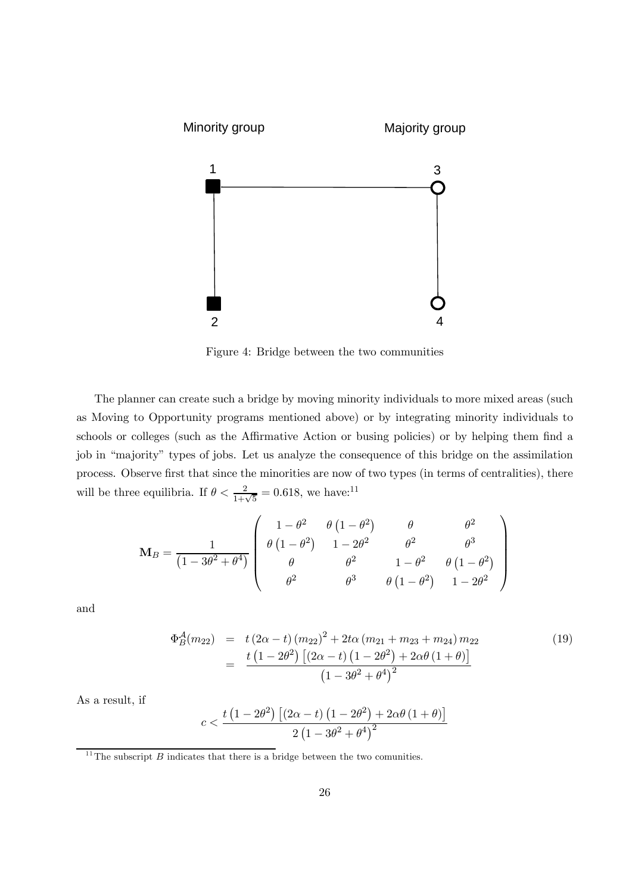

Figure 4: Bridge between the two communities

The planner can create such a bridge by moving minority individuals to more mixed areas (such as Moving to Opportunity programs mentioned above) or by integrating minority individuals to schools or colleges (such as the Affirmative Action or busing policies) or by helping them find a job in "majority" types of jobs. Let us analyze the consequence of this bridge on the assimilation process. Observe first that since the minorities are now of two types (in terms of centralities), there will be three equilibria. If  $\theta < \frac{2}{1+\sqrt{5}} = 0.618$ , we have:<sup>11</sup>

$$
\mathbf{M}_{B} = \frac{1}{(1 - 3\theta^{2} + \theta^{4})} \begin{pmatrix} 1 - \theta^{2} & \theta (1 - \theta^{2}) & \theta & \theta^{2} \\ \theta (1 - \theta^{2}) & 1 - 2\theta^{2} & \theta^{2} & \theta^{3} \\ \theta & \theta^{2} & 1 - \theta^{2} & \theta (1 - \theta^{2}) \\ \theta^{2} & \theta^{3} & \theta (1 - \theta^{2}) & 1 - 2\theta^{2} \end{pmatrix}
$$

and

$$
\Phi_{B}^{A}(m_{22}) = t (2\alpha - t) (m_{22})^{2} + 2t\alpha (m_{21} + m_{23} + m_{24}) m_{22}
$$
\n
$$
= \frac{t (1 - 2\theta^{2}) [(2\alpha - t) (1 - 2\theta^{2}) + 2\alpha\theta (1 + \theta)]}{(1 - 3\theta^{2} + \theta^{4})^{2}}
$$
\n(19)

As a result, if

$$
c < \frac{t\left(1 - 2\theta^2\right)\left[\left(2\alpha - t\right)\left(1 - 2\theta^2\right) + 2\alpha\theta\left(1 + \theta\right)\right]}{2\left(1 - 3\theta^2 + \theta^4\right)^2}
$$

 $11$ <sup>11</sup>The subscript *B* indicates that there is a bridge between the two comunities.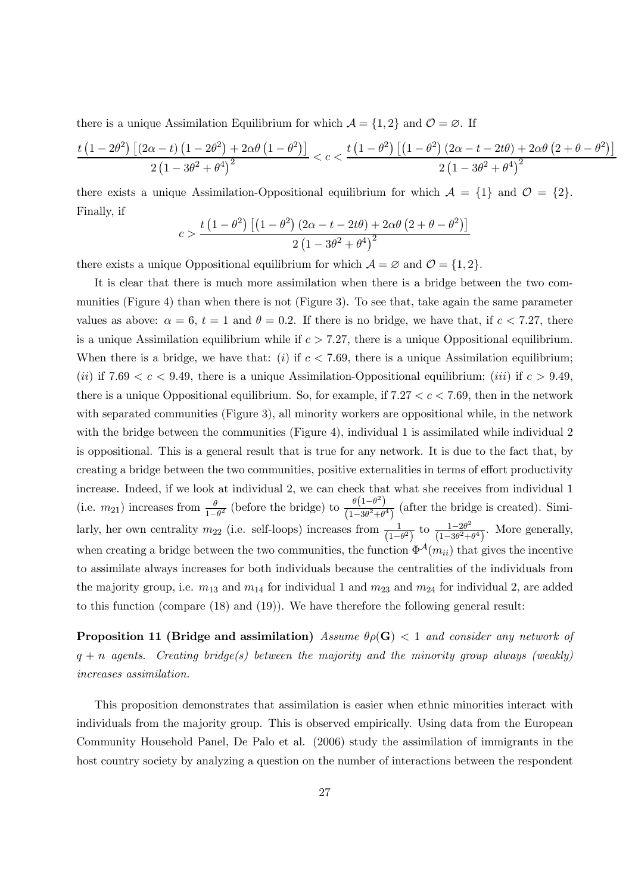there is a unique Assimilation Equilibrium for which  $\mathcal{A} = \{1, 2\}$  and  $\mathcal{O} = \emptyset$ . If

$$
\frac{t\left(1-2\theta^2\right)\left[\left(2\alpha-t\right)\left(1-2\theta^2\right)+2\alpha\theta\left(1-\theta^2\right)\right]}{2\left(1-3\theta^2+\theta^4\right)^2}
$$

there exists a unique Assimilation-Oppositional equilibrium for which  $A = \{1\}$  and  $\mathcal{O} = \{2\}$ . Finally, if

$$
c > \frac{t\left(1-\theta^2\right)\left[\left(1-\theta^2\right)\left(2\alpha - t - 2t\theta\right) + 2\alpha\theta\left(2+\theta-\theta^2\right)\right]}{2\left(1-3\theta^2 + \theta^4\right)^2}
$$

there exists a unique Oppositional equilibrium for which  $A = \emptyset$  and  $\mathcal{O} = \{1, 2\}.$ 

It is clear that there is much more assimilation when there is a bridge between the two communities (Figure 4) than when there is not (Figure 3). To see that, take again the same parameter values as above:  $\alpha = 6$ ,  $t = 1$  and  $\theta = 0.2$ . If there is no bridge, we have that, if  $c < 7.27$ , there is a unique Assimilation equilibrium while if  $c > 7.27$ , there is a unique Oppositional equilibrium. When there is a bridge, we have that: (i) if  $c < 7.69$ , there is a unique Assimilation equilibrium; (ii) if 7.69  $\lt c \lt 9.49$ , there is a unique Assimilation-Oppositional equilibrium; (iii) if  $c > 9.49$ , there is a unique Oppositional equilibrium. So, for example, if  $7.27 < c < 7.69$ , then in the network with separated communities (Figure 3), all minority workers are oppositional while, in the network with the bridge between the communities (Figure 4), individual 1 is assimilated while individual 2 is oppositional. This is a general result that is true for any network. It is due to the fact that, by creating a bridge between the two communities, positive externalities in terms of effort productivity increase. Indeed, if we look at individual 2, we can check that what she receives from individual 1 (i.e.  $m_{21}$ ) increases from  $\frac{\theta}{1-\theta^2}$  (before the bridge) to  $\frac{\theta(1-\theta^2)}{(1-3\theta^2+\theta^4)}$  (after the bridge is created). Similarly, her own centrality  $m_{22}$  (i.e. self-loops) increases from  $\frac{1}{(1-\theta^2)}$  to  $\frac{1-2\theta^2}{(1-3\theta^2+\theta^4)}$ . More generally, when creating a bridge between the two communities, the function  $\Phi^{\mathcal{A}}(m_{ii})$  that gives the incentive to assimilate always increases for both individuals because the centralities of the individuals from the majority group, i.e.  $m_{13}$  and  $m_{14}$  for individual 1 and  $m_{23}$  and  $m_{24}$  for individual 2, are added to this function (compare (18) and (19)). We have therefore the following general result:

**Proposition 11 (Bridge and assimilation)** Assume  $\theta \rho(\mathbf{G}) < 1$  and consider any network of  $q + n$  agents. Creating bridge(s) between the majority and the minority group always (weakly) increases assimilation.

This proposition demonstrates that assimilation is easier when ethnic minorities interact with individuals from the majority group. This is observed empirically. Using data from the European Community Household Panel, De Palo et al. (2006) study the assimilation of immigrants in the host country society by analyzing a question on the number of interactions between the respondent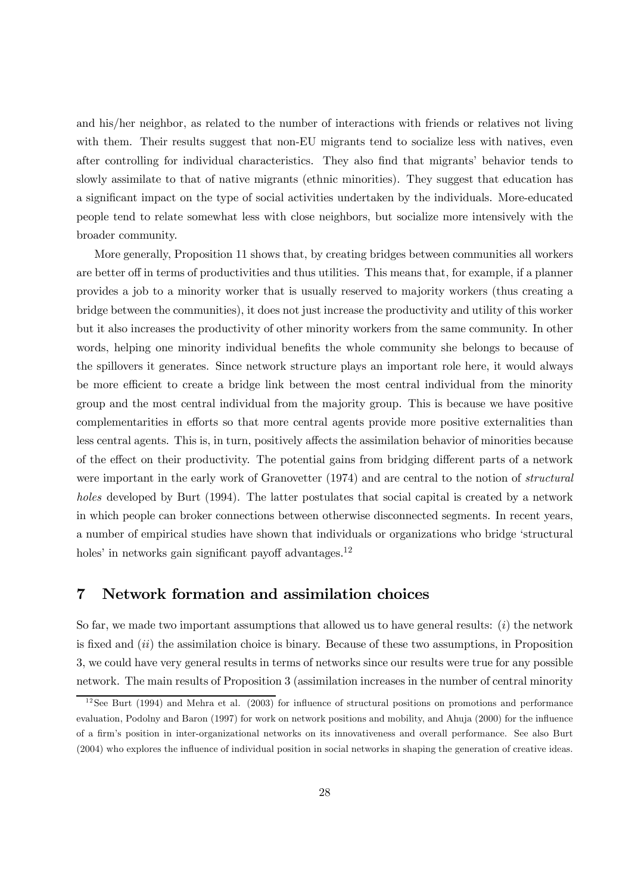and his/her neighbor, as related to the number of interactions with friends or relatives not living with them. Their results suggest that non-EU migrants tend to socialize less with natives, even after controlling for individual characteristics. They also find that migrants' behavior tends to slowly assimilate to that of native migrants (ethnic minorities). They suggest that education has a significant impact on the type of social activities undertaken by the individuals. More-educated people tend to relate somewhat less with close neighbors, but socialize more intensively with the broader community.

More generally, Proposition 11 shows that, by creating bridges between communities all workers are better off in terms of productivities and thus utilities. This means that, for example, if a planner provides a job to a minority worker that is usually reserved to majority workers (thus creating a bridge between the communities), it does not just increase the productivity and utility of this worker but it also increases the productivity of other minority workers from the same community. In other words, helping one minority individual benefits the whole community she belongs to because of the spillovers it generates. Since network structure plays an important role here, it would always be more efficient to create a bridge link between the most central individual from the minority group and the most central individual from the majority group. This is because we have positive complementarities in efforts so that more central agents provide more positive externalities than less central agents. This is, in turn, positively affects the assimilation behavior of minorities because of the effect on their productivity. The potential gains from bridging different parts of a network were important in the early work of Granovetter (1974) and are central to the notion of *structural* holes developed by Burt (1994). The latter postulates that social capital is created by a network in which people can broker connections between otherwise disconnected segments. In recent years, a number of empirical studies have shown that individuals or organizations who bridge 'structural holes' in networks gain significant payoff advantages.<sup>12</sup>

## 7 Network formation and assimilation choices

So far, we made two important assumptions that allowed us to have general results:  $(i)$  the network is fixed and  $(ii)$  the assimilation choice is binary. Because of these two assumptions, in Proposition 3, we could have very general results in terms of networks since our results were true for any possible network. The main results of Proposition 3 (assimilation increases in the number of central minority

 $12$  See Burt (1994) and Mehra et al. (2003) for influence of structural positions on promotions and performance evaluation, Podolny and Baron (1997) for work on network positions and mobility, and Ahuja (2000) for the influence of a firm's position in inter-organizational networks on its innovativeness and overall performance. See also Burt (2004) who explores the influence of individual position in social networks in shaping the generation of creative ideas.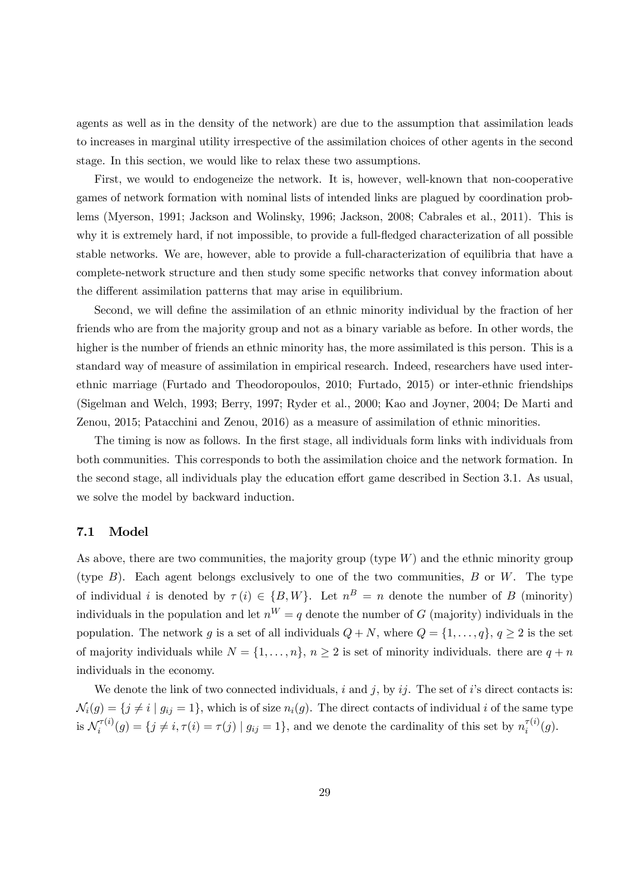agents as well as in the density of the network) are due to the assumption that assimilation leads to increases in marginal utility irrespective of the assimilation choices of other agents in the second stage. In this section, we would like to relax these two assumptions.

First, we would to endogeneize the network. It is, however, well-known that non-cooperative games of network formation with nominal lists of intended links are plagued by coordination problems (Myerson, 1991; Jackson and Wolinsky, 1996; Jackson, 2008; Cabrales et al., 2011). This is why it is extremely hard, if not impossible, to provide a full-fledged characterization of all possible stable networks. We are, however, able to provide a full-characterization of equilibria that have a complete-network structure and then study some specific networks that convey information about the different assimilation patterns that may arise in equilibrium.

Second, we will define the assimilation of an ethnic minority individual by the fraction of her friends who are from the majority group and not as a binary variable as before. In other words, the higher is the number of friends an ethnic minority has, the more assimilated is this person. This is a standard way of measure of assimilation in empirical research. Indeed, researchers have used interethnic marriage (Furtado and Theodoropoulos, 2010; Furtado, 2015) or inter-ethnic friendships (Sigelman and Welch, 1993; Berry, 1997; Ryder et al., 2000; Kao and Joyner, 2004; De Marti and Zenou, 2015; Patacchini and Zenou, 2016) as a measure of assimilation of ethnic minorities.

The timing is now as follows. In the first stage, all individuals form links with individuals from both communities. This corresponds to both the assimilation choice and the network formation. In the second stage, all individuals play the education effort game described in Section 3.1. As usual, we solve the model by backward induction.

#### 7.1 Model

As above, there are two communities, the majority group (type  $W$ ) and the ethnic minority group (type  $B$ ). Each agent belongs exclusively to one of the two communities,  $B$  or  $W$ . The type of individual *i* is denoted by  $\tau(i) \in \{B, W\}$ . Let  $n^B = n$  denote the number of B (minority) individuals in the population and let  $n^W = q$  denote the number of G (majority) individuals in the population. The network g is a set of all individuals  $Q + N$ , where  $Q = \{1, \ldots, q\}$ ,  $q \ge 2$  is the set of majority individuals while  $N = \{1, \ldots, n\}$ ,  $n \geq 2$  is set of minority individuals. there are  $q + n$ individuals in the economy.

We denote the link of two connected individuals, i and j, by ij. The set of i's direct contacts is:  $\mathcal{N}_i(g) = \{ j \neq i \mid g_{ij} = 1 \},\$  which is of size  $n_i(g)$ . The direct contacts of individual i of the same type is  $\mathcal{N}_i^{\tau(i)}(g) = \{j \neq i, \tau(i) = \tau(j) \mid g_{ij} = 1\}$ , and we denote the cardinality of this set by  $n_i^{\tau(i)}(g)$ .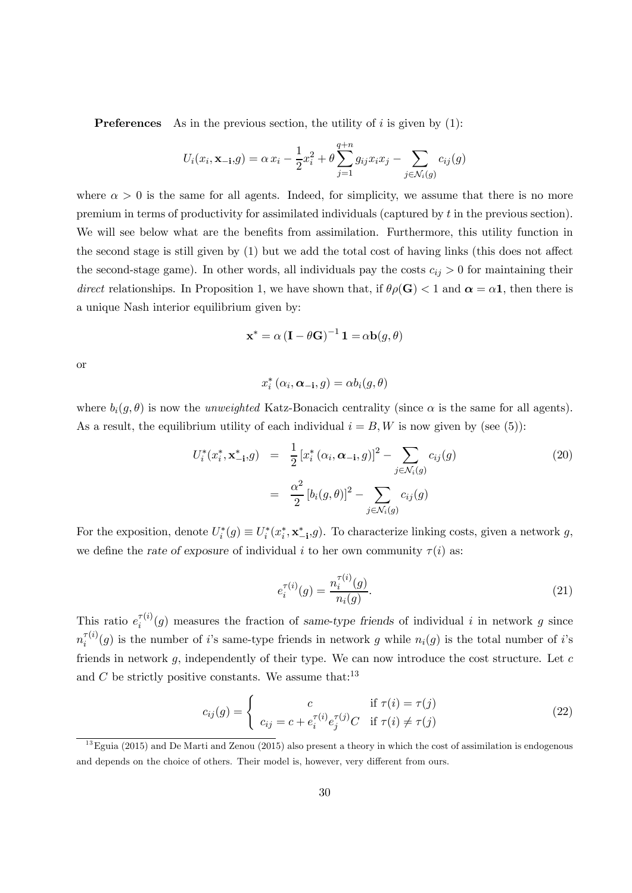**Preferences** As in the previous section, the utility of  $i$  is given by  $(1)$ :

$$
U_i(x_i, \mathbf{x}_{-i}, g) = \alpha x_i - \frac{1}{2} x_i^2 + \theta \sum_{j=1}^{q+n} g_{ij} x_i x_j - \sum_{j \in \mathcal{N}_i(g)} c_{ij}(g)
$$

where  $\alpha > 0$  is the same for all agents. Indeed, for simplicity, we assume that there is no more premium in terms of productivity for assimilated individuals (captured by  $t$  in the previous section). We will see below what are the benefits from assimilation. Furthermore, this utility function in the second stage is still given by (1) but we add the total cost of having links (this does not affect the second-stage game). In other words, all individuals pay the costs  $c_{ij} > 0$  for maintaining their direct relationships. In Proposition 1, we have shown that, if  $\theta \rho(\mathbf{G}) < 1$  and  $\alpha = \alpha \mathbf{1}$ , then there is a unique Nash interior equilibrium given by:

$$
\mathbf{x}^* = \alpha \left( \mathbf{I} - \theta \mathbf{G} \right)^{-1} \mathbf{1} = \alpha \mathbf{b}(g, \theta)
$$

or

$$
x_i^* (\alpha_i, \boldsymbol{\alpha_{-i}}, g) = \alpha b_i(g, \theta)
$$

where  $b_i(g, \theta)$  is now the unweighted Katz-Bonacich centrality (since  $\alpha$  is the same for all agents). As a result, the equilibrium utility of each individual  $i = B, W$  is now given by (see (5)):

$$
U_i^*(x_i^*, \mathbf{x}_{-i}^*, g) = \frac{1}{2} [x_i^* (\alpha_i, \alpha_{-i}, g)]^2 - \sum_{j \in \mathcal{N}_i(g)} c_{ij}(g)
$$
  

$$
= \frac{\alpha^2}{2} [b_i(g, \theta)]^2 - \sum_{j \in \mathcal{N}_i(g)} c_{ij}(g)
$$
 (20)

For the exposition, denote  $U_i^*(g) \equiv U_i^*(x_i^*, \mathbf{x}_{-i}^*, g)$ . To characterize linking costs, given a network g, we define the rate of exposure of individual *i* to her own community  $\tau(i)$  as:

$$
e_i^{\tau(i)}(g) = \frac{n_i^{\tau(i)}(g)}{n_i(g)}.
$$
\n(21)

This ratio  $e_i^{\tau(i)}(g)$  measures the fraction of same-type friends of individual i in network g since  $n_i^{\tau(i)}(g)$  is the number of i's same-type friends in network g while  $n_i(g)$  is the total number of i's friends in network  $g$ , independently of their type. We can now introduce the cost structure. Let  $c$ and  $C$  be strictly positive constants. We assume that:<sup>13</sup>

$$
c_{ij}(g) = \begin{cases} c & \text{if } \tau(i) = \tau(j) \\ c_{ij} = c + e_i^{\tau(i)} e_j^{\tau(j)} C & \text{if } \tau(i) \neq \tau(j) \end{cases}
$$
(22)

 $^{13}$ Eguia (2015) and De Marti and Zenou (2015) also present a theory in which the cost of assimilation is endogenous and depends on the choice of others. Their model is, however, very different from ours.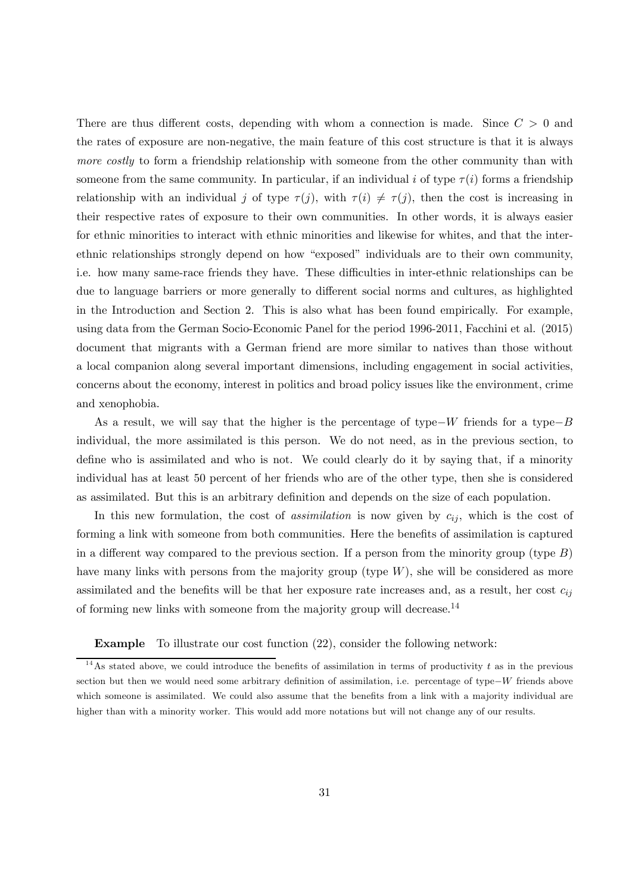There are thus different costs, depending with whom a connection is made. Since  $C > 0$  and the rates of exposure are non-negative, the main feature of this cost structure is that it is always more costly to form a friendship relationship with someone from the other community than with someone from the same community. In particular, if an individual i of type  $\tau(i)$  forms a friendship relationship with an individual j of type  $\tau(j)$ , with  $\tau(i) \neq \tau(j)$ , then the cost is increasing in their respective rates of exposure to their own communities. In other words, it is always easier for ethnic minorities to interact with ethnic minorities and likewise for whites, and that the interethnic relationships strongly depend on how "exposed" individuals are to their own community, i.e. how many same-race friends they have. These difficulties in inter-ethnic relationships can be due to language barriers or more generally to different social norms and cultures, as highlighted in the Introduction and Section 2. This is also what has been found empirically. For example, using data from the German Socio-Economic Panel for the period 1996-2011, Facchini et al. (2015) document that migrants with a German friend are more similar to natives than those without a local companion along several important dimensions, including engagement in social activities, concerns about the economy, interest in politics and broad policy issues like the environment, crime and xenophobia.

As a result, we will say that the higher is the percentage of type– $W$  friends for a type– $B$ individual, the more assimilated is this person. We do not need, as in the previous section, to define who is assimilated and who is not. We could clearly do it by saying that, if a minority individual has at least 50 percent of her friends who are of the other type, then she is considered as assimilated. But this is an arbitrary definition and depends on the size of each population.

In this new formulation, the cost of *assimilation* is now given by  $c_{ij}$ , which is the cost of forming a link with someone from both communities. Here the benefits of assimilation is captured in a different way compared to the previous section. If a person from the minority group (type  $B$ ) have many links with persons from the majority group (type  $W$ ), she will be considered as more assimilated and the benefits will be that her exposure rate increases and, as a result, her cost  $c_{ij}$ of forming new links with someone from the majority group will decrease.<sup>14</sup>

#### Example To illustrate our cost function (22), consider the following network:

<sup>&</sup>lt;sup>14</sup>As stated above, we could introduce the benefits of assimilation in terms of productivity  $t$  as in the previous section but then we would need some arbitrary definition of assimilation, i.e. percentage of type– W friends above which someone is assimilated. We could also assume that the benefits from a link with a majority individual are higher than with a minority worker. This would add more notations but will not change any of our results.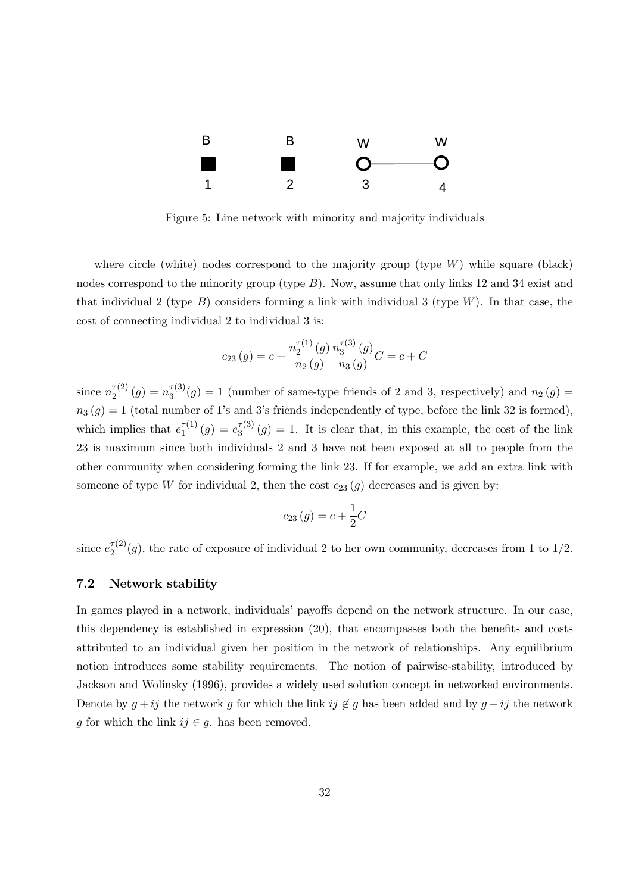

Figure 5: Line network with minority and majority individuals

where circle (white) nodes correspond to the majority group (type  $W$ ) while square (black) nodes correspond to the minority group (type  $B$ ). Now, assume that only links 12 and 34 exist and that individual 2 (type  $B$ ) considers forming a link with individual 3 (type  $W$ ). In that case, the cost of connecting individual 2 to individual 3 is:

$$
c_{23}(g) = c + \frac{n_2^{\tau(1)}(g)}{n_2(g)} \frac{n_3^{\tau(3)}(g)}{n_3(g)}C = c + C
$$

since  $n_2^{\tau(2)}(g) = n_3^{\tau(3)}(g) = 1$  (number of same-type friends of 2 and 3, respectively) and  $n_2(g)$  $n_3(g)=1$  (total number of 1's and 3's friends independently of type, before the link 32 is formed), which implies that  $e_1^{\tau(1)}(g) = e_3^{\tau(3)}(g) = 1$ . It is clear that, in this example, the cost of the link 23 is maximum since both individuals 2 and 3 have not been exposed at all to people from the other community when considering forming the link 23. If for example, we add an extra link with someone of type W for individual 2, then the cost  $c_{23}(g)$  decreases and is given by:

$$
c_{23}(g) = c + \frac{1}{2}C
$$

since  $e_2^{\tau(2)}(g)$ , the rate of exposure of individual 2 to her own community, decreases from 1 to 1/2.

#### 7.2 Network stability

In games played in a network, individuals' payoffs depend on the network structure. In our case, this dependency is established in expression (20), that encompasses both the benefits and costs attributed to an individual given her position in the network of relationships. Any equilibrium notion introduces some stability requirements. The notion of pairwise-stability, introduced by Jackson and Wolinsky (1996), provides a widely used solution concept in networked environments. Denote by  $g + ij$  the network g for which the link  $ij \notin g$  has been added and by  $g - ij$  the network g for which the link  $ij \in g$ . has been removed.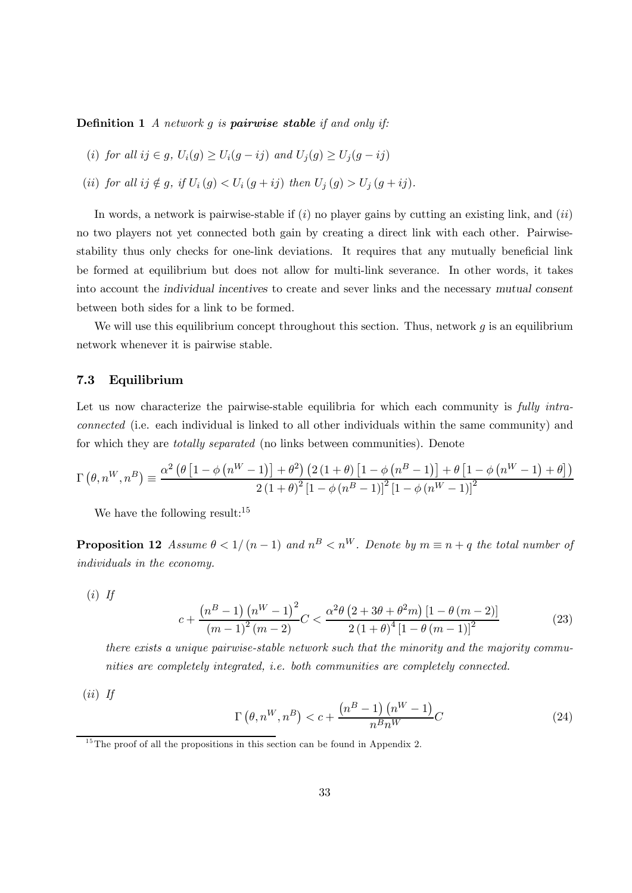**Definition 1** A network  $q$  is **pairwise stable** if and only if:

- (i) for all  $ij \in q$ ,  $U_i(q) > U_i(q ij)$  and  $U_i(q) > U_i(q ij)$
- (ii) for all  $ij \notin g$ , if  $U_i(g) < U_i(g + ij)$  then  $U_i(g) > U_i(g + ij)$ .

In words, a network is pairwise-stable if  $(i)$  no player gains by cutting an existing link, and  $(ii)$ no two players not yet connected both gain by creating a direct link with each other. Pairwisestability thus only checks for one-link deviations. It requires that any mutually beneficial link be formed at equilibrium but does not allow for multi-link severance. In other words, it takes into account the individual incentives to create and sever links and the necessary mutual consent between both sides for a link to be formed.

We will use this equilibrium concept throughout this section. Thus, network  $g$  is an equilibrium network whenever it is pairwise stable.

#### 7.3 Equilibrium

Let us now characterize the pairwise-stable equilibria for which each community is fully intraconnected (i.e. each individual is linked to all other individuals within the same community) and for which they are totally separated (no links between communities). Denote

$$
\Gamma\left(\theta,n^W,n^B\right) \equiv \frac{\alpha^2\left(\theta\left[1-\phi\left(n^W-1\right)\right]+\theta^2\right)\left(2\left(1+\theta\right)\left[1-\phi\left(n^B-1\right)\right]+\theta\left[1-\phi\left(n^W-1\right)+\theta\right]\right)}{2\left(1+\theta\right)^2\left[1-\phi\left(n^B-1\right)\right]^2\left[1-\phi\left(n^W-1\right)\right]^2}
$$

We have the following result:<sup>15</sup>

**Proposition 12** Assume  $\theta < 1/(n-1)$  and  $n^B < n^W$ . Denote by  $m \equiv n + q$  the total number of individuals in the economy.

 $(i)$  If

$$
c + \frac{\left(n^{B} - 1\right)\left(n^{W} - 1\right)^{2}}{\left(m - 1\right)^{2}\left(m - 2\right)}C < \frac{\alpha^{2}\theta\left(2 + 3\theta + \theta^{2}m\right)\left[1 - \theta\left(m - 2\right)\right]}{2\left(1 + \theta\right)^{4}\left[1 - \theta\left(m - 1\right)\right]^{2}}
$$
(23)

there exists a unique pairwise-stable network such that the minority and the majority communities are completely integrated, i.e. both communities are completely connected.

 $(ii)$  If

$$
\Gamma\left(\theta, n^W, n^B\right) < c + \frac{\left(n^B - 1\right)\left(n^W - 1\right)}{n^B n^W} C\tag{24}
$$

 $15$ <sup>15</sup>The proof of all the propositions in this section can be found in Appendix 2.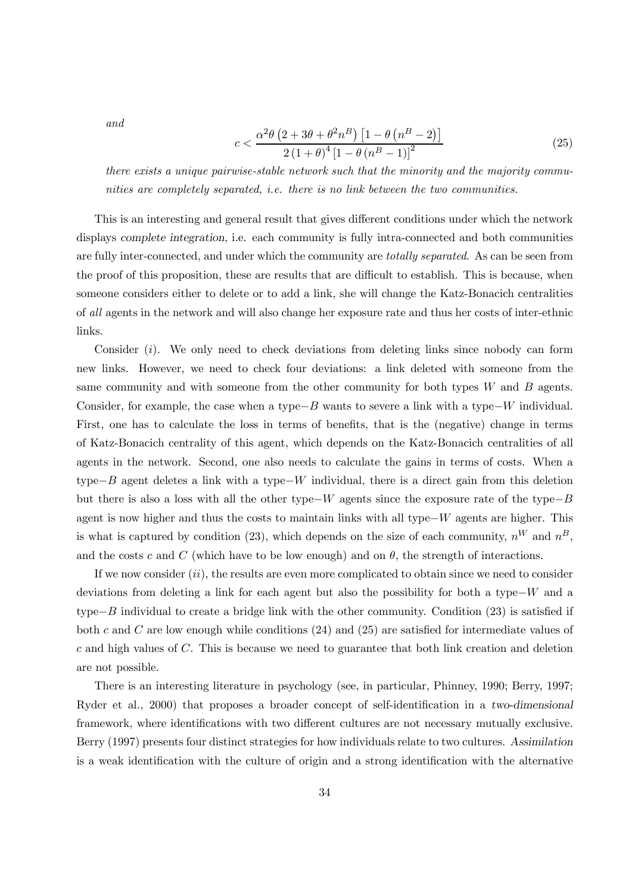and

$$
c < \frac{\alpha^2 \theta \left(2 + 3\theta + \theta^2 n^B\right) \left[1 - \theta \left(n^B - 2\right)\right]}{2 \left(1 + \theta\right)^4 \left[1 - \theta \left(n^B - 1\right)\right]^2}
$$
(25)

there exists a unique pairwise-stable network such that the minority and the majority communities are completely separated, i.e. there is no link between the two communities.

This is an interesting and general result that gives different conditions under which the network displays complete integration, i.e. each community is fully intra-connected and both communities are fully inter-connected, and under which the community are *totally separated*. As can be seen from the proof of this proposition, these are results that are difficult to establish. This is because, when someone considers either to delete or to add a link, she will change the Katz-Bonacich centralities of all agents in the network and will also change her exposure rate and thus her costs of inter-ethnic links.

Consider  $(i)$ . We only need to check deviations from deleting links since nobody can form new links. However, we need to check four deviations: a link deleted with someone from the same community and with someone from the other community for both types  $W$  and  $B$  agents. Consider, for example, the case when a type $-B$  wants to severe a link with a type $-W$  individual. First, one has to calculate the loss in terms of benefits, that is the (negative) change in terms of Katz-Bonacich centrality of this agent, which depends on the Katz-Bonacich centralities of all agents in the network. Second, one also needs to calculate the gains in terms of costs. When a type− $B$  agent deletes a link with a type− $W$  individual, there is a direct gain from this deletion but there is also a loss with all the other type– $W$  agents since the exposure rate of the type– $B$ agent is now higher and thus the costs to maintain links with all type $-W$  agents are higher. This is what is captured by condition (23), which depends on the size of each community,  $n^W$  and  $n^B$ . and the costs c and C (which have to be low enough) and on  $\theta$ , the strength of interactions.

If we now consider  $(ii)$ , the results are even more complicated to obtain since we need to consider deviations from deleting a link for each agent but also the possibility for both a type– $W$  and a type $-B$  individual to create a bridge link with the other community. Condition (23) is satisfied if both c and C are low enough while conditions  $(24)$  and  $(25)$  are satisfied for intermediate values of  $c$  and high values of  $C$ . This is because we need to guarantee that both link creation and deletion are not possible.

There is an interesting literature in psychology (see, in particular, Phinney, 1990; Berry, 1997; Ryder et al., 2000) that proposes a broader concept of self-identification in a two-dimensional framework, where identifications with two different cultures are not necessary mutually exclusive. Berry (1997) presents four distinct strategies for how individuals relate to two cultures. Assimilation is a weak identification with the culture of origin and a strong identification with the alternative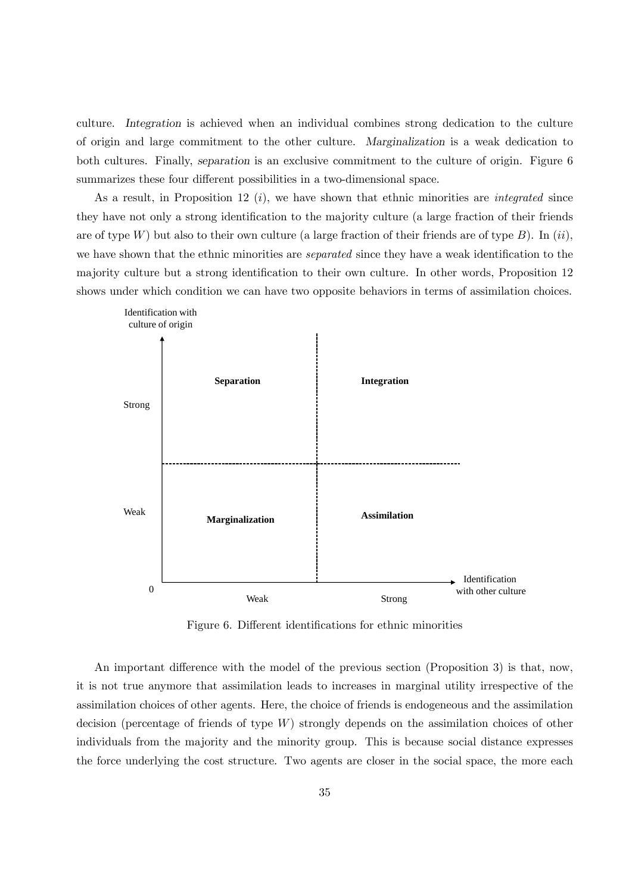culture. Integration is achieved when an individual combines strong dedication to the culture of origin and large commitment to the other culture. Marginalization is a weak dedication to both cultures. Finally, separation is an exclusive commitment to the culture of origin. Figure 6 summarizes these four different possibilities in a two-dimensional space.

As a result, in Proposition 12  $(i)$ , we have shown that ethnic minorities are *integrated* since they have not only a strong identification to the majority culture (a large fraction of their friends are of type W) but also to their own culture (a large fraction of their friends are of type B). In  $(ii)$ , we have shown that the ethnic minorities are *separated* since they have a weak identification to the majority culture but a strong identification to their own culture. In other words, Proposition 12 shows under which condition we can have two opposite behaviors in terms of assimilation choices.



Figure 6. Different identifications for ethnic minorities

An important difference with the model of the previous section (Proposition 3) is that, now, it is not true anymore that assimilation leads to increases in marginal utility irrespective of the assimilation choices of other agents. Here, the choice of friends is endogeneous and the assimilation decision (percentage of friends of type  $W$ ) strongly depends on the assimilation choices of other individuals from the majority and the minority group. This is because social distance expresses the force underlying the cost structure. Two agents are closer in the social space, the more each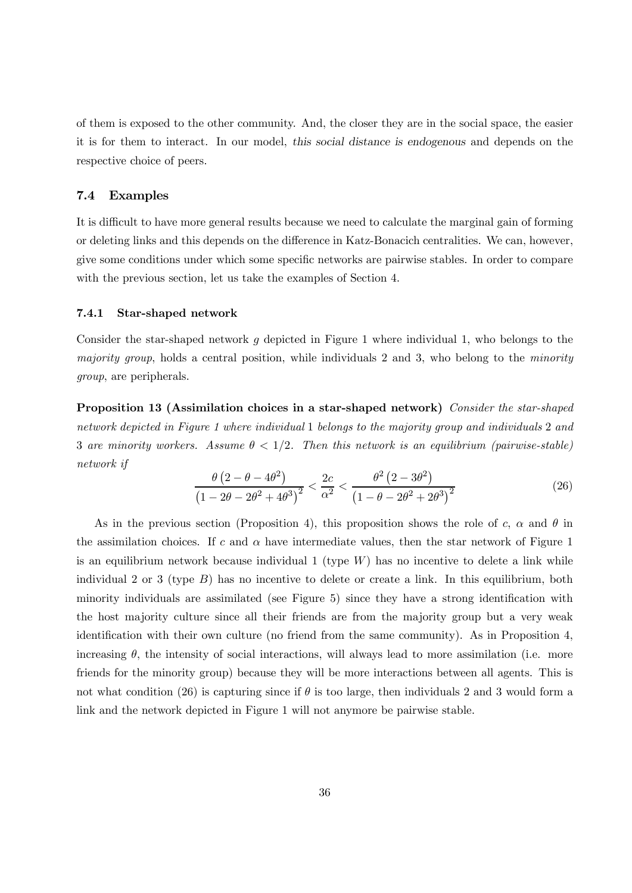of them is exposed to the other community. And, the closer they are in the social space, the easier it is for them to interact. In our model, this social distance is endogenous and depends on the respective choice of peers.

#### 7.4 Examples

It is difficult to have more general results because we need to calculate the marginal gain of forming or deleting links and this depends on the difference in Katz-Bonacich centralities. We can, however, give some conditions under which some specific networks are pairwise stables. In order to compare with the previous section, let us take the examples of Section 4.

#### 7.4.1 Star-shaped network

Consider the star-shaped network  $q$  depicted in Figure 1 where individual 1, who belongs to the majority group, holds a central position, while individuals 2 and 3, who belong to the minority group, are peripherals.

Proposition 13 (Assimilation choices in a star-shaped network) Consider the star-shaped network depicted in Figure 1 where individual 1 belongs to the majority group and individuals 2 and 3 are minority workers. Assume  $\theta < 1/2$ . Then this network is an equilibrium (pairwise-stable) network if

$$
\frac{\theta (2 - \theta - 4\theta^2)}{(1 - 2\theta - 2\theta^2 + 4\theta^3)^2} < \frac{2c}{\alpha^2} < \frac{\theta^2 (2 - 3\theta^2)}{(1 - \theta - 2\theta^2 + 2\theta^3)^2}
$$
(26)

As in the previous section (Proposition 4), this proposition shows the role of c,  $\alpha$  and  $\theta$  in the assimilation choices. If  $c$  and  $\alpha$  have intermediate values, then the star network of Figure 1 is an equilibrium network because individual  $1$  (type  $W$ ) has no incentive to delete a link while individual 2 or 3 (type  $B$ ) has no incentive to delete or create a link. In this equilibrium, both minority individuals are assimilated (see Figure 5) since they have a strong identification with the host majority culture since all their friends are from the majority group but a very weak identification with their own culture (no friend from the same community). As in Proposition 4, increasing  $\theta$ , the intensity of social interactions, will always lead to more assimilation (i.e. more friends for the minority group) because they will be more interactions between all agents. This is not what condition (26) is capturing since if  $\theta$  is too large, then individuals 2 and 3 would form a link and the network depicted in Figure 1 will not anymore be pairwise stable.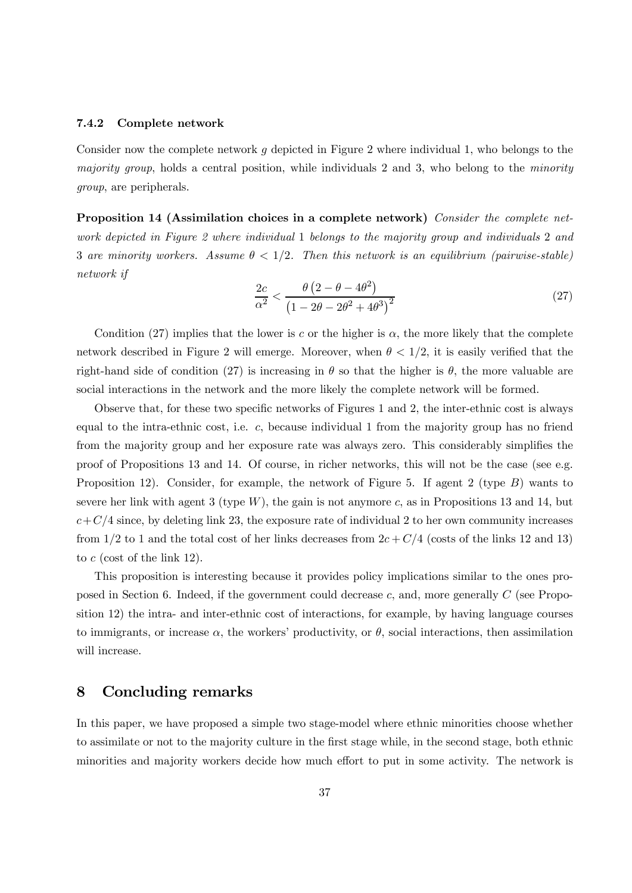#### 7.4.2 Complete network

Consider now the complete network  $g$  depicted in Figure 2 where individual 1, who belongs to the majority group, holds a central position, while individuals 2 and 3, who belong to the minority group, are peripherals.

Proposition 14 (Assimilation choices in a complete network) Consider the complete network depicted in Figure 2 where individual 1 belongs to the majority group and individuals 2 and 3 are minority workers. Assume  $\theta < 1/2$ . Then this network is an equilibrium (pairwise-stable) network if

$$
\frac{2c}{\alpha^2} < \frac{\theta \left(2 - \theta - 4\theta^2\right)}{\left(1 - 2\theta - 2\theta^2 + 4\theta^3\right)^2} \tag{27}
$$

Condition (27) implies that the lower is c or the higher is  $\alpha$ , the more likely that the complete network described in Figure 2 will emerge. Moreover, when  $\theta < 1/2$ , it is easily verified that the right-hand side of condition (27) is increasing in  $\theta$  so that the higher is  $\theta$ , the more valuable are social interactions in the network and the more likely the complete network will be formed.

Observe that, for these two specific networks of Figures 1 and 2, the inter-ethnic cost is always equal to the intra-ethnic cost, i.e.  $c$ , because individual 1 from the majority group has no friend from the majority group and her exposure rate was always zero. This considerably simplifies the proof of Propositions 13 and 14. Of course, in richer networks, this will not be the case (see e.g. Proposition 12). Consider, for example, the network of Figure 5. If agent 2 (type  $B$ ) wants to severe her link with agent 3 (type W), the gain is not anymore c, as in Propositions 13 and 14, but  $c+C/4$  since, by deleting link 23, the exposure rate of individual 2 to her own community increases from 1/2 to 1 and the total cost of her links decreases from  $2c + C/4$  (costs of the links 12 and 13) to  $c$  (cost of the link 12).

This proposition is interesting because it provides policy implications similar to the ones proposed in Section 6. Indeed, if the government could decrease  $c$ , and, more generally  $C$  (see Proposition 12) the intra- and inter-ethnic cost of interactions, for example, by having language courses to immigrants, or increase  $\alpha$ , the workers' productivity, or  $\theta$ , social interactions, then assimilation will increase.

## 8 Concluding remarks

In this paper, we have proposed a simple two stage-model where ethnic minorities choose whether to assimilate or not to the majority culture in the first stage while, in the second stage, both ethnic minorities and majority workers decide how much effort to put in some activity. The network is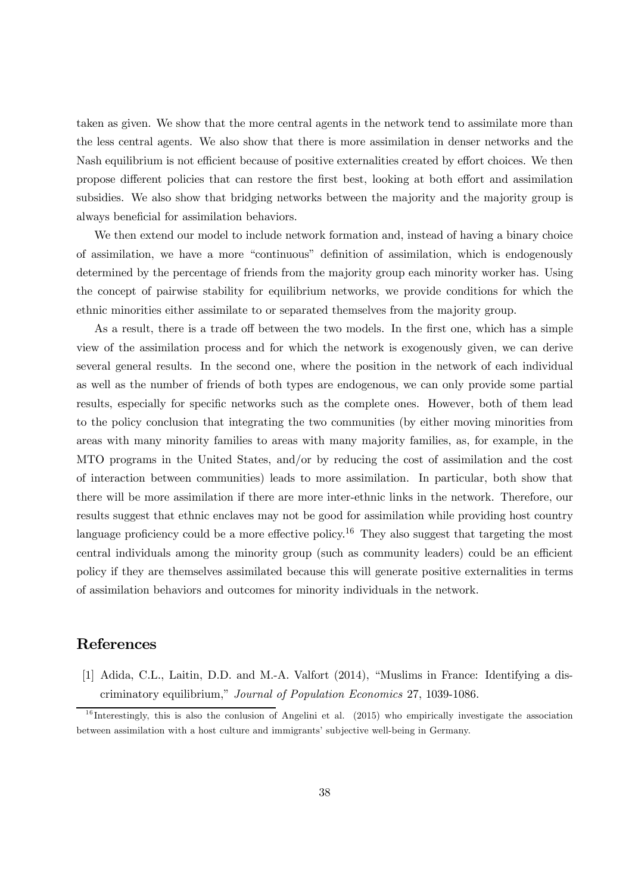taken as given. We show that the more central agents in the network tend to assimilate more than the less central agents. We also show that there is more assimilation in denser networks and the Nash equilibrium is not efficient because of positive externalities created by effort choices. We then propose different policies that can restore the first best, looking at both effort and assimilation subsidies. We also show that bridging networks between the majority and the majority group is always beneficial for assimilation behaviors.

We then extend our model to include network formation and, instead of having a binary choice of assimilation, we have a more "continuous" definition of assimilation, which is endogenously determined by the percentage of friends from the majority group each minority worker has. Using the concept of pairwise stability for equilibrium networks, we provide conditions for which the ethnic minorities either assimilate to or separated themselves from the majority group.

As a result, there is a trade off between the two models. In the first one, which has a simple view of the assimilation process and for which the network is exogenously given, we can derive several general results. In the second one, where the position in the network of each individual as well as the number of friends of both types are endogenous, we can only provide some partial results, especially for specific networks such as the complete ones. However, both of them lead to the policy conclusion that integrating the two communities (by either moving minorities from areas with many minority families to areas with many majority families, as, for example, in the MTO programs in the United States, and/or by reducing the cost of assimilation and the cost of interaction between communities) leads to more assimilation. In particular, both show that there will be more assimilation if there are more inter-ethnic links in the network. Therefore, our results suggest that ethnic enclaves may not be good for assimilation while providing host country language proficiency could be a more effective policy.<sup>16</sup> They also suggest that targeting the most central individuals among the minority group (such as community leaders) could be an efficient policy if they are themselves assimilated because this will generate positive externalities in terms of assimilation behaviors and outcomes for minority individuals in the network.

## References

[1] Adida, C.L., Laitin, D.D. and M.-A. Valfort (2014), "Muslims in France: Identifying a discriminatory equilibrium," Journal of Population Economics 27, 1039-1086.

 $16$  Interestingly, this is also the conlusion of Angelini et al. (2015) who empirically investigate the association between assimilation with a host culture and immigrants' subjective well-being in Germany.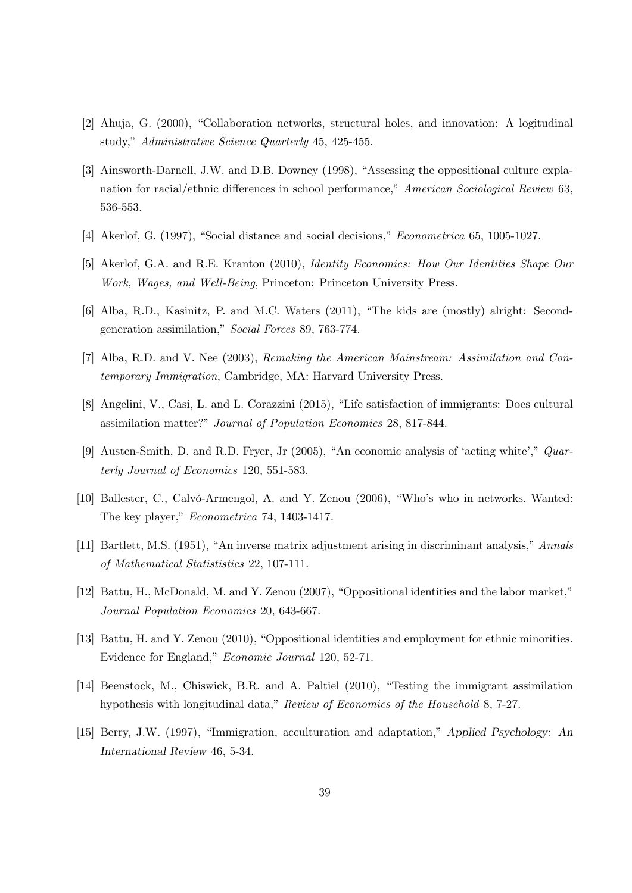- [2] Ahuja, G. (2000), "Collaboration networks, structural holes, and innovation: A logitudinal study," Administrative Science Quarterly 45, 425-455.
- [3] Ainsworth-Darnell, J.W. and D.B. Downey (1998), "Assessing the oppositional culture explanation for racial/ethnic differences in school performance," American Sociological Review 63, 536-553.
- [4] Akerlof, G. (1997), "Social distance and social decisions," Econometrica 65, 1005-1027.
- [5] Akerlof, G.A. and R.E. Kranton (2010), Identity Economics: How Our Identities Shape Our Work, Wages, and Well-Being, Princeton: Princeton University Press.
- [6] Alba, R.D., Kasinitz, P. and M.C. Waters (2011), "The kids are (mostly) alright: Secondgeneration assimilation," Social Forces 89, 763-774.
- [7] Alba, R.D. and V. Nee (2003), Remaking the American Mainstream: Assimilation and Contemporary Immigration, Cambridge, MA: Harvard University Press.
- [8] Angelini, V., Casi, L. and L. Corazzini (2015), "Life satisfaction of immigrants: Does cultural assimilation matter?" Journal of Population Economics 28, 817-844.
- [9] Austen-Smith, D. and R.D. Fryer, Jr (2005), "An economic analysis of 'acting white'," Quarterly Journal of Economics 120, 551-583.
- [10] Ballester, C., Calvó-Armengol, A. and Y. Zenou (2006), "Who's who in networks. Wanted: The key player," Econometrica 74, 1403-1417.
- [11] Bartlett, M.S. (1951), "An inverse matrix adjustment arising in discriminant analysis," Annals of Mathematical Statististics 22, 107-111.
- [12] Battu, H., McDonald, M. and Y. Zenou (2007), "Oppositional identities and the labor market," Journal Population Economics 20, 643-667.
- [13] Battu, H. and Y. Zenou (2010), "Oppositional identities and employment for ethnic minorities. Evidence for England," Economic Journal 120, 52-71.
- [14] Beenstock, M., Chiswick, B.R. and A. Paltiel (2010), "Testing the immigrant assimilation hypothesis with longitudinal data," Review of Economics of the Household 8, 7-27.
- [15] Berry, J.W. (1997), "Immigration, acculturation and adaptation," Applied Psychology: An International Review 46, 5-34.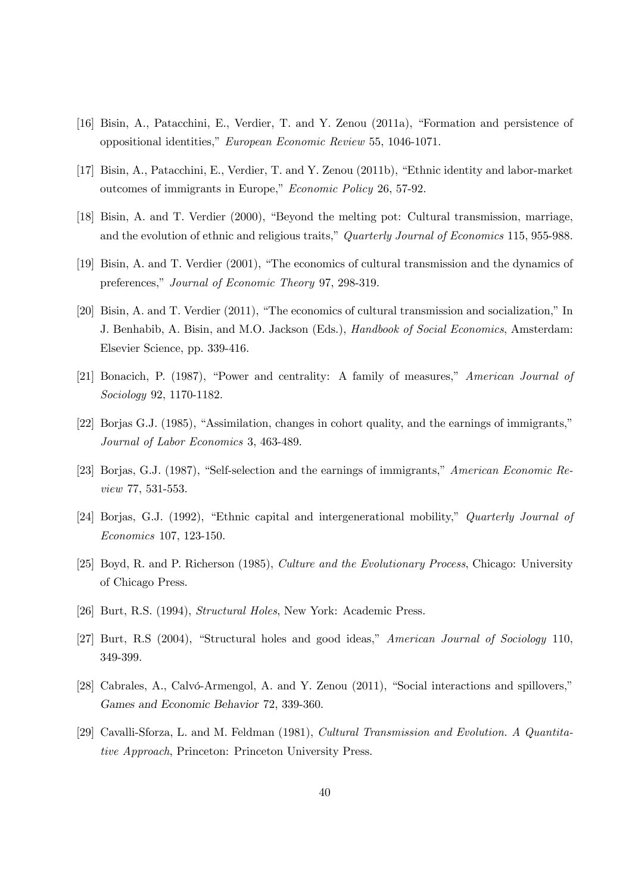- [16] Bisin, A., Patacchini, E., Verdier, T. and Y. Zenou (2011a), "Formation and persistence of oppositional identities," European Economic Review 55, 1046-1071.
- [17] Bisin, A., Patacchini, E., Verdier, T. and Y. Zenou (2011b), "Ethnic identity and labor-market outcomes of immigrants in Europe," Economic Policy 26, 57-92.
- [18] Bisin, A. and T. Verdier (2000), "Beyond the melting pot: Cultural transmission, marriage, and the evolution of ethnic and religious traits," Quarterly Journal of Economics 115, 955-988.
- [19] Bisin, A. and T. Verdier (2001), "The economics of cultural transmission and the dynamics of preferences," Journal of Economic Theory 97, 298-319.
- [20] Bisin, A. and T. Verdier (2011), "The economics of cultural transmission and socialization," In J. Benhabib, A. Bisin, and M.O. Jackson (Eds.), Handbook of Social Economics, Amsterdam: Elsevier Science, pp. 339-416.
- [21] Bonacich, P. (1987), "Power and centrality: A family of measures," American Journal of Sociology 92, 1170-1182.
- [22] Borjas G.J. (1985), "Assimilation, changes in cohort quality, and the earnings of immigrants," Journal of Labor Economics 3, 463-489.
- [23] Borjas, G.J. (1987), "Self-selection and the earnings of immigrants," American Economic Review 77, 531-553.
- [24] Borjas, G.J. (1992), "Ethnic capital and intergenerational mobility," Quarterly Journal of Economics 107, 123-150.
- [25] Boyd, R. and P. Richerson (1985), Culture and the Evolutionary Process, Chicago: University of Chicago Press.
- [26] Burt, R.S. (1994), Structural Holes, New York: Academic Press.
- [27] Burt, R.S (2004), "Structural holes and good ideas," American Journal of Sociology 110, 349-399.
- [28] Cabrales, A., Calvó-Armengol, A. and Y. Zenou (2011), "Social interactions and spillovers," Games and Economic Behavior 72, 339-360.
- [29] Cavalli-Sforza, L. and M. Feldman (1981), Cultural Transmission and Evolution. A Quantitative Approach, Princeton: Princeton University Press.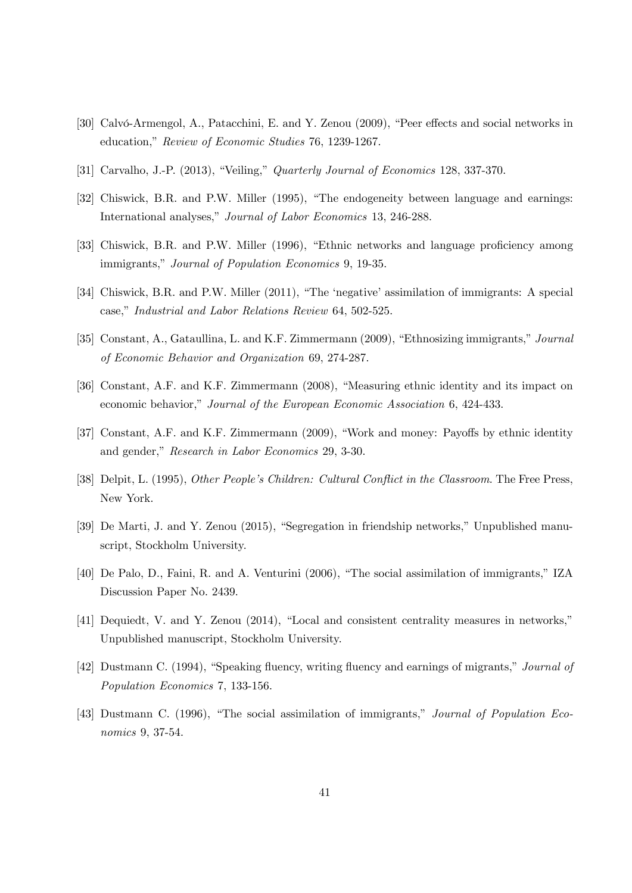- [30] Calvó-Armengol, A., Patacchini, E. and Y. Zenou (2009), "Peer effects and social networks in education," Review of Economic Studies 76, 1239-1267.
- [31] Carvalho, J.-P. (2013), "Veiling," Quarterly Journal of Economics 128, 337-370.
- [32] Chiswick, B.R. and P.W. Miller (1995), "The endogeneity between language and earnings: International analyses," Journal of Labor Economics 13, 246-288.
- [33] Chiswick, B.R. and P.W. Miller (1996), "Ethnic networks and language proficiency among immigrants," Journal of Population Economics 9, 19-35.
- [34] Chiswick, B.R. and P.W. Miller (2011), "The 'negative' assimilation of immigrants: A special case," Industrial and Labor Relations Review 64, 502-525.
- [35] Constant, A., Gataullina, L. and K.F. Zimmermann (2009), "Ethnosizing immigrants," Journal of Economic Behavior and Organization 69, 274-287.
- [36] Constant, A.F. and K.F. Zimmermann (2008), "Measuring ethnic identity and its impact on economic behavior," Journal of the European Economic Association 6, 424-433.
- [37] Constant, A.F. and K.F. Zimmermann (2009), "Work and money: Payoffs by ethnic identity and gender," Research in Labor Economics 29, 3-30.
- [38] Delpit, L. (1995), Other People's Children: Cultural Conflict in the Classroom. The Free Press, New York.
- [39] De Marti, J. and Y. Zenou (2015), "Segregation in friendship networks," Unpublished manuscript, Stockholm University.
- [40] De Palo, D., Faini, R. and A. Venturini (2006), "The social assimilation of immigrants," IZA Discussion Paper No. 2439.
- [41] Dequiedt, V. and Y. Zenou (2014), "Local and consistent centrality measures in networks," Unpublished manuscript, Stockholm University.
- [42] Dustmann C. (1994), "Speaking fluency, writing fluency and earnings of migrants," Journal of Population Economics 7, 133-156.
- [43] Dustmann C. (1996), "The social assimilation of immigrants," Journal of Population Economics 9, 37-54.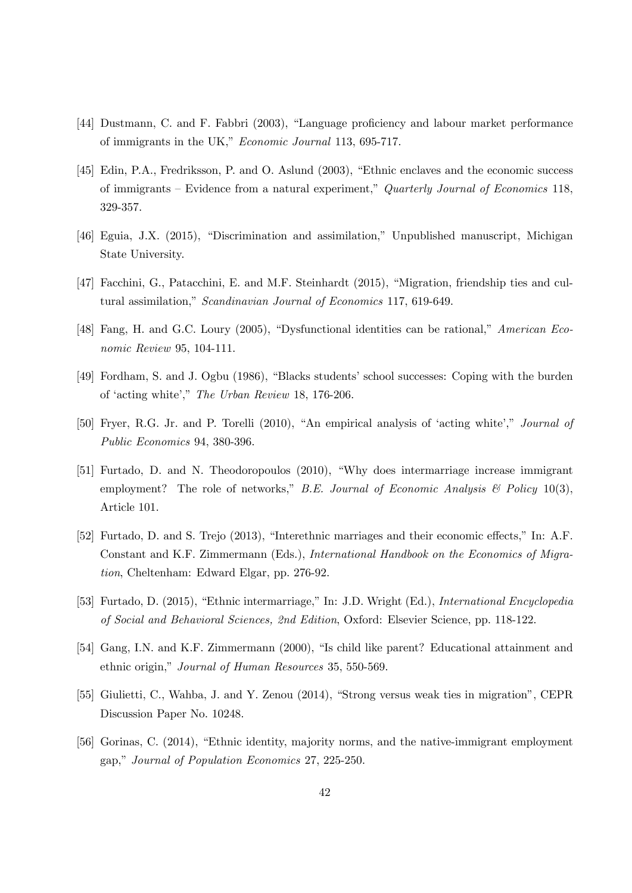- [44] Dustmann, C. and F. Fabbri (2003), "Language proficiency and labour market performance of immigrants in the UK," Economic Journal 113, 695-717.
- [45] Edin, P.A., Fredriksson, P. and O. Aslund (2003), "Ethnic enclaves and the economic success of immigrants — Evidence from a natural experiment," Quarterly Journal of Economics 118, 329-357.
- [46] Eguia, J.X. (2015), "Discrimination and assimilation," Unpublished manuscript, Michigan State University.
- [47] Facchini, G., Patacchini, E. and M.F. Steinhardt (2015), "Migration, friendship ties and cultural assimilation," Scandinavian Journal of Economics 117, 619-649.
- [48] Fang, H. and G.C. Loury (2005), "Dysfunctional identities can be rational," American Economic Review 95, 104-111.
- [49] Fordham, S. and J. Ogbu (1986), "Blacks students' school successes: Coping with the burden of 'acting white'," The Urban Review 18, 176-206.
- [50] Fryer, R.G. Jr. and P. Torelli (2010), "An empirical analysis of 'acting white'," Journal of Public Economics 94, 380-396.
- [51] Furtado, D. and N. Theodoropoulos (2010), "Why does intermarriage increase immigrant employment? The role of networks," B.E. Journal of Economic Analysis  $\mathcal{B}$  Policy 10(3), Article 101.
- [52] Furtado, D. and S. Trejo (2013), "Interethnic marriages and their economic effects," In: A.F. Constant and K.F. Zimmermann (Eds.), International Handbook on the Economics of Migration, Cheltenham: Edward Elgar, pp. 276-92.
- [53] Furtado, D. (2015), "Ethnic intermarriage," In: J.D. Wright (Ed.), International Encyclopedia of Social and Behavioral Sciences, 2nd Edition, Oxford: Elsevier Science, pp. 118-122.
- [54] Gang, I.N. and K.F. Zimmermann (2000), "Is child like parent? Educational attainment and ethnic origin," Journal of Human Resources 35, 550-569.
- [55] Giulietti, C., Wahba, J. and Y. Zenou (2014), "Strong versus weak ties in migration", CEPR Discussion Paper No. 10248.
- [56] Gorinas, C. (2014), "Ethnic identity, majority norms, and the native-immigrant employment gap," Journal of Population Economics 27, 225-250.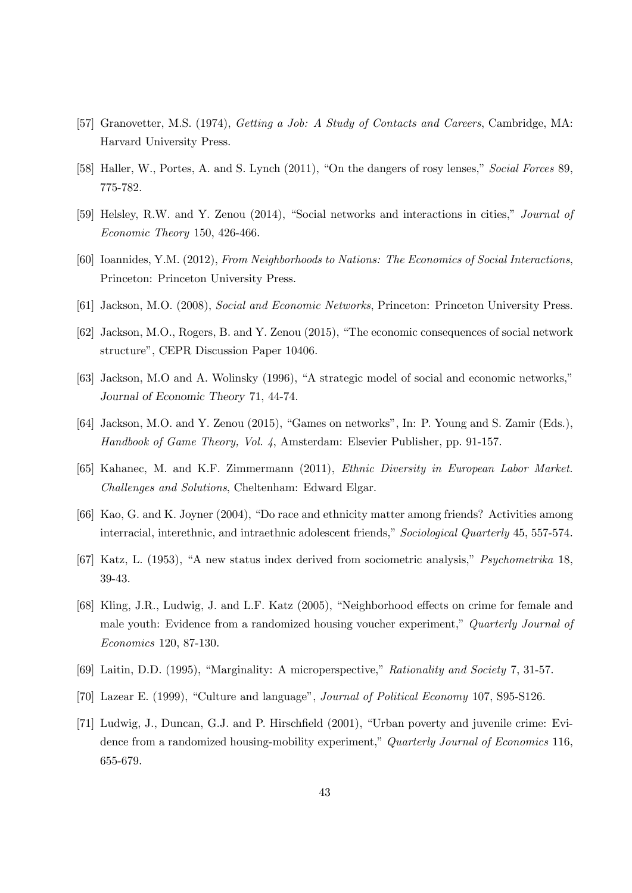- [57] Granovetter, M.S. (1974), *Getting a Job: A Study of Contacts and Careers*, Cambridge, MA: Harvard University Press.
- [58] Haller, W., Portes, A. and S. Lynch (2011), "On the dangers of rosy lenses," Social Forces 89, 775-782.
- [59] Helsley, R.W. and Y. Zenou (2014), "Social networks and interactions in cities," Journal of Economic Theory 150, 426-466.
- [60] Ioannides, Y.M. (2012), From Neighborhoods to Nations: The Economics of Social Interactions, Princeton: Princeton University Press.
- [61] Jackson, M.O. (2008), Social and Economic Networks, Princeton: Princeton University Press.
- [62] Jackson, M.O., Rogers, B. and Y. Zenou (2015), "The economic consequences of social network structure", CEPR Discussion Paper 10406.
- [63] Jackson, M.O and A. Wolinsky (1996), "A strategic model of social and economic networks," Journal of Economic Theory 71, 44-74.
- [64] Jackson, M.O. and Y. Zenou (2015), "Games on networks", In: P. Young and S. Zamir (Eds.), Handbook of Game Theory, Vol. 4, Amsterdam: Elsevier Publisher, pp. 91-157.
- [65] Kahanec, M. and K.F. Zimmermann (2011), Ethnic Diversity in European Labor Market. Challenges and Solutions, Cheltenham: Edward Elgar.
- [66] Kao, G. and K. Joyner (2004), "Do race and ethnicity matter among friends? Activities among interracial, interethnic, and intraethnic adolescent friends," Sociological Quarterly 45, 557-574.
- [67] Katz, L. (1953), "A new status index derived from sociometric analysis," Psychometrika 18, 39-43.
- [68] Kling, J.R., Ludwig, J. and L.F. Katz (2005), "Neighborhood effects on crime for female and male youth: Evidence from a randomized housing voucher experiment," Quarterly Journal of Economics 120, 87-130.
- [69] Laitin, D.D. (1995), "Marginality: A microperspective," Rationality and Society 7, 31-57.
- [70] Lazear E. (1999), "Culture and language", Journal of Political Economy 107, S95-S126.
- [71] Ludwig, J., Duncan, G.J. and P. Hirschfield (2001), "Urban poverty and juvenile crime: Evidence from a randomized housing-mobility experiment," Quarterly Journal of Economics 116, 655-679.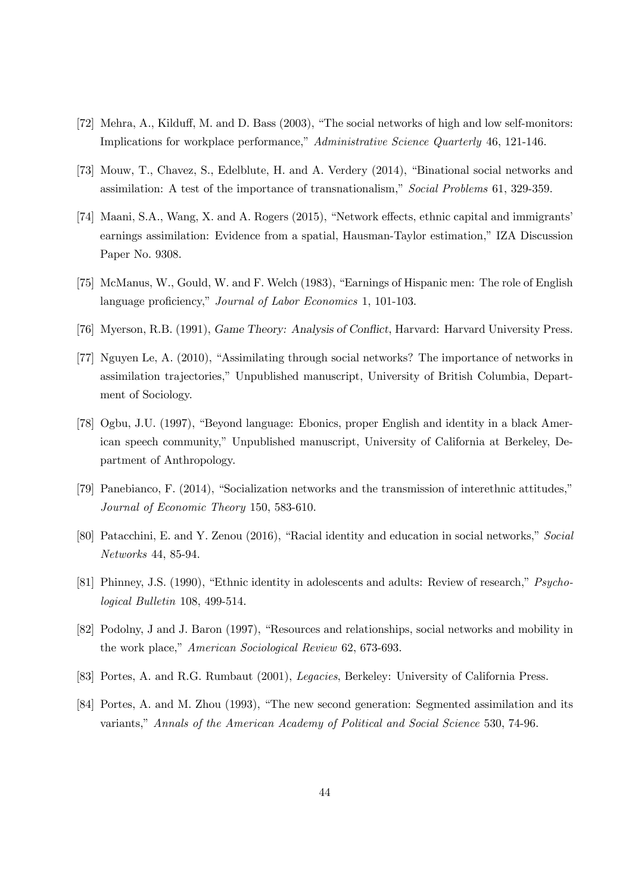- [72] Mehra, A., Kilduff, M. and D. Bass (2003), "The social networks of high and low self-monitors: Implications for workplace performance," Administrative Science Quarterly 46, 121-146.
- [73] Mouw, T., Chavez, S., Edelblute, H. and A. Verdery (2014), "Binational social networks and assimilation: A test of the importance of transnationalism," Social Problems 61, 329-359.
- [74] Maani, S.A., Wang, X. and A. Rogers (2015), "Network effects, ethnic capital and immigrants' earnings assimilation: Evidence from a spatial, Hausman-Taylor estimation," IZA Discussion Paper No. 9308.
- [75] McManus, W., Gould, W. and F. Welch (1983), "Earnings of Hispanic men: The role of English language proficiency," Journal of Labor Economics 1, 101-103.
- [76] Myerson, R.B. (1991), Game Theory: Analysis of Conflict, Harvard: Harvard University Press.
- [77] Nguyen Le, A. (2010), "Assimilating through social networks? The importance of networks in assimilation trajectories," Unpublished manuscript, University of British Columbia, Department of Sociology.
- [78] Ogbu, J.U. (1997), "Beyond language: Ebonics, proper English and identity in a black American speech community," Unpublished manuscript, University of California at Berkeley, Department of Anthropology.
- [79] Panebianco, F. (2014), "Socialization networks and the transmission of interethnic attitudes," Journal of Economic Theory 150, 583-610.
- [80] Patacchini, E. and Y. Zenou (2016), "Racial identity and education in social networks," Social Networks 44, 85-94.
- [81] Phinney, J.S. (1990), "Ethnic identity in adolescents and adults: Review of research," Psychological Bulletin 108, 499-514.
- [82] Podolny, J and J. Baron (1997), "Resources and relationships, social networks and mobility in the work place," American Sociological Review 62, 673-693.
- [83] Portes, A. and R.G. Rumbaut (2001), Legacies, Berkeley: University of California Press.
- [84] Portes, A. and M. Zhou (1993), "The new second generation: Segmented assimilation and its variants," Annals of the American Academy of Political and Social Science 530, 74-96.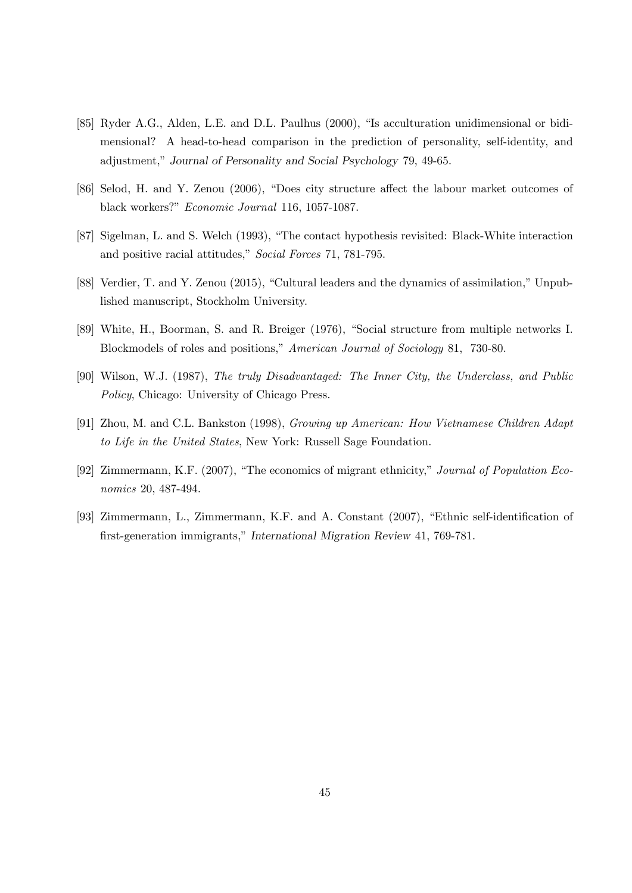- [85] Ryder A.G., Alden, L.E. and D.L. Paulhus (2000), "Is acculturation unidimensional or bidimensional? A head-to-head comparison in the prediction of personality, self-identity, and adjustment," Journal of Personality and Social Psychology 79, 49-65.
- [86] Selod, H. and Y. Zenou (2006), "Does city structure affect the labour market outcomes of black workers?" Economic Journal 116, 1057-1087.
- [87] Sigelman, L. and S. Welch (1993), "The contact hypothesis revisited: Black-White interaction and positive racial attitudes," Social Forces 71, 781-795.
- [88] Verdier, T. and Y. Zenou (2015), "Cultural leaders and the dynamics of assimilation," Unpublished manuscript, Stockholm University.
- [89] White, H., Boorman, S. and R. Breiger (1976), "Social structure from multiple networks I. Blockmodels of roles and positions," American Journal of Sociology 81, 730-80.
- [90] Wilson, W.J. (1987), The truly Disadvantaged: The Inner City, the Underclass, and Public Policy, Chicago: University of Chicago Press.
- [91] Zhou, M. and C.L. Bankston (1998), Growing up American: How Vietnamese Children Adapt to Life in the United States, New York: Russell Sage Foundation.
- [92] Zimmermann, K.F. (2007), "The economics of migrant ethnicity," Journal of Population Economics 20, 487-494.
- [93] Zimmermann, L., Zimmermann, K.F. and A. Constant (2007), "Ethnic self-identification of first-generation immigrants," International Migration Review 41, 769-781.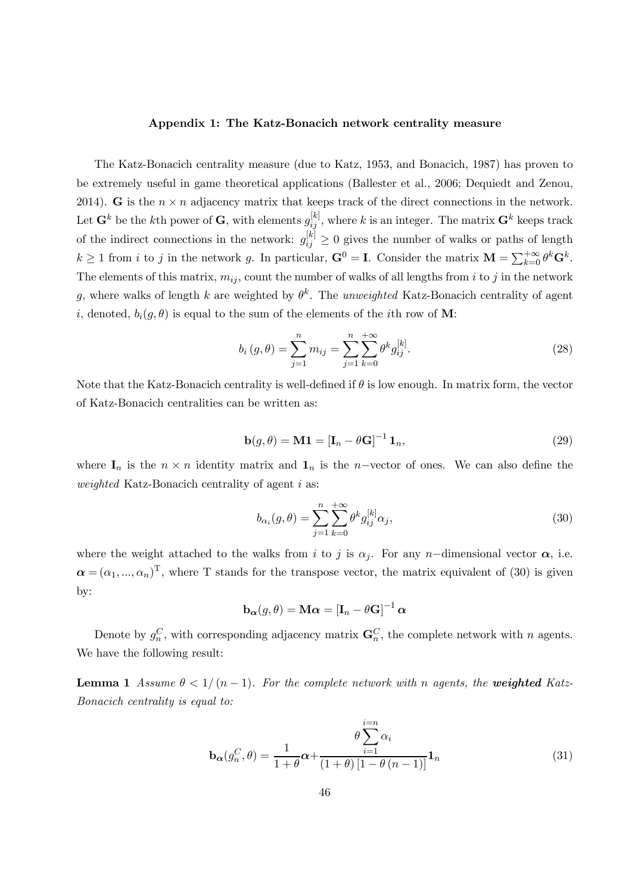#### Appendix 1: The Katz-Bonacich network centrality measure

The Katz-Bonacich centrality measure (due to Katz, 1953, and Bonacich, 1987) has proven to be extremely useful in game theoretical applications (Ballester et al., 2006; Dequiedt and Zenou, 2014). G is the  $n \times n$  adjacency matrix that keeps track of the direct connections in the network. Let  $\mathbf{G}^k$  be the kth power of  $\mathbf{G}$ , with elements  $g_{ij}^{[k]}$ , where k is an integer. The matrix  $\mathbf{G}^k$  keeps track of the indirect connections in the network:  $g_{ij}^{[k]} \geq 0$  gives the number of walks or paths of length  $k \geq 1$  from *i* to *j* in the network *g*. In particular,  $\mathbf{G}^0 = \mathbf{I}$ . Consider the matrix  $\mathbf{M} = \sum_{k=0}^{+\infty} \theta^k \mathbf{G}^k$ . The elements of this matrix,  $m_{ij}$ , count the number of walks of all lengths from *i* to *j* in the network g, where walks of length k are weighted by  $\theta^k$ . The unweighted Katz-Bonacich centrality of agent i, denoted,  $b_i(g, \theta)$  is equal to the sum of the elements of the ith row of M:

$$
b_i(g,\theta) = \sum_{j=1}^n m_{ij} = \sum_{j=1}^n \sum_{k=0}^{+\infty} \theta^k g_{ij}^{[k]}.
$$
 (28)

Note that the Katz-Bonacich centrality is well-defined if  $\theta$  is low enough. In matrix form, the vector of Katz-Bonacich centralities can be written as:

$$
\mathbf{b}(g,\theta) = \mathbf{M}\mathbf{1} = \left[\mathbf{I}_n - \theta\mathbf{G}\right]^{-1}\mathbf{1}_n,\tag{29}
$$

where  $I_n$  is the  $n \times n$  identity matrix and  $I_n$  is the *n*-vector of ones. We can also define the weighted Katz-Bonacich centrality of agent  $i$  as:

$$
b_{\alpha_i}(g,\theta) = \sum_{j=1}^n \sum_{k=0}^{+\infty} \theta^k g_{ij}^{[k]} \alpha_j,
$$
\n(30)

where the weight attached to the walks from *i* to *j* is  $\alpha_j$ . For any *n*-dimensional vector  $\alpha$ , i.e.  $\boldsymbol{\alpha} = (\alpha_1, ..., \alpha_n)^T$ , where T stands for the transpose vector, the matrix equivalent of (30) is given by:

$$
\mathbf{b}_{\boldsymbol{\alpha}}(g,\theta) = \mathbf{M}\boldsymbol{\alpha} = [\mathbf{I}_n - \theta\mathbf{G}]^{-1}\,\boldsymbol{\alpha}
$$

Denote by  $g_n^C$ , with corresponding adjacency matrix  $\mathbf{G}_n^C$ , the complete network with n agents. We have the following result:

**Lemma 1** Assume  $\theta < 1/(n-1)$ . For the complete network with n agents, the **weighted** Katz-Bonacich centrality is equal to:

$$
\mathbf{b}_{\alpha}(g_n^C, \theta) = \frac{1}{1+\theta} \alpha + \frac{\theta \sum_{i=1}^{i=n} \alpha_i}{(1+\theta) \left[1-\theta(n-1)\right]} \mathbf{1}_n
$$
(31)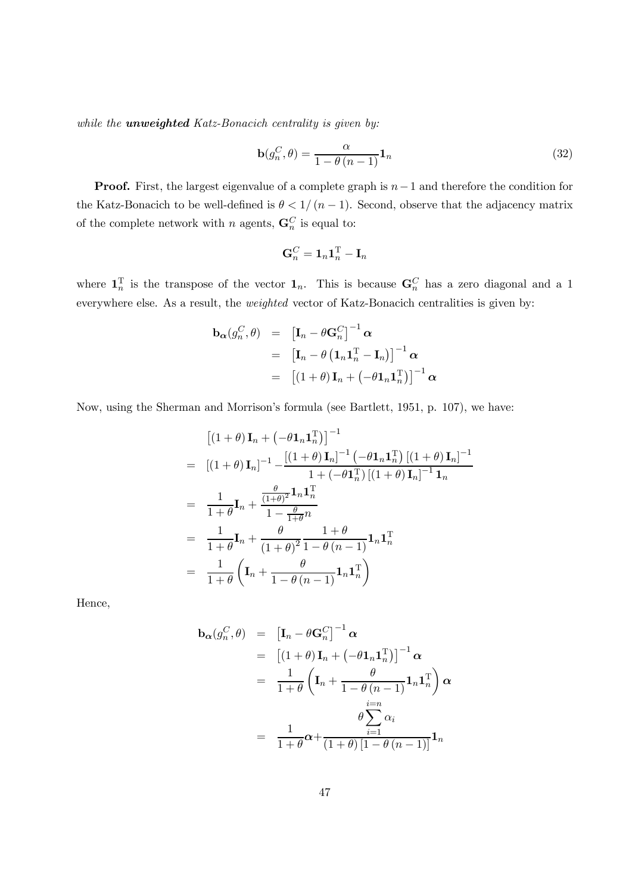while the **unweighted** Katz-Bonacich centrality is given by:

$$
\mathbf{b}(g_n^C, \theta) = \frac{\alpha}{1 - \theta(n-1)} \mathbf{1}_n
$$
\n(32)

**Proof.** First, the largest eigenvalue of a complete graph is  $n-1$  and therefore the condition for the Katz-Bonacich to be well-defined is  $\theta < 1/(n-1)$ . Second, observe that the adjacency matrix of the complete network with *n* agents,  $\mathbf{G}_n^C$  is equal to:

$$
\mathbf{G}_n^C = \mathbf{1}_n \mathbf{1}_n^{\mathrm{T}} - \mathbf{I}_n
$$

where  $\mathbf{1}_n^{\mathrm{T}}$  is the transpose of the vector  $\mathbf{1}_n$ . This is because  $\mathbf{G}_n^C$  has a zero diagonal and a 1 everywhere else. As a result, the weighted vector of Katz-Bonacich centralities is given by:

$$
\mathbf{b}_{\alpha}(g_n^C, \theta) = \left[\mathbf{I}_n - \theta \mathbf{G}_n^C\right]^{-1} \alpha
$$
  
\n
$$
= \left[\mathbf{I}_n - \theta \left(\mathbf{1}_n \mathbf{1}_n^{\mathrm{T}} - \mathbf{I}_n\right)\right]^{-1} \alpha
$$
  
\n
$$
= \left[\left(1 + \theta\right) \mathbf{I}_n + \left(-\theta \mathbf{1}_n \mathbf{1}_n^{\mathrm{T}}\right)\right]^{-1} \alpha
$$

Now, using the Sherman and Morrison's formula (see Bartlett, 1951, p. 107), we have:

$$
\begin{aligned}\n & \left[ (1+\theta) \mathbf{I}_n + \left( -\theta \mathbf{1}_n \mathbf{1}_n^{\mathrm{T}} \right) \right]^{-1} \\
 & = \left[ (1+\theta) \mathbf{I}_n \right]^{-1} - \frac{\left[ (1+\theta) \mathbf{I}_n \right]^{-1} \left( -\theta \mathbf{1}_n \mathbf{1}_n^{\mathrm{T}} \right] \left[ (1+\theta) \mathbf{I}_n \right]^{-1}}{1 + \left( -\theta \mathbf{1}_n^{\mathrm{T}} \right) \left[ (1+\theta) \mathbf{I}_n \right]^{-1} \mathbf{1}_n} \\
 & = \frac{1}{1+\theta} \mathbf{I}_n + \frac{\frac{\theta}{(1+\theta)^2} \mathbf{1}_n \mathbf{1}_n^{\mathrm{T}}}{1 - \frac{\theta}{1+\theta} n} \\
 & = \frac{1}{1+\theta} \mathbf{I}_n + \frac{\theta}{(1+\theta)^2} \frac{1+\theta}{1-\theta(n-1)} \mathbf{1}_n \mathbf{1}_n^{\mathrm{T}} \\
 & = \frac{1}{1+\theta} \left( \mathbf{I}_n + \frac{\theta}{1-\theta(n-1)} \mathbf{1}_n \mathbf{1}_n^{\mathrm{T}} \right)\n \end{aligned}
$$

Hence,

$$
\mathbf{b}_{\alpha}(g_n^C, \theta) = [\mathbf{I}_n - \theta \mathbf{G}_n^C]^{-1} \alpha
$$
  
\n
$$
= [(1 + \theta) \mathbf{I}_n + (-\theta \mathbf{1}_n \mathbf{1}_n^T)]^{-1} \alpha
$$
  
\n
$$
= \frac{1}{1 + \theta} \left( \mathbf{I}_n + \frac{\theta}{1 - \theta (n - 1)} \mathbf{1}_n \mathbf{1}_n^T \right) \alpha
$$
  
\n
$$
= \frac{1}{1 + \theta} \alpha + \frac{\theta \sum_{i=1}^{i=n} \alpha_i}{(1 + \theta) [1 - \theta (n - 1)]} \mathbf{1}_n
$$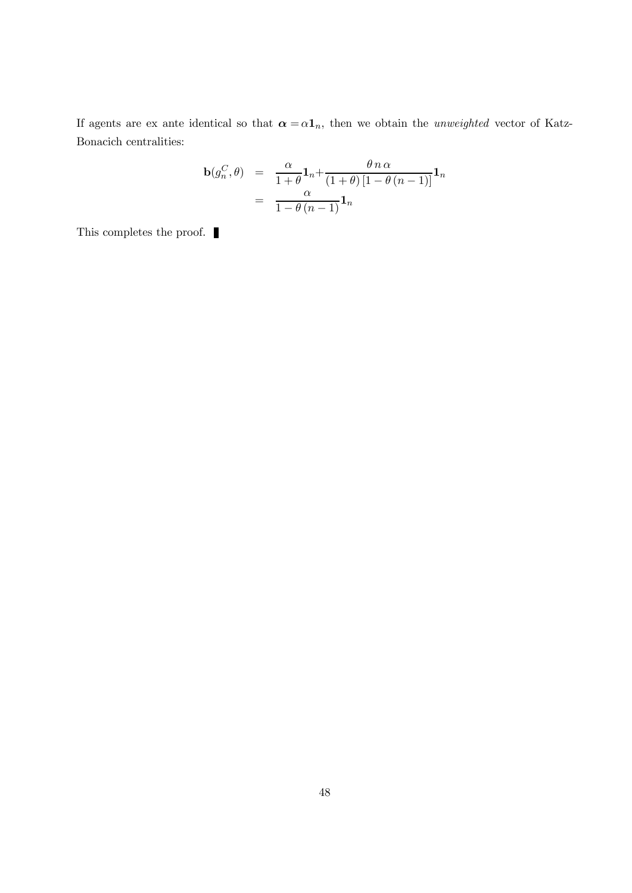If agents are ex ante identical so that  $\alpha = \alpha \mathbf{1}_n$ , then we obtain the *unweighted* vector of Katz-Bonacich centralities:

$$
\mathbf{b}(g_n^C, \theta) = \frac{\alpha}{1 + \theta} \mathbf{1}_n + \frac{\theta n \alpha}{(1 + \theta) [1 - \theta (n - 1)]} \mathbf{1}_n
$$

$$
= \frac{\alpha}{1 - \theta (n - 1)} \mathbf{1}_n
$$

This completes the proof.  $\blacksquare$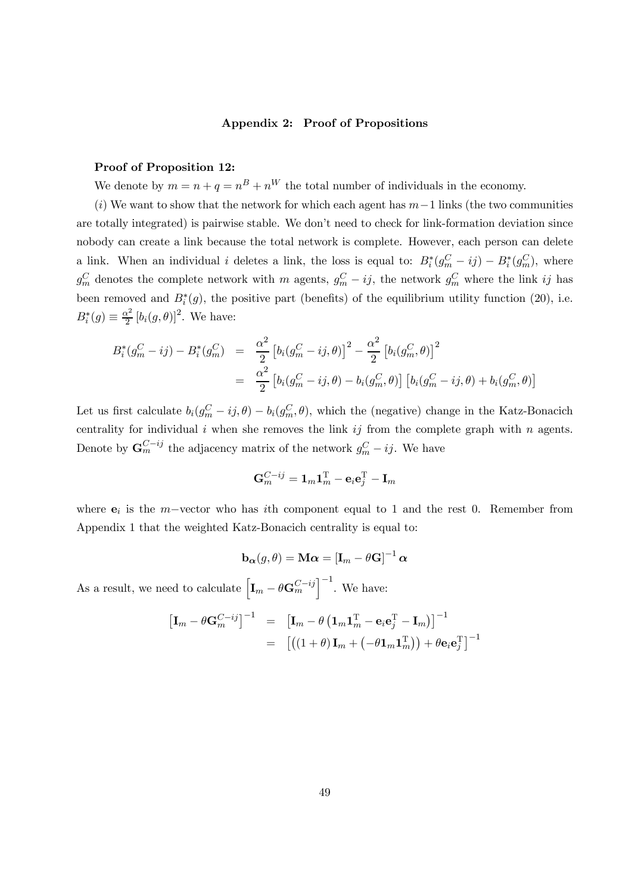#### Appendix 2: Proof of Propositions

#### Proof of Proposition 12:

We denote by  $m = n + q = n^B + n^W$  the total number of individuals in the economy.

(i) We want to show that the network for which each agent has  $m-1$  links (the two communities are totally integrated) is pairwise stable. We don't need to check for link-formation deviation since nobody can create a link because the total network is complete. However, each person can delete a link. When an individual *i* deletes a link, the loss is equal to:  $B_i^*(g_m^C - ij) - B_i^*(g_m^C)$ , where  $g_m^C$  denotes the complete network with m agents,  $g_m^C - ij$ , the network  $g_m^C$  where the link ij has been removed and  $B_i^*(g)$ , the positive part (benefits) of the equilibrium utility function (20), i.e.  $B_i^*(g) \equiv \frac{\alpha^2}{2} [b_i(g, \theta)]^2$ . We have:

$$
B_i^*(g_m^C - ij) - B_i^*(g_m^C) = \frac{\alpha^2}{2} \left[ b_i(g_m^C - ij, \theta) \right]^2 - \frac{\alpha^2}{2} \left[ b_i(g_m^C, \theta) \right]^2
$$
  

$$
= \frac{\alpha^2}{2} \left[ b_i(g_m^C - ij, \theta) - b_i(g_m^C, \theta) \right] \left[ b_i(g_m^C - ij, \theta) + b_i(g_m^C, \theta) \right]
$$

Let us first calculate  $b_i(g_m^C - ij, \theta) - b_i(g_m^C, \theta)$ , which the (negative) change in the Katz-Bonacich centrality for individual  $i$  when she removes the link  $ij$  from the complete graph with  $n$  agents. Denote by  $\mathbf{G}_m^{C-jj}$  the adjacency matrix of the network  $g_m^C - ij$ . We have

$$
\mathbf{G}^{C-ij}_m = \mathbf{1}_m \mathbf{1}_m^\mathrm{T} - \mathbf{e}_i \mathbf{e}_j^\mathrm{T} - \mathbf{I}_m
$$

where  $e_i$  is the  $m$ -vector who has ith component equal to 1 and the rest 0. Remember from Appendix 1 that the weighted Katz-Bonacich centrality is equal to:

$$
\mathbf{b}_{\boldsymbol{\alpha}}(g,\theta) = \mathbf{M}\boldsymbol{\alpha} = [\mathbf{I}_m - \theta\mathbf{G}]^{-1}\boldsymbol{\alpha}
$$

As a result, we need to calculate  $\left[\mathbf{I}_m - \theta \mathbf{G}_m^{C-ij}\right]^{-1}$ . We have:

$$
\begin{array}{rcl}\n\left[\mathbf{I}_m - \theta \mathbf{G}_m^{C-ij}\right]^{-1} & = & \left[\mathbf{I}_m - \theta \left(\mathbf{1}_m \mathbf{1}_m^{\mathrm{T}} - \mathbf{e}_i \mathbf{e}_j^{\mathrm{T}} - \mathbf{I}_m\right)\right]^{-1} \\
& = & \left[\left((1+\theta)\mathbf{I}_m + \left(-\theta \mathbf{1}_m \mathbf{1}_m^{\mathrm{T}}\right)\right) + \theta \mathbf{e}_i \mathbf{e}_j^{\mathrm{T}}\right]^{-1}\n\end{array}
$$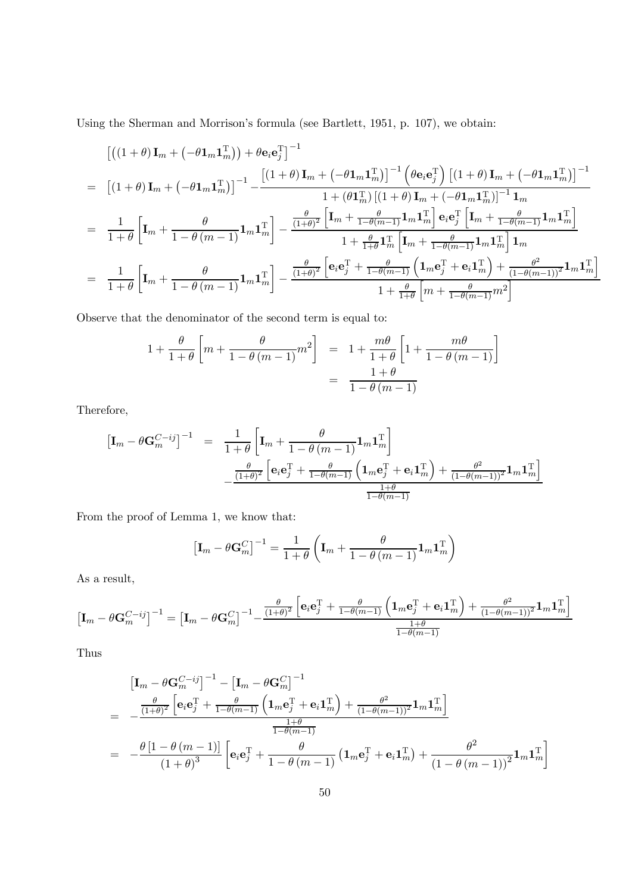Using the Sherman and Morrison's formula (see Bartlett, 1951, p. 107), we obtain:

$$
\begin{split}\n&\left[\left((1+\theta)\mathbf{I}_{m}+\left(-\theta\mathbf{1}_{m}\mathbf{1}_{m}^{\mathrm{T}}\right)\right)+\theta\mathbf{e}_{i}\mathbf{e}_{j}^{\mathrm{T}}\right]^{-1} \\
&=\left[\left(1+\theta\right)\mathbf{I}_{m}+\left(-\theta\mathbf{1}_{m}\mathbf{1}_{m}^{\mathrm{T}}\right)\right]^{-1}-\frac{\left[\left(1+\theta\right)\mathbf{I}_{m}+\left(-\theta\mathbf{1}_{m}\mathbf{1}_{m}^{\mathrm{T}}\right)\right]^{-1}\left(\theta\mathbf{e}_{i}\mathbf{e}_{j}^{\mathrm{T}}\right)\left[\left(1+\theta\right)\mathbf{I}_{m}+\left(-\theta\mathbf{1}_{m}\mathbf{1}_{m}^{\mathrm{T}}\right)\right]^{-1}}{1+\left(\theta\mathbf{1}_{m}^{\mathrm{T}}\right)\left[\left(1+\theta\right)\mathbf{I}_{m}+\left(-\theta\mathbf{1}_{m}\mathbf{1}_{m}^{\mathrm{T}}\right)\right]^{-1}\mathbf{1}_{m}} \\
&=\frac{1}{1+\theta}\left[\mathbf{I}_{m}+\frac{\theta}{1-\theta\left(m-1\right)}\mathbf{1}_{m}\mathbf{1}_{m}^{\mathrm{T}}\right]-\frac{\frac{\theta}{(1+\theta)^{2}}\left[\mathbf{I}_{m}+\frac{\theta}{1-\theta\left(m-1\right)}\mathbf{1}_{m}\mathbf{1}_{m}^{\mathrm{T}}\right]\mathbf{e}_{i}\mathbf{e}_{j}^{\mathrm{T}}\left[\mathbf{I}_{m}+\frac{\theta}{1-\theta\left(m-1\right)}\mathbf{1}_{m}\mathbf{1}_{m}^{\mathrm{T}}\right]}{1+\frac{\theta}{1+\theta}\mathbf{1}_{m}^{\mathrm{T}}\left[\mathbf{I}_{m}+\frac{\theta}{1-\theta\left(m-1\right)}\mathbf{1}_{m}\mathbf{1}_{m}^{\mathrm{T}}\right]\mathbf{1}_{m}} \\
&=\frac{1}{1+\theta}\left[\mathbf{I}_{m}+\frac{\theta}{1-\theta\left(m-1\right)}\mathbf{1}_{m}\mathbf{1}_{m}^{\mathrm{T}}\right]-\frac{\frac{\theta}{(1+\theta)^{2}}\left[\mathbf{e}_{i}\mathbf{e}_{j}^{\mathrm{T}}+\frac{\theta}{1-\theta\left(m-1\right)}\left(\mathbf{1}_{m}\mathbf{e}_{j}^{\mathrm{T}}+\mathbf{e}_{i}\mathbf{1}_{m
$$

Observe that the denominator of the second term is equal to:

$$
1 + \frac{\theta}{1+\theta} \left[ m + \frac{\theta}{1-\theta(m-1)} m^2 \right] = 1 + \frac{m\theta}{1+\theta} \left[ 1 + \frac{m\theta}{1-\theta(m-1)} \right]
$$

$$
= \frac{1+\theta}{1-\theta(m-1)}
$$

Therefore,

$$
\begin{array}{rcl} \left[ \mathbf{I}_m - \theta \mathbf{G}_m^{C - ij} \right]^{-1} & = & \displaystyle \frac{1}{1+\theta} \left[ \mathbf{I}_m + \frac{\theta}{1-\theta \left( m-1 \right)} \mathbf{1}_m \mathbf{1}_m^\mathrm{T} \right] \\ & & - \displaystyle \frac{\theta}{(1+\theta)^2} \left[ \mathbf{e}_i \mathbf{e}_j^\mathrm{T} + \frac{\theta}{1-\theta \left( m-1 \right)} \left( \mathbf{1}_m \mathbf{e}_j^\mathrm{T} + \mathbf{e}_i \mathbf{1}_m^\mathrm{T} \right) + \frac{\theta^2}{\left( 1-\theta \left( m-1 \right) \right)^2} \mathbf{1}_m \mathbf{1}_m^\mathrm{T} \right] \\ & & \displaystyle \frac{1+\theta}{1-\theta \left( m-1 \right)} \end{array}
$$

From the proof of Lemma 1, we know that:

$$
\left[\mathbf{I}_{m} - \theta \mathbf{G}_{m}^{C}\right]^{-1} = \frac{1}{1+\theta} \left(\mathbf{I}_{m} + \frac{\theta}{1-\theta(m-1)} \mathbf{1}_{m} \mathbf{1}_{m}^{\mathrm{T}}\right)
$$

As a result,

$$
\left[\mathbf{I}_m - \theta \mathbf{G}_m^{C-jj}\right]^{-1} = \left[\mathbf{I}_m - \theta \mathbf{G}_m^C\right]^{-1} - \frac{\frac{\theta}{(1+\theta)^2} \left[\mathbf{e}_i \mathbf{e}_j^{\mathrm{T}} + \frac{\theta}{1-\theta(m-1)} \left(\mathbf{1}_m \mathbf{e}_j^{\mathrm{T}} + \mathbf{e}_i \mathbf{1}_m^{\mathrm{T}}\right) + \frac{\theta^2}{\left(1-\theta(m-1)\right)^2} \mathbf{1}_m \mathbf{1}_m^{\mathrm{T}}\right]}{\frac{1+\theta}{1-\theta(m-1)}}
$$

Thus

$$
\begin{split}\n&\left[\mathbf{I}_{m}-\theta\mathbf{G}_{m}^{C-ij}\right]^{-1}-\left[\mathbf{I}_{m}-\theta\mathbf{G}_{m}^{C}\right]^{-1} \\
&=\frac{\frac{\theta}{(1+\theta)^{2}}\left[\mathbf{e}_{i}\mathbf{e}_{j}^{\mathrm{T}}+\frac{\theta}{1-\theta(m-1)}\left(\mathbf{1}_{m}\mathbf{e}_{j}^{\mathrm{T}}+\mathbf{e}_{i}\mathbf{1}_{m}^{\mathrm{T}}\right)+\frac{\theta^{2}}{(1-\theta(m-1))^{2}}\mathbf{1}_{m}\mathbf{1}_{m}^{\mathrm{T}}\right]}{\frac{1+\theta}{1-\theta(m-1)}} \\
&=\frac{-\theta\left[1-\theta\left(m-1\right)\right]}{\left(1+\theta\right)^{3}}\left[\mathbf{e}_{i}\mathbf{e}_{j}^{\mathrm{T}}+\frac{\theta}{1-\theta\left(m-1\right)}\left(\mathbf{1}_{m}\mathbf{e}_{j}^{\mathrm{T}}+\mathbf{e}_{i}\mathbf{1}_{m}^{\mathrm{T}}\right)+\frac{\theta^{2}}{\left(1-\theta\left(m-1\right)\right)^{2}}\mathbf{1}_{m}\mathbf{1}_{m}^{\mathrm{T}}\right]\n\end{split}
$$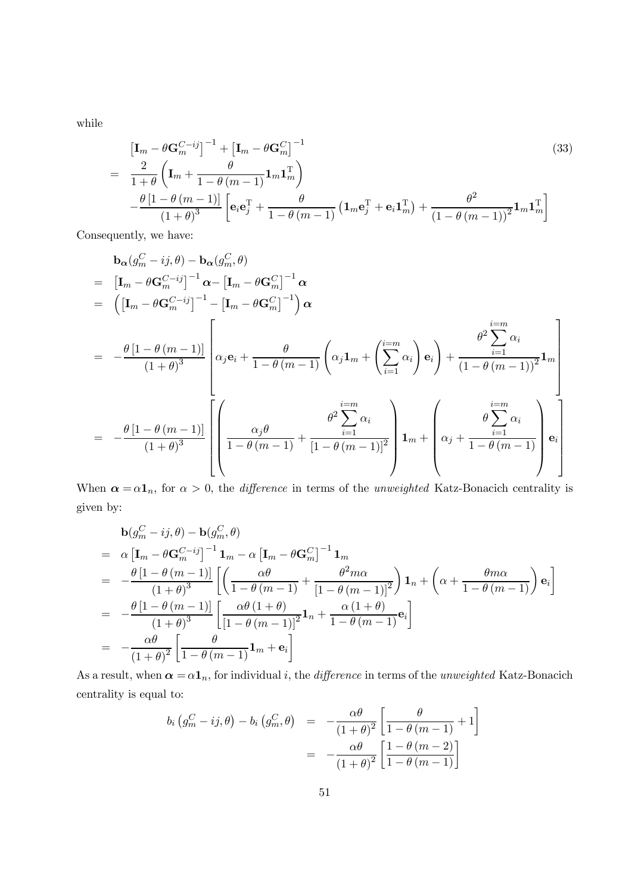while

$$
\begin{split} \left[\mathbf{I}_{m} - \theta \mathbf{G}_{m}^{C-j} \right]^{-1} + \left[\mathbf{I}_{m} - \theta \mathbf{G}_{m}^{C}\right]^{-1} & (33) \\ &= \frac{2}{1+\theta} \left(\mathbf{I}_{m} + \frac{\theta}{1-\theta\left(m-1\right)} \mathbf{1}_{m} \mathbf{1}_{m}^{\mathrm{T}}\right) \\ &\quad - \frac{\theta\left[1-\theta\left(m-1\right)\right]}{\left(1+\theta\right)^{3}} \left[\mathbf{e}_{i}\mathbf{e}_{j}^{\mathrm{T}} + \frac{\theta}{1-\theta\left(m-1\right)} \left(\mathbf{1}_{m}\mathbf{e}_{j}^{\mathrm{T}} + \mathbf{e}_{i}\mathbf{1}_{m}^{\mathrm{T}}\right) + \frac{\theta^{2}}{\left(1-\theta\left(m-1\right)\right)^{2}} \mathbf{1}_{m} \mathbf{1}_{m}^{\mathrm{T}}\right] \end{split}
$$

Consequently, we have:

$$
\mathbf{b}_{\alpha}(g_m^C - i j, \theta) - \mathbf{b}_{\alpha}(g_m^C, \theta)
$$
\n
$$
= [\mathbf{I}_m - \theta \mathbf{G}_m^{C-i j}]^{-1} \alpha - [\mathbf{I}_m - \theta \mathbf{G}_m^C]^{-1} \alpha
$$
\n
$$
= ([\mathbf{I}_m - \theta \mathbf{G}_m^{C-i j}]^{-1} - [\mathbf{I}_m - \theta \mathbf{G}_m^C]^{-1}) \alpha
$$
\n
$$
= -\frac{\theta [1 - \theta (m - 1)]}{(1 + \theta)^3} \left[ \alpha_j \mathbf{e}_i + \frac{\theta}{1 - \theta (m - 1)} \left( \alpha_j \mathbf{1}_m + \left( \sum_{i=1}^{i=m} \alpha_i \right) \mathbf{e}_i \right) + \frac{\theta^2 \sum_{i=1}^{i=m} \alpha_i}{(1 - \theta (m - 1))^2} \mathbf{1}_m \right]
$$
\n
$$
= -\frac{\theta [1 - \theta (m - 1)]}{(1 + \theta)^3} \left[ \left( \frac{\alpha_j \theta}{1 - \theta (m - 1)} + \frac{\theta^2 \sum_{i=1}^{i=m} \alpha_i}{[1 - \theta (m - 1)]^2} \right) \mathbf{1}_m + \left( \alpha_j + \frac{\sum_{i=1}^{i=m} \alpha_i}{1 - \theta (m - 1)} \right) \mathbf{e}_i \right]
$$

When  $\alpha = \alpha \mathbf{1}_n$ , for  $\alpha > 0$ , the *difference* in terms of the *unweighted* Katz-Bonacich centrality is given by:

$$
\mathbf{b}(g_m^C - ij, \theta) - \mathbf{b}(g_m^C, \theta)
$$
\n
$$
= \alpha \left[ \mathbf{I}_m - \theta \mathbf{G}_m^{C - ij} \right]^{-1} \mathbf{1}_m - \alpha \left[ \mathbf{I}_m - \theta \mathbf{G}_m^C \right]^{-1} \mathbf{1}_m
$$
\n
$$
= -\frac{\theta \left[ 1 - \theta \left( m - 1 \right) \right]}{\left( 1 + \theta \right)^3} \left[ \left( \frac{\alpha \theta}{1 - \theta \left( m - 1 \right)} + \frac{\theta^2 m \alpha}{\left[ 1 - \theta \left( m - 1 \right) \right]^2} \right) \mathbf{1}_n + \left( \alpha + \frac{\theta m \alpha}{1 - \theta \left( m - 1 \right)} \right) \mathbf{e}_i \right]
$$
\n
$$
= -\frac{\theta \left[ 1 - \theta \left( m - 1 \right) \right]}{\left( 1 + \theta \right)^3} \left[ \frac{\alpha \theta \left( 1 + \theta \right)}{\left[ 1 - \theta \left( m - 1 \right) \right]^2} \mathbf{1}_n + \frac{\alpha \left( 1 + \theta \right)}{1 - \theta \left( m - 1 \right)} \mathbf{e}_i \right]
$$
\n
$$
= -\frac{\alpha \theta}{\left( 1 + \theta \right)^2} \left[ \frac{\theta}{1 - \theta \left( m - 1 \right)} \mathbf{1}_m + \mathbf{e}_i \right]
$$

As a result, when  $\alpha = \alpha \mathbf{1}_n$ , for individual *i*, the *difference* in terms of the *unweighted* Katz-Bonacich centrality is equal to:

$$
b_i \left( g_m^C - ij, \theta \right) - b_i \left( g_m^C, \theta \right) = -\frac{\alpha \theta}{\left( 1 + \theta \right)^2} \left[ \frac{\theta}{1 - \theta \left( m - 1 \right)} + 1 \right]
$$
  
= -\frac{\alpha \theta}{\left( 1 + \theta \right)^2} \left[ \frac{1 - \theta \left( m - 2 \right)}{1 - \theta \left( m - 1 \right)} \right]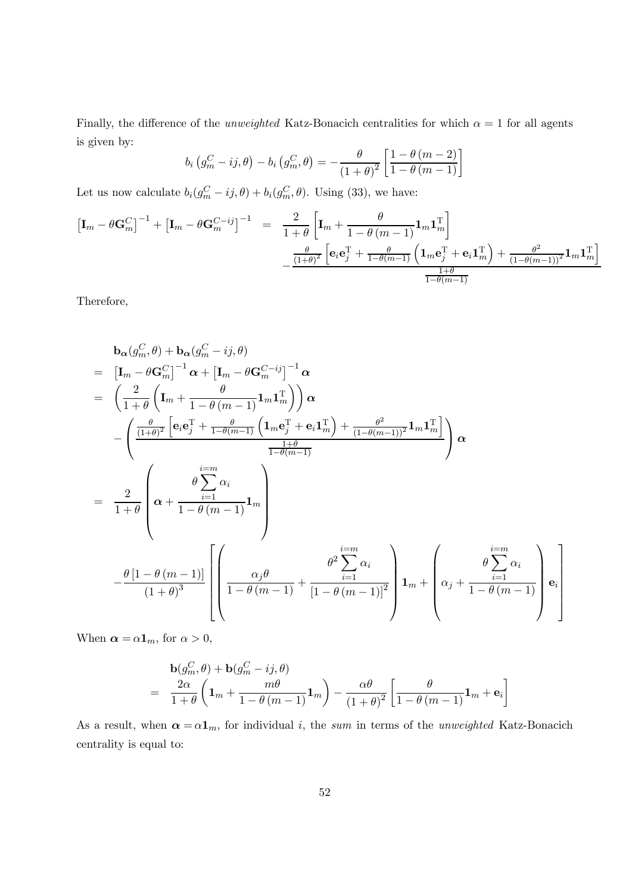Finally, the difference of the *unweighted* Katz-Bonacich centralities for which  $\alpha = 1$  for all agents is given by:

$$
b_i\left(g_m^C - ij, \theta\right) - b_i\left(g_m^C, \theta\right) = -\frac{\theta}{\left(1+\theta\right)^2} \left[\frac{1-\theta\left(m-2\right)}{1-\theta\left(m-1\right)}\right]
$$

Let us now calculate  $b_i(g_m^C - ij, \theta) + b_i(g_m^C, \theta)$ . Using (33), we have:

$$
\begin{array}{rcl}\n\left[\mathbf{I}_{m}-\theta\mathbf{G}_{m}^{C}\right]^{-1}+\left[\mathbf{I}_{m}-\theta\mathbf{G}_{m}^{C-i j}\right]^{-1} &=& \frac{2}{1+\theta}\left[\mathbf{I}_{m}+\frac{\theta}{1-\theta\left(m-1\right)}\mathbf{1}_{m}\mathbf{1}_{m}^{\mathrm{T}}\right] \\
& &-\frac{\frac{\theta}{(1+\theta)^{2}}\left[\mathbf{e}_{i}\mathbf{e}_{j}^{\mathrm{T}}+\frac{\theta}{1-\theta\left(m-1\right)}\left(\mathbf{1}_{m}\mathbf{e}_{j}^{\mathrm{T}}+\mathbf{e}_{i}\mathbf{1}_{m}^{\mathrm{T}}\right)+\frac{\theta^{2}}{(1-\theta\left(m-1\right))^{2}}\mathbf{1}_{m}\mathbf{1}_{m}^{\mathrm{T}}\right]} \\
& &-\frac{\frac{\theta}{(1+\theta)^{2}}\left[\mathbf{e}_{i}\mathbf{e}_{j}^{\mathrm{T}}+\frac{\theta}{1-\theta\left(m-1\right)}\left(\mathbf{1}_{m}\mathbf{e}_{j}^{\mathrm{T}}+\mathbf{e}_{i}\mathbf{1}_{m}^{\mathrm{T}}\right)+\frac{\theta^{2}}{(1-\theta\left(m-1\right))^{2}}\mathbf{1}_{m}\mathbf{1}_{m}^{\mathrm{T}}\right]}{\frac{1+\theta}{1-\theta\left(m-1\right)}}\n\end{array}
$$

Therefore,

$$
\mathbf{b}_{\alpha}(g_m^C, \theta) + \mathbf{b}_{\alpha}(g_m^C - ij, \theta)
$$
\n
$$
= [\mathbf{I}_m - \theta \mathbf{G}_m^C]^{-1} \alpha + [\mathbf{I}_m - \theta \mathbf{G}_m^{C - ij}]^{-1} \alpha
$$
\n
$$
= \left(\frac{2}{1+\theta} \left(\mathbf{I}_m + \frac{\theta}{1-\theta(m-1)} \mathbf{1}_m \mathbf{1}_m^T\right)\right) \alpha
$$
\n
$$
- \left(\frac{\frac{\theta}{(1+\theta)^2} \left[\mathbf{e}_i \mathbf{e}_j^T + \frac{\theta}{1-\theta(m-1)} \left(\mathbf{1}_m \mathbf{e}_j^T + \mathbf{e}_i \mathbf{1}_m^T\right) + \frac{\theta^2}{(1-\theta(m-1))^2} \mathbf{1}_m \mathbf{1}_m^T\right]}{1-\theta(m-1)}\right) \alpha
$$
\n
$$
= \frac{2}{1+\theta} \left(\alpha + \frac{i\alpha}{1-\theta(m-1)} \mathbf{1}_m\right)
$$
\n
$$
- \frac{\theta[1-\theta(m-1)]}{(1+\theta)^3} \left[\left(\frac{\alpha_j \theta}{1-\theta(m-1)} + \frac{\theta^2 \sum_{i=1}^{i=m} \alpha_i}{[1-\theta(m-1)]^2}\right) \mathbf{1}_m + \left(\alpha_j + \frac{\theta \sum_{i=1}^{i=m} \alpha_i}{1-\theta(m-1)}\right) \mathbf{e}_i\right]
$$

When  $\alpha = \alpha \mathbf{1}_m$ , for  $\alpha > 0$ ,

$$
\mathbf{b}(g_m^C, \theta) + \mathbf{b}(g_m^C - ij, \theta) = \frac{2\alpha}{1+\theta} \left( \mathbf{1}_m + \frac{m\theta}{1-\theta(m-1)} \mathbf{1}_m \right) - \frac{\alpha\theta}{(1+\theta)^2} \left[ \frac{\theta}{1-\theta(m-1)} \mathbf{1}_m + \mathbf{e}_i \right]
$$

As a result, when  $\alpha = \alpha \mathbf{1}_m$ , for individual i, the sum in terms of the unweighted Katz-Bonacich centrality is equal to: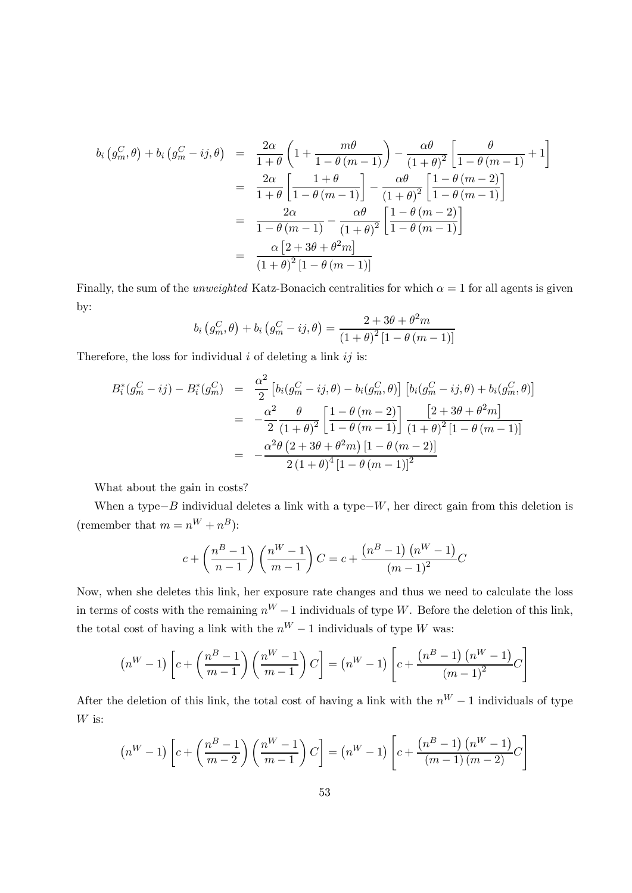$$
b_i\left(g_m^C, \theta\right) + b_i\left(g_m^C - ij, \theta\right) = \frac{2\alpha}{1+\theta}\left(1 + \frac{m\theta}{1-\theta\left(m-1\right)}\right) - \frac{\alpha\theta}{\left(1+\theta\right)^2}\left[\frac{\theta}{1-\theta\left(m-1\right)} + 1\right]
$$

$$
= \frac{2\alpha}{1+\theta}\left[\frac{1+\theta}{1-\theta\left(m-1\right)}\right] - \frac{\alpha\theta}{\left(1+\theta\right)^2}\left[\frac{1-\theta\left(m-2\right)}{1-\theta\left(m-1\right)}\right]
$$

$$
= \frac{2\alpha}{1-\theta\left(m-1\right)} - \frac{\alpha\theta}{\left(1+\theta\right)^2}\left[\frac{1-\theta\left(m-2\right)}{1-\theta\left(m-1\right)}\right]
$$

$$
= \frac{\alpha\left[2+3\theta+\theta^2m\right]}{\left(1+\theta\right)^2\left[1-\theta\left(m-1\right)\right]}
$$

Finally, the sum of the *unweighted* Katz-Bonacich centralities for which  $\alpha = 1$  for all agents is given by:

$$
b_i(g_m^C, \theta) + b_i(g_m^C - ij, \theta) = \frac{2 + 3\theta + \theta^2 m}{(1 + \theta)^2 [1 - \theta (m - 1)]}
$$

Therefore, the loss for individual  $i$  of deleting a link  $ij$  is:

$$
B_i^*(g_m^C - ij) - B_i^*(g_m^C) = \frac{\alpha^2}{2} \left[ b_i(g_m^C - ij, \theta) - b_i(g_m^C, \theta) \right] \left[ b_i(g_m^C - ij, \theta) + b_i(g_m^C, \theta) \right]
$$
  

$$
= -\frac{\alpha^2}{2} \frac{\theta}{(1+\theta)^2} \left[ \frac{1-\theta(m-2)}{1-\theta(m-1)} \right] \frac{\left[ 2+3\theta+\theta^2 m \right]}{(1+\theta)^2 \left[ 1-\theta(m-1) \right]}
$$
  

$$
= -\frac{\alpha^2 \theta (2+3\theta+\theta^2 m) \left[ 1-\theta(m-2) \right]}{2 \left( 1+\theta \right)^4 \left[ 1-\theta(m-1) \right]^2}
$$

What about the gain in costs?

When a type $-B$  individual deletes a link with a type $-W$ , her direct gain from this deletion is (remember that  $m = n^{W} + n^{B}$ ):

$$
c + \left(\frac{n^{B} - 1}{n - 1}\right) \left(\frac{n^{W} - 1}{m - 1}\right) C = c + \frac{\left(n^{B} - 1\right) \left(n^{W} - 1\right)}{\left(m - 1\right)^{2}} C
$$

Now, when she deletes this link, her exposure rate changes and thus we need to calculate the loss in terms of costs with the remaining  $n^W - 1$  individuals of type W. Before the deletion of this link, the total cost of having a link with the  $n^W - 1$  individuals of type W was:

$$
(n^{W} - 1)\left[c + \left(\frac{n^{B} - 1}{m - 1}\right)\left(\frac{n^{W} - 1}{m - 1}\right)C\right] = (n^{W} - 1)\left[c + \frac{(n^{B} - 1)\left(n^{W} - 1\right)}{(m - 1)^{2}}C\right]
$$

After the deletion of this link, the total cost of having a link with the  $n^W - 1$  individuals of type  $W$  is:

$$
(n^{W} - 1)\left[c + \left(\frac{n^{B} - 1}{m - 2}\right)\left(\frac{n^{W} - 1}{m - 1}\right)C\right] = (n^{W} - 1)\left[c + \frac{(n^{B} - 1)\left(n^{W} - 1\right)}{(m - 1)\left(m - 2\right)}C\right]
$$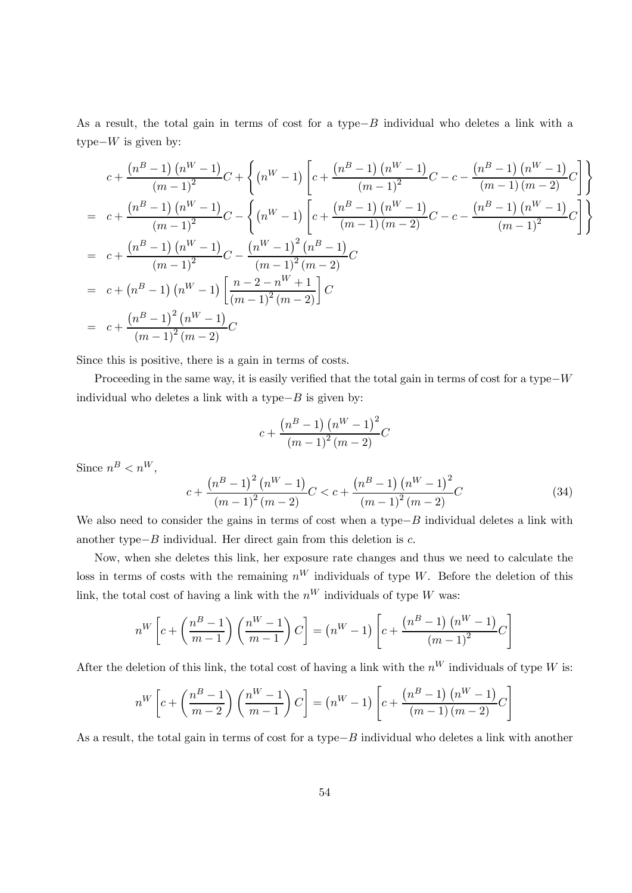As a result, the total gain in terms of cost for a type $-B$  individual who deletes a link with a type $-W$  is given by:

$$
c + \frac{(n^{B} - 1) (n^{W} - 1)}{(m - 1)^{2}} C + \left\{ (n^{W} - 1) \left[ c + \frac{(n^{B} - 1) (n^{W} - 1)}{(m - 1)^{2}} C - c - \frac{(n^{B} - 1) (n^{W} - 1)}{(m - 1) (m - 2)} C \right] \right\}
$$
  
=  $c + \frac{(n^{B} - 1) (n^{W} - 1)}{(m - 1)^{2}} C - \left\{ (n^{W} - 1) \left[ c + \frac{(n^{B} - 1) (n^{W} - 1)}{(m - 1) (m - 2)} C - c - \frac{(n^{B} - 1) (n^{W} - 1)}{(m - 1)^{2}} C \right] \right\}$   
=  $c + \frac{(n^{B} - 1) (n^{W} - 1)}{(m - 1)^{2}} C - \frac{(n^{W} - 1)^{2} (n^{B} - 1)}{(m - 1)^{2} (m - 2)} C$   
=  $c + (n^{B} - 1) (n^{W} - 1) \left[ \frac{n - 2 - n^{W} + 1}{(m - 1)^{2} (m - 2)} \right] C$   
=  $c + \frac{(n^{B} - 1)^{2} (n^{W} - 1)}{(m - 1)^{2} (m - 2)} C$ 

Since this is positive, there is a gain in terms of costs.

Proceeding in the same way, it is easily verified that the total gain in terms of cost for a type $-W$ individual who deletes a link with a type $-B$  is given by:

$$
c + \frac{(n^{B} - 1) (n^{W} - 1)^{2}}{(m - 1)^{2} (m - 2)}C
$$

Since  $n^B < n^W$ ,

$$
c + \frac{\left(n^{B} - 1\right)^{2} \left(n^{W} - 1\right)}{\left(m - 1\right)^{2} \left(m - 2\right)} C < c + \frac{\left(n^{B} - 1\right) \left(n^{W} - 1\right)^{2}}{\left(m - 1\right)^{2} \left(m - 2\right)} C
$$
\n(34)

We also need to consider the gains in terms of cost when a type $-B$  individual deletes a link with another type $-B$  individual. Her direct gain from this deletion is  $c$ .

Now, when she deletes this link, her exposure rate changes and thus we need to calculate the loss in terms of costs with the remaining  $n^W$  individuals of type W. Before the deletion of this link, the total cost of having a link with the  $n^W$  individuals of type W was:

$$
n^{W} \left[ c + \left( \frac{n^{B} - 1}{m - 1} \right) \left( \frac{n^{W} - 1}{m - 1} \right) C \right] = (n^{W} - 1) \left[ c + \frac{\left( n^{B} - 1 \right) \left( n^{W} - 1 \right)}{\left( m - 1 \right)^{2}} C \right]
$$

After the deletion of this link, the total cost of having a link with the  $n^W$  individuals of type W is:

$$
n^{W}\left[c + \left(\frac{n^{B} - 1}{m - 2}\right)\left(\frac{n^{W} - 1}{m - 1}\right)C\right] = (n^{W} - 1)\left[c + \frac{(n^{B} - 1)\left(n^{W} - 1\right)}{(m - 1)\left(m - 2\right)}C\right]
$$

As a result, the total gain in terms of cost for a type $-B$  individual who deletes a link with another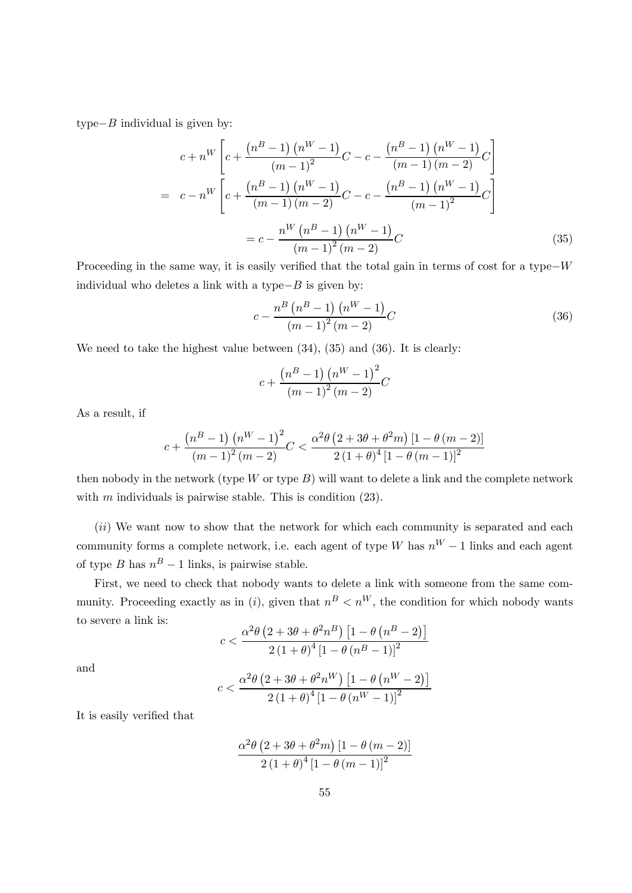type $-B$  individual is given by:

$$
c + n^{W} \left[ c + \frac{\left( n^{B} - 1 \right) \left( n^{W} - 1 \right)}{\left( m - 1 \right)^{2}} C - c - \frac{\left( n^{B} - 1 \right) \left( n^{W} - 1 \right)}{\left( m - 1 \right) \left( m - 2 \right)} C \right]
$$

$$
= c - n^{W} \left[ c + \frac{\left( n^{B} - 1 \right) \left( n^{W} - 1 \right)}{\left( m - 1 \right) \left( m - 2 \right)} C - c - \frac{\left( n^{B} - 1 \right) \left( n^{W} - 1 \right)}{\left( m - 1 \right)^{2}} C \right]
$$

$$
= c - \frac{n^{W} \left( n^{B} - 1 \right) \left( n^{W} - 1 \right)}{\left( m - 1 \right)^{2} \left( m - 2 \right)} C \tag{35}
$$

Proceeding in the same way, it is easily verified that the total gain in terms of cost for a type–W individual who deletes a link with a type $-B$  is given by:

$$
c - \frac{n^B (n^B - 1) (n^W - 1)}{(m - 1)^2 (m - 2)} C
$$
\n(36)

We need to take the highest value between  $(34)$ ,  $(35)$  and  $(36)$ . It is clearly:

$$
c + \frac{(n^{B} - 1) (n^{W} - 1)^{2}}{(m - 1)^{2} (m - 2)}C
$$

As a result, if

$$
c + \frac{(n^{B} - 1) (n^{W} - 1)^{2}}{(m - 1)^{2} (m - 2)} C < \frac{\alpha^{2} \theta (2 + 3\theta + \theta^{2} m) [1 - \theta (m - 2)]}{2 (1 + \theta)^{4} [1 - \theta (m - 1)]^{2}}
$$

then nobody in the network (type  $W$  or type  $B$ ) will want to delete a link and the complete network with  $m$  individuals is pairwise stable. This is condition  $(23)$ .

 $(ii)$  We want now to show that the network for which each community is separated and each community forms a complete network, i.e. each agent of type W has  $n^W - 1$  links and each agent of type *B* has  $n^B - 1$  links, is pairwise stable.

First, we need to check that nobody wants to delete a link with someone from the same community. Proceeding exactly as in (i), given that  $n^B < n^W$ , the condition for which nobody wants to severe a link is:

$$
c < \frac{\alpha^2 \theta \left(2 + 3\theta + \theta^2 n^B\right) \left[1 - \theta \left(n^B - 2\right)\right]}{2 \left(1 + \theta\right)^4 \left[1 - \theta \left(n^B - 1\right)\right]^2}
$$

and

$$
c<\frac{\alpha^2\theta\left(2+3\theta+\theta^2n^W\right)\left[1-\theta\left(n^W-2\right)\right]}{2\left(1+\theta\right)^4\left[1-\theta\left(n^W-1\right)\right]^2}
$$

It is easily verified that

$$
\frac{\alpha^2 \theta \left(2 + 3\theta + \theta^2 m\right) \left[1 - \theta \left(m - 2\right)\right]}{2 \left(1 + \theta\right)^4 \left[1 - \theta \left(m - 1\right)\right]^2}
$$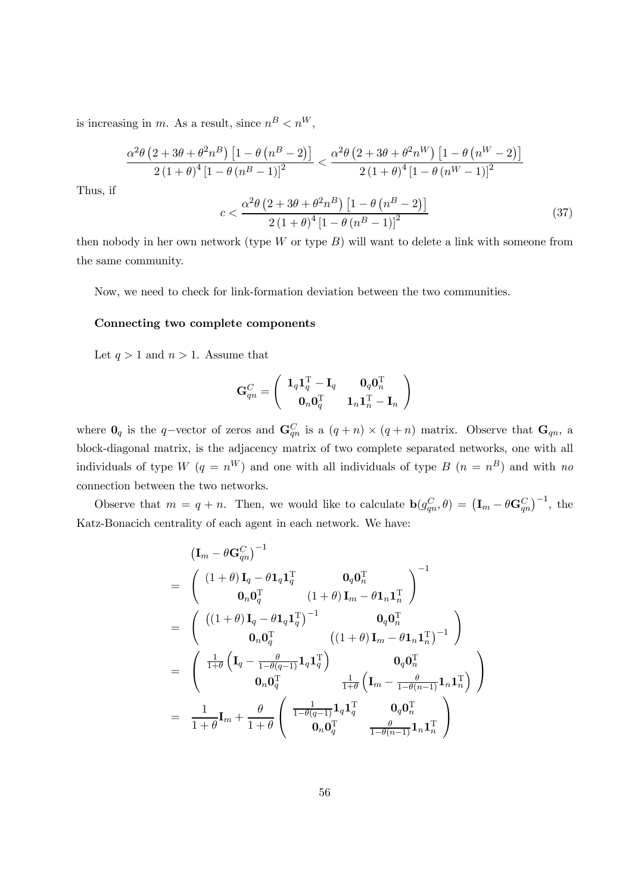is increasing in m. As a result, since  $n^B < n^W$ ,

$$
\frac{\alpha^2 \theta \left(2 + 3\theta + \theta^2 n^B\right) \left[1 - \theta \left(n^B - 2\right)\right]}{2 \left(1 + \theta\right)^4 \left[1 - \theta \left(n^B - 1\right)\right]^2} < \frac{\alpha^2 \theta \left(2 + 3\theta + \theta^2 n^W\right) \left[1 - \theta \left(n^W - 2\right)\right]}{2 \left(1 + \theta\right)^4 \left[1 - \theta \left(n^W - 1\right)\right]^2} \n c < \frac{\alpha^2 \theta \left(2 + 3\theta + \theta^2 n^B\right) \left[1 - \theta \left(n^B - 2\right)\right]}{2 \left(1 + \theta\right)^4 \left[1 - \theta \left(n^B - 1\right)\right]^2}
$$
\n(37)

Thus, if

then nobody in her own network (type  $W$  or type  $B$ ) will want to delete a link with someone from the same community.

Now, we need to check for link-formation deviation between the two communities.

#### Connecting two complete components

Let  $q > 1$  and  $n > 1$ . Assume that

$$
\mathbf{G}_{qn}^{C}=\left(\begin{array}{cc} \mathbf{1}_q\mathbf{1}_q^{\mathrm{T}}-\mathbf{I}_q & \mathbf{0}_q\mathbf{0}_n^{\mathrm{T}} \\ \mathbf{0}_n\mathbf{0}_q^{\mathrm{T}} & \mathbf{1}_n\mathbf{1}_n^{\mathrm{T}}-\mathbf{I}_n \end{array}\right)
$$

where  $\mathbf{0}_q$  is the q-vector of zeros and  $\mathbf{G}_{qn}^C$  is a  $(q+n) \times (q+n)$  matrix. Observe that  $\mathbf{G}_{qn}$ , a block-diagonal matrix, is the adjacency matrix of two complete separated networks, one with all individuals of type  $W(q = n^W)$  and one with all individuals of type  $B(n = n^B)$  and with no connection between the two networks.

Observe that  $m = q + n$ . Then, we would like to calculate  $\mathbf{b}(g_{qn}^C, \theta) = (\mathbf{I}_m - \theta \mathbf{G}_{qn}^C)^{-1}$ , the Katz-Bonacich centrality of each agent in each network. We have:

$$
\begin{aligned} &\left(\mathbf{I}_m-\theta\mathbf{G}_{qn}^C\right)^{-1}\\ &=\begin{array}{c} \left(\begin{array}{cc} (1+\theta)\,\mathbf{I}_q-\theta\mathbf{1}_q\mathbf{1}_q^{\mathrm{T}}&\mathbf{0}_q\mathbf{0}_n^{\mathrm{T}}\\ \mathbf{0}_n\mathbf{0}_q^{\mathrm{T}}&\left(1+\theta\right)\mathbf{I}_m-\theta\mathbf{1}_n\mathbf{1}_n^{\mathrm{T}} \end{array}\right)^{-1}\\ &=\begin{array}{c} \left(\begin{array}{cc} \left((1+\theta)\,\mathbf{I}_q-\theta\mathbf{1}_q\mathbf{1}_q^{\mathrm{T}}\right)^{-1}&\mathbf{0}_q\mathbf{0}_n^{\mathrm{T}}\\ \mathbf{0}_n\mathbf{0}_q^{\mathrm{T}}&\left((1+\theta)\,\mathbf{I}_m-\theta\mathbf{1}_n\mathbf{1}_n^{\mathrm{T}}\right)^{-1} \end{array}\right)\\ &=\begin{array}{c} \left(\begin{array}{cc} \frac{1}{1+\theta}\left(\mathbf{I}_q-\frac{\theta}{1-\theta(q-1)}\mathbf{1}_q\mathbf{1}_q^{\mathrm{T}}\right)&\mathbf{0}_q\mathbf{0}_n^{\mathrm{T}}\\ \mathbf{0}_n\mathbf{0}_q^{\mathrm{T}}&\frac{1}{1+\theta}\left(\mathbf{I}_m-\frac{\theta}{1-\theta(n-1)}\mathbf{1}_n\mathbf{1}_n^{\mathrm{T}}\right) \end{array}\right)\\ &=\begin{array}{c} \frac{1}{1+\theta}\mathbf{I}_m+\frac{\theta}{1+\theta}\left(\begin{array}{cc} \frac{1}{1-\theta(q-1)}\mathbf{1}_q\mathbf{1}_q^{\mathrm{T}}&\mathbf{0}_q\mathbf{0}_n^{\mathrm{T}}\\ \mathbf{0}_n\mathbf{0}_q^{\mathrm{T}}&\frac{\theta}{1-\theta(n-1)}\mathbf{1}_n\mathbf{1}_n^{\mathrm{T}} \end{array}\right) \end{array}\end{aligned}
$$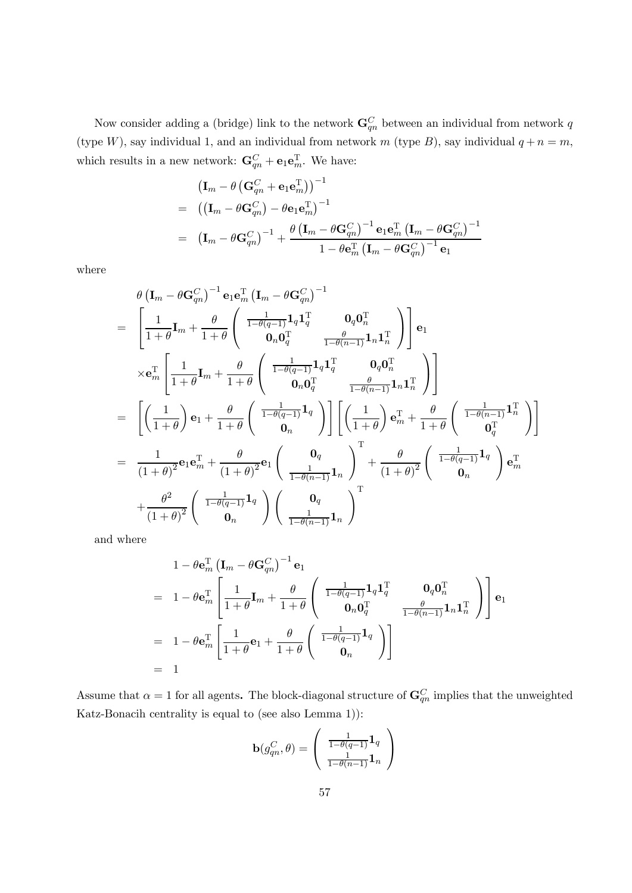Now consider adding a (bridge) link to the network  $\mathbf{G}_{qn}^C$  between an individual from network q (type W), say individual 1, and an individual from network  $m$  (type B), say individual  $q + n = m$ , which results in a new network:  $\mathbf{G}_{qn}^C + \mathbf{e}_1 \mathbf{e}_m^T$ . We have:

$$
\begin{aligned} &\left(\mathbf{I}_m-\theta\left(\mathbf{G}_{qn}^{C}+\mathbf{e}_1\mathbf{e}_m^{\mathrm{T}}\right)\right)^{-1}\\ &=& \left(\left(\mathbf{I}_m-\theta\mathbf{G}_{qn}^{C}\right)-\theta\mathbf{e}_1\mathbf{e}_m^{\mathrm{T}}\right)^{-1}\\ &=& \left(\mathbf{I}_m-\theta\mathbf{G}_{qn}^{C}\right)^{-1}+\frac{\theta\left(\mathbf{I}_m-\theta\mathbf{G}_{qn}^{C}\right)^{-1}\mathbf{e}_1\mathbf{e}_m^{\mathrm{T}}\left(\mathbf{I}_m-\theta\mathbf{G}_{qn}^{C}\right)^{-1}}{1-\theta\mathbf{e}_m^{\mathrm{T}}\left(\mathbf{I}_m-\theta\mathbf{G}_{qn}^{C}\right)^{-1}\mathbf{e}_1} \end{aligned}
$$

where

$$
\begin{split} &\theta\left(\mathbf{I}_m-\theta\mathbf{G}_{qn}^{C}\right)^{-1}\mathbf{e}_1\mathbf{e}_m^{\mathrm{T}}\left(\mathbf{I}_m-\theta\mathbf{G}_{qn}^{C}\right)^{-1} \\ &=\begin{bmatrix} \frac{1}{1+\theta}\mathbf{I}_m+\frac{\theta}{1+\theta}\left(\begin{array}{cc} \frac{1}{1-\theta(q-1)}\mathbf{1}_q\mathbf{1}_q^{\mathrm{T}} & \mathbf{0}_q\mathbf{0}_n^{\mathrm{T}} \\ \mathbf{0}_n\mathbf{0}_q^{\mathrm{T}} & \frac{\theta}{1-\theta(n-1)}\mathbf{1}_n\mathbf{1}_n^{\mathrm{T}} \end{array}\right)\end{bmatrix}\mathbf{e}_1\\ &\times\mathbf{e}_m^{\mathrm{T}}\left[\frac{1}{1+\theta}\mathbf{I}_m+\frac{\theta}{1+\theta}\left(\begin{array}{cc} \frac{1}{1-\theta(q-1)}\mathbf{1}_q\mathbf{1}_q^{\mathrm{T}} & \mathbf{0}_q\mathbf{0}_n^{\mathrm{T}} \\ \mathbf{0}_n\mathbf{0}_q^{\mathrm{T}} & \frac{\theta}{1-\theta(n-1)}\mathbf{1}_n\mathbf{1}_n^{\mathrm{T}} \end{array}\right)\right] \\ &=\begin{bmatrix} \left(\frac{1}{1+\theta}\right)\mathbf{e}_1+\frac{\theta}{1+\theta}\left(\begin{array}{c} \frac{1}{1-\theta(q-1)}\mathbf{1}_q \\ \mathbf{0}_n \end{array}\right)\end{bmatrix}\left[\left(\frac{1}{1+\theta}\right)\mathbf{e}_m^{\mathrm{T}}+\frac{\theta}{1+\theta}\left(\begin{array}{c} \frac{1}{1-\theta(n-1)}\mathbf{1}_n^{\mathrm{T}} \\ \mathbf{0}_q^{\mathrm{T}} \end{array}\right)\right] \\ &=\frac{1}{(1+\theta)^2}\mathbf{e}_1\mathbf{e}_m^{\mathrm{T}}+\frac{\theta}{(1+\theta)^2}\mathbf{e}_1\left(\begin{array}{c} \mathbf{0}_q \\ \frac{1}{1-\theta(n-1)}\mathbf{1}_n \end{array}\right)^{\mathrm{T}}+\frac{\theta}{(1+\theta)^2}\left(\begin{array}{c} \frac{1}{1-\theta(q-1)}\mathbf{1}_q \\ \mathbf{0}_n \end{array}\right)\mathbf{e}_m^{\mathrm{T}} \\ &\qquad +\frac{\theta^2}{(1+\theta)^2}\left(\begin{
$$

and where

$$
1 - \theta \mathbf{e}_m^{\mathrm{T}} \left( \mathbf{I}_m - \theta \mathbf{G}_{qn}^C \right)^{-1} \mathbf{e}_1
$$
  
= 
$$
1 - \theta \mathbf{e}_m^{\mathrm{T}} \left[ \frac{1}{1 + \theta} \mathbf{I}_m + \frac{\theta}{1 + \theta} \left( \begin{array}{cc} \frac{1}{1 - \theta(q-1)} \mathbf{1}_q \mathbf{1}_q^{\mathrm{T}} & \mathbf{0}_q \mathbf{0}_n^{\mathrm{T}} \\ \mathbf{0}_n \mathbf{0}_q^{\mathrm{T}} & \frac{\theta}{1 - \theta(n-1)} \mathbf{1}_n \mathbf{1}_n^{\mathrm{T}} \end{array} \right) \right] \mathbf{e}_1
$$
  
= 
$$
1 - \theta \mathbf{e}_m^{\mathrm{T}} \left[ \frac{1}{1 + \theta} \mathbf{e}_1 + \frac{\theta}{1 + \theta} \left( \begin{array}{c} \frac{1}{1 - \theta(q-1)} \mathbf{1}_q \\ \mathbf{0}_n \end{array} \right) \right]
$$
  
= 1

Assume that  $\alpha = 1$  for all agents. The block-diagonal structure of  $\mathbf{G}_{qn}^C$  implies that the unweighted Katz-Bonacih centrality is equal to (see also Lemma 1)):

$$
\mathbf{b}(g_{qn}^C, \theta) = \begin{pmatrix} \frac{1}{1 - \theta(q-1)} \mathbf{1}_q \\ \frac{1}{1 - \theta(n-1)} \mathbf{1}_n \end{pmatrix}
$$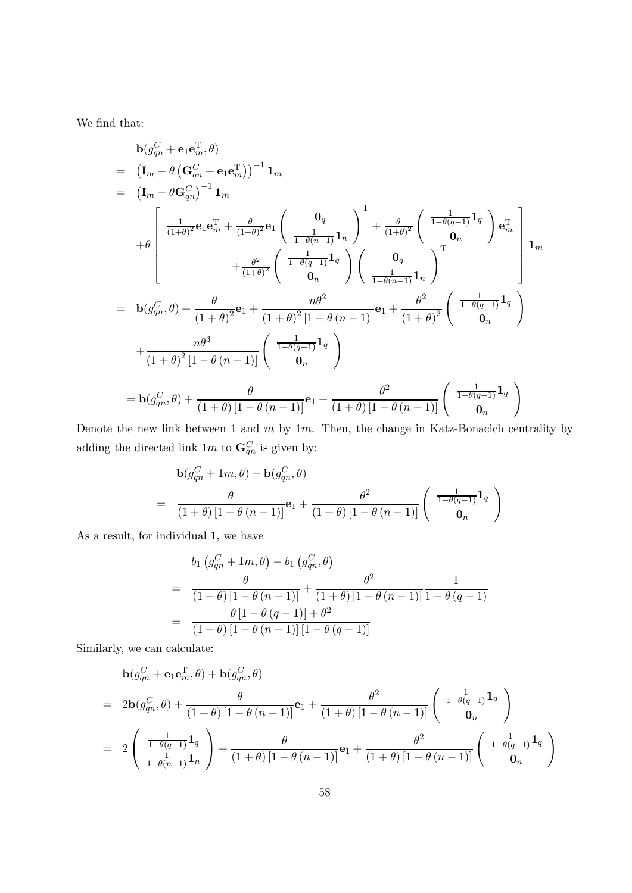We find that:

$$
b(g_{qn}^C + e_1e_m^T, \theta)
$$
  
\n
$$
= (I_m - \theta (G_{qn}^C + e_1e_m^T))^{-1} 1_m
$$
  
\n
$$
+ \theta \begin{bmatrix} \frac{1}{(1+\theta)^2}e_1e_m^T + \frac{\theta}{(1+\theta)^2}e_1 \left( \frac{0_q}{\frac{1}{1-\theta(n-1)}1_n} \right)^T + \frac{\theta}{(1+\theta)^2} \left( \frac{1}{1-\theta(q-1)}1_q \right) e_m^T \\ + \theta \begin{bmatrix} \frac{1}{(1+\theta)^2}e_1e_m^T + \frac{\theta}{(1+\theta)^2}e_1 \left( \frac{1}{1-\theta(q-1)}1_n \right)^T + \frac{\theta}{(1+\theta)^2}e_m \\ 0_n \end{bmatrix} e_m + \frac{\theta^2}{(1+\theta)^2} \left( \frac{1}{1-\theta(q-1)}1_q \right) \left( \frac{0_q}{\frac{1}{1-\theta(n-1)}1_n} \right)^T
$$
  
\n
$$
= b(g_{qn}^C, \theta) + \frac{\theta}{(1+\theta)^2e_1} + \frac{n\theta^2}{(1+\theta)^2[1-\theta(n-1)]}e_1 + \frac{\theta^2}{(1+\theta)^2} \left( \frac{1}{1-\theta(q-1)}1_q \right)
$$
  
\n
$$
+ \frac{n\theta^3}{(1+\theta)^2[1-\theta(n-1)]} \left( \frac{1}{1-\theta(q-1)}1_q \right)
$$
  
\n
$$
= b(g_{qn}^C, \theta) + \frac{\theta}{(1+\theta)[1-\theta(n-1)]}e_1 + \frac{\theta^2}{(1+\theta)[1-\theta(n-1)]} \left( \frac{1}{1-\theta(q-1)}1_q \right)
$$

Denote the new link between 1 and  $m$  by 1 $m$ . Then, the change in Katz-Bonacich centrality by adding the directed link  $1m$  to  $\mathbf{G}_{qn}^{C}$  is given by:

$$
\mathbf{b}(g_{qn}^C + 1m, \theta) - \mathbf{b}(g_{qn}^C, \theta)
$$
  
= 
$$
\frac{\theta}{(1+\theta)\left[1-\theta\left(n-1\right)\right]} \mathbf{e}_1 + \frac{\theta^2}{(1+\theta)\left[1-\theta\left(n-1\right)\right]} \left(\begin{array}{c} \frac{1}{1-\theta(q-1)}\mathbf{1}_q \\ \mathbf{0}_n \end{array}\right)
$$

As a result, for individual 1, we have

$$
b_1 (g_{qn}^C + 1m, \theta) - b_1 (g_{qn}^C, \theta)
$$
  
= 
$$
\frac{\theta}{(1+\theta)[1-\theta (n-1)]} + \frac{\theta^2}{(1+\theta)[1-\theta (n-1)]} \frac{1}{1-\theta (q-1)}
$$
  
= 
$$
\frac{\theta [1-\theta (q-1)] + \theta^2}{(1+\theta)[1-\theta (n-1)][1-\theta (q-1)]}
$$

Similarly, we can calculate:

$$
\mathbf{b}(g_{qn}^C + \mathbf{e}_1 \mathbf{e}_m^T, \theta) + \mathbf{b}(g_{qn}^C, \theta)
$$
\n
$$
= 2\mathbf{b}(g_{qn}^C, \theta) + \frac{\theta}{(1+\theta)[1-\theta(n-1)]}\mathbf{e}_1 + \frac{\theta^2}{(1+\theta)[1-\theta(n-1)]}\left(\begin{array}{c} \frac{1}{1-\theta(q-1)}\mathbf{1}_q \\ \mathbf{0}_n \end{array}\right)
$$
\n
$$
= 2\left(\begin{array}{c} \frac{1}{1-\theta(q-1)}\mathbf{1}_q \\ \frac{1}{1-\theta(n-1)}\mathbf{1}_n \end{array}\right) + \frac{\theta}{(1+\theta)[1-\theta(n-1)]}\mathbf{e}_1 + \frac{\theta^2}{(1+\theta)[1-\theta(n-1)]}\left(\begin{array}{c} \frac{1}{1-\theta(q-1)}\mathbf{1}_q \\ \mathbf{0}_n \end{array}\right)
$$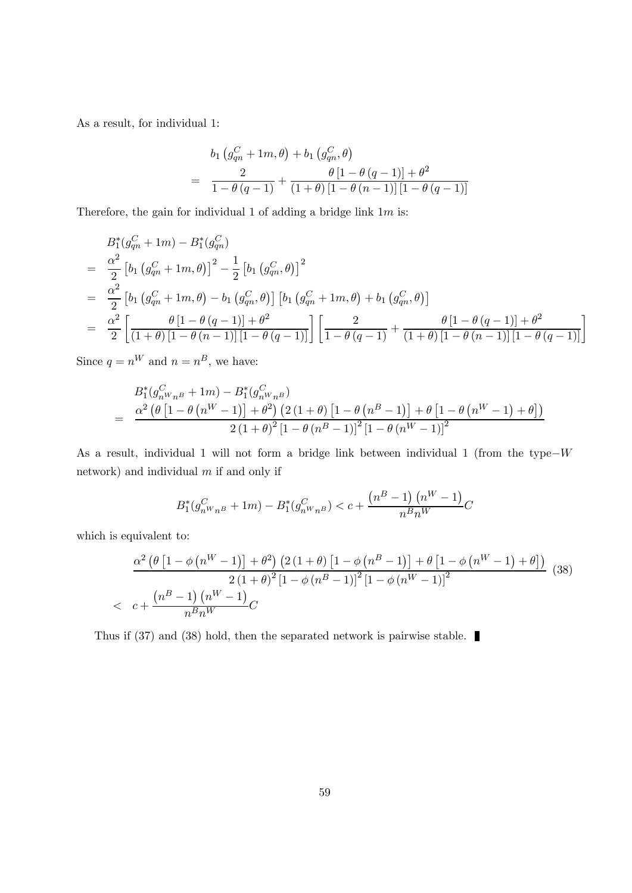As a result, for individual 1:

$$
b_1 (g_{qn}^C + 1m, \theta) + b_1 (g_{qn}^C, \theta)
$$
  
= 
$$
\frac{2}{1 - \theta (q - 1)} + \frac{\theta [1 - \theta (q - 1)] + \theta^2}{(1 + \theta) [1 - \theta (n - 1)] [1 - \theta (q - 1)]}
$$

Therefore, the gain for individual 1 of adding a bridge link  $1m$  is:

$$
B_1^*(g_{qn}^C + 1m) - B_1^*(g_{qn}^C)
$$
  
=  $\frac{\alpha^2}{2} [b_1 (g_{qn}^C + 1m, \theta)]^2 - \frac{1}{2} [b_1 (g_{qn}^C, \theta)]^2$   
=  $\frac{\alpha^2}{2} [b_1 (g_{qn}^C + 1m, \theta) - b_1 (g_{qn}^C, \theta)] [b_1 (g_{qn}^C + 1m, \theta) + b_1 (g_{qn}^C, \theta)]$   
=  $\frac{\alpha^2}{2} [\frac{\theta [1 - \theta (q - 1)] + \theta^2}{(1 + \theta) [1 - \theta (n - 1)] [1 - \theta (q - 1)]}] [\frac{2}{1 - \theta (q - 1)} + \frac{\theta [1 - \theta (q - 1)] + \theta^2}{(1 + \theta) [1 - \theta (n - 1)] [1 - \theta (q - 1)]}]$ 

Since  $q = n^W$  and  $n = n^B$ , we have:

$$
B_1^*(g_{nW_nB}^C + 1m) - B_1^*(g_{nW_nB}^C)
$$
  
= 
$$
\frac{\alpha^2 (\theta [1 - \theta (n^W - 1)] + \theta^2) (2(1 + \theta) [1 - \theta (n^B - 1)] + \theta [1 - \theta (n^W - 1) + \theta])}{2(1 + \theta)^2 [1 - \theta (n^B - 1)]^2 [1 - \theta (n^W - 1)]^2}
$$

As a result, individual 1 will not form a bridge link between individual 1 (from the type– $W$ network) and individual  $m$  if and only if

$$
B_1^*(g_{n^W n^B}^C + 1m) - B_1^*(g_{n^W n^B}^C) < c + \frac{\left(n^B - 1\right)\left(n^W - 1\right)}{n^B n^W} C
$$

which is equivalent to:

$$
\frac{\alpha^2 \left(\theta \left[1 - \phi \left(n^W - 1\right)\right] + \theta^2\right) \left(2 \left(1 + \theta\right) \left[1 - \phi \left(n^B - 1\right)\right] + \theta \left[1 - \phi \left(n^W - 1\right) + \theta\right]\right)}{2 \left(1 + \theta\right)^2 \left[1 - \phi \left(n^B - 1\right)\right]^2 \left[1 - \phi \left(n^W - 1\right)\right]^2}
$$
\n
$$
\left\langle c + \frac{\left(n^B - 1\right) \left(n^W - 1\right)}{n^B n^W} C \right\rangle
$$
\n(38)

Thus if (37) and (38) hold, then the separated network is pairwise stable.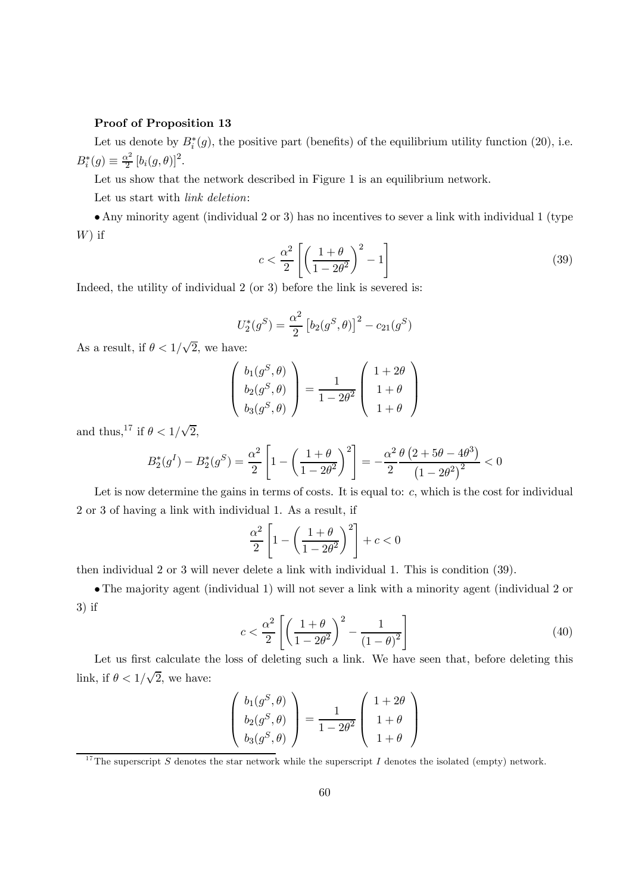#### Proof of Proposition 13

Let us denote by  $B_i^*(g)$ , the positive part (benefits) of the equilibrium utility function (20), i.e.  $B_i^*(g) \equiv \frac{\alpha^2}{2} [b_i(g, \theta)]^2.$ 

Let us show that the network described in Figure 1 is an equilibrium network.

Let us start with *link deletion*:

• Any minority agent (individual 2 or 3) has no incentives to sever a link with individual 1 (type  $W$ ) if

$$
c < \frac{\alpha^2}{2} \left[ \left( \frac{1+\theta}{1-2\theta^2} \right)^2 - 1 \right] \tag{39}
$$

Indeed, the utility of individual 2 (or 3) before the link is severed is:

$$
U_2^*(g^S) = \frac{\alpha^2}{2} [b_2(g^S, \theta)]^2 - c_{21}(g^S)
$$

As a result, if  $\theta < 1/\sqrt{2}$ , we have:

$$
\begin{pmatrix} b_1(g^S, \theta) \\ b_2(g^S, \theta) \\ b_3(g^S, \theta) \end{pmatrix} = \frac{1}{1 - 2\theta^2} \begin{pmatrix} 1 + 2\theta \\ 1 + \theta \\ 1 + \theta \end{pmatrix}
$$

and thus,<sup>17</sup> if  $\theta < 1/\sqrt{2}$ ,

$$
B_2^*(g^I) - B_2^*(g^S) = \frac{\alpha^2}{2} \left[ 1 - \left( \frac{1+\theta}{1-2\theta^2} \right)^2 \right] = -\frac{\alpha^2}{2} \frac{\theta (2+5\theta - 4\theta^3)}{(1-2\theta^2)^2} < 0
$$

Let is now determine the gains in terms of costs. It is equal to:  $c$ , which is the cost for individual 2 or 3 of having a link with individual 1. As a result, if

$$
\frac{\alpha^2}{2} \left[ 1 - \left( \frac{1+\theta}{1-2\theta^2} \right)^2 \right] + c < 0
$$

then individual 2 or 3 will never delete a link with individual 1. This is condition (39).

• The majority agent (individual 1) will not sever a link with a minority agent (individual 2 or 3) if

$$
c < \frac{\alpha^2}{2} \left[ \left( \frac{1+\theta}{1-2\theta^2} \right)^2 - \frac{1}{(1-\theta)^2} \right] \tag{40}
$$

Let us first calculate the loss of deleting such a link. We have seen that, before deleting this link, if  $\theta < 1/\sqrt{2}$ , we have:

$$
\left(\begin{array}{c}b_1(g^S,\theta)\\b_2(g^S,\theta)\\b_3(g^S,\theta)\end{array}\right)=\frac{1}{1-2\theta^2}\left(\begin{array}{c}1+2\theta\\1+\theta\\1+\theta\end{array}\right)
$$

<sup>&</sup>lt;sup>17</sup>The superscript  $S$  denotes the star network while the superscript  $I$  denotes the isolated (empty) network.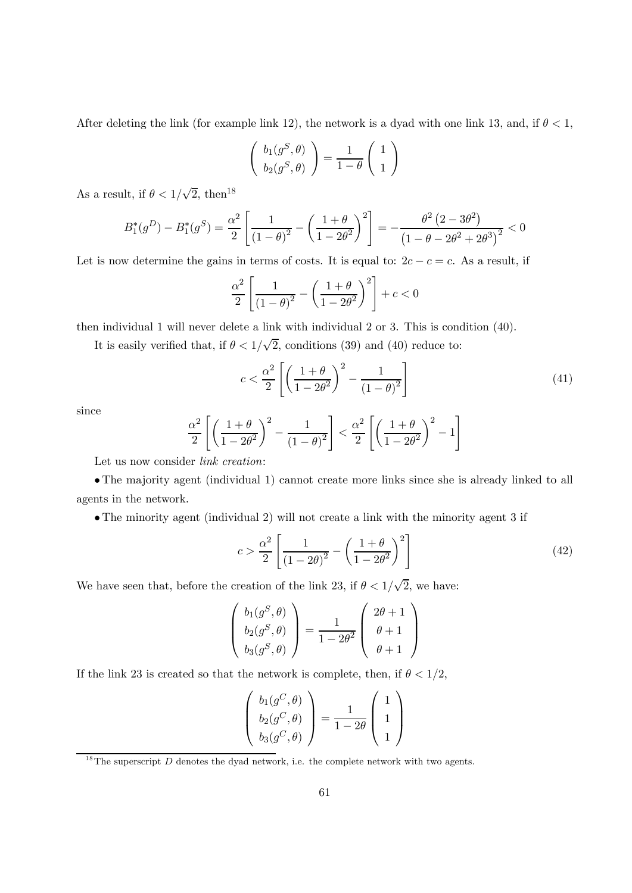After deleting the link (for example link 12), the network is a dyad with one link 13, and, if  $\theta < 1$ ,

$$
\left(\begin{array}{c}b_1(g^S,\theta)\\b_2(g^S,\theta)\end{array}\right)=\frac{1}{1-\theta}\left(\begin{array}{c}1\\1\end{array}\right)
$$

As a result, if  $\theta < 1/\sqrt{2}$ , then<sup>18</sup>

$$
B_1^*(g^D) - B_1^*(g^S) = \frac{\alpha^2}{2} \left[ \frac{1}{(1-\theta)^2} - \left( \frac{1+\theta}{1-2\theta^2} \right)^2 \right] = -\frac{\theta^2 (2-3\theta^2)}{(1-\theta-2\theta^2+2\theta^3)^2} < 0
$$

Let is now determine the gains in terms of costs. It is equal to:  $2c - c = c$ . As a result, if

$$
\frac{\alpha^2}{2} \left[ \frac{1}{\left(1 - \theta\right)^2} - \left( \frac{1 + \theta}{1 - 2\theta^2} \right)^2 \right] + c < 0
$$

then individual 1 will never delete a link with individual 2 or 3. This is condition (40).

It is easily verified that, if  $\theta < 1/\sqrt{2}$ , conditions (39) and (40) reduce to:

$$
c < \frac{\alpha^2}{2} \left[ \left( \frac{1+\theta}{1-2\theta^2} \right)^2 - \frac{1}{(1-\theta)^2} \right] \tag{41}
$$

since

$$
\frac{\alpha^2}{2} \left[ \left( \frac{1+\theta}{1-2\theta^2} \right)^2 - \frac{1}{(1-\theta)^2} \right] < \frac{\alpha^2}{2} \left[ \left( \frac{1+\theta}{1-2\theta^2} \right)^2 - 1 \right]
$$

Let us now consider *link creation*:

• The majority agent (individual 1) cannot create more links since she is already linked to all agents in the network.

• The minority agent (individual 2) will not create a link with the minority agent 3 if

$$
c > \frac{\alpha^2}{2} \left[ \frac{1}{(1 - 2\theta)^2} - \left( \frac{1 + \theta}{1 - 2\theta^2} \right)^2 \right]
$$
 (42)

We have seen that, before the creation of the link 23, if  $\theta < 1/\sqrt{2}$ , we have:

$$
\begin{pmatrix} b_1(g^S, \theta) \\ b_2(g^S, \theta) \\ b_3(g^S, \theta) \end{pmatrix} = \frac{1}{1 - 2\theta^2} \begin{pmatrix} 2\theta + 1 \\ \theta + 1 \\ \theta + 1 \end{pmatrix}
$$

If the link 23 is created so that the network is complete, then, if  $\theta < 1/2$ ,

$$
\begin{pmatrix} b_1(g^C, \theta) \\ b_2(g^C, \theta) \\ b_3(g^C, \theta) \end{pmatrix} = \frac{1}{1 - 2\theta} \begin{pmatrix} 1 \\ 1 \\ 1 \end{pmatrix}
$$

<sup>&</sup>lt;sup>18</sup>The superscript  $D$  denotes the dyad network, i.e. the complete network with two agents.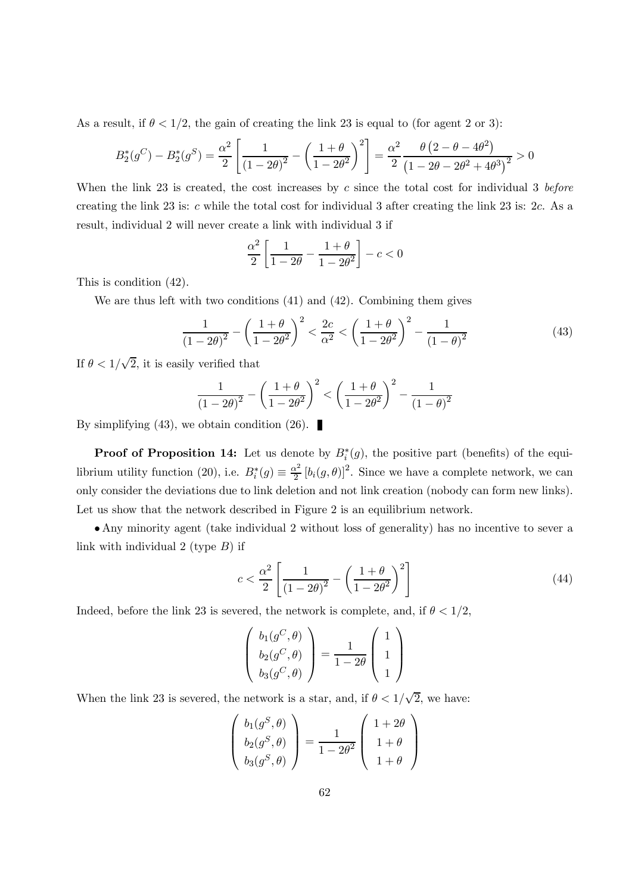As a result, if  $\theta < 1/2$ , the gain of creating the link 23 is equal to (for agent 2 or 3):

$$
B_2^*(g^C) - B_2^*(g^S) = \frac{\alpha^2}{2} \left[ \frac{1}{(1 - 2\theta)^2} - \left( \frac{1 + \theta}{1 - 2\theta^2} \right)^2 \right] = \frac{\alpha^2}{2} \frac{\theta (2 - \theta - 4\theta^2)}{(1 - 2\theta - 2\theta^2 + 4\theta^3)^2} > 0
$$

When the link 23 is created, the cost increases by  $c$  since the total cost for individual 3 before creating the link 23 is:  $c$  while the total cost for individual 3 after creating the link 23 is:  $2c$ . As a result, individual 2 will never create a link with individual 3 if

$$
\frac{\alpha^2}{2} \left[ \frac{1}{1 - 2\theta} - \frac{1 + \theta}{1 - 2\theta^2} \right] - c < 0
$$

This is condition (42).

We are thus left with two conditions (41) and (42). Combining them gives

$$
\frac{1}{(1-2\theta)^2} - \left(\frac{1+\theta}{1-2\theta^2}\right)^2 < \frac{2c}{\alpha^2} < \left(\frac{1+\theta}{1-2\theta^2}\right)^2 - \frac{1}{(1-\theta)^2} \tag{43}
$$

If  $\theta < 1/\sqrt{2}$ , it is easily verified that

$$
\frac{1}{(1-2\theta)^2} - \left(\frac{1+\theta}{1-2\theta^2}\right)^2 < \left(\frac{1+\theta}{1-2\theta^2}\right)^2 - \frac{1}{(1-\theta)^2}
$$

By simplifying (43), we obtain condition (26).

**Proof of Proposition 14:** Let us denote by  $B_i^*(g)$ , the positive part (benefits) of the equilibrium utility function (20), i.e.  $B_i^*(g) \equiv \frac{\alpha^2}{2} [b_i(g,\theta)]^2$ . Since we have a complete network, we can only consider the deviations due to link deletion and not link creation (nobody can form new links). Let us show that the network described in Figure 2 is an equilibrium network.

• Any minority agent (take individual 2 without loss of generality) has no incentive to sever a link with individual 2 (type  $B$ ) if

$$
c < \frac{\alpha^2}{2} \left[ \frac{1}{\left( 1 - 2\theta \right)^2} - \left( \frac{1 + \theta}{1 - 2\theta^2} \right)^2 \right] \tag{44}
$$

Indeed, before the link 23 is severed, the network is complete, and, if  $\theta < 1/2$ ,

$$
\begin{pmatrix} b_1(g^C, \theta) \\ b_2(g^C, \theta) \\ b_3(g^C, \theta) \end{pmatrix} = \frac{1}{1 - 2\theta} \begin{pmatrix} 1 \\ 1 \\ 1 \end{pmatrix}
$$

When the link 23 is severed, the network is a star, and, if  $\theta < 1/\sqrt{2}$ , we have:

$$
\begin{pmatrix} b_1(g^S, \theta) \\ b_2(g^S, \theta) \\ b_3(g^S, \theta) \end{pmatrix} = \frac{1}{1 - 2\theta^2} \begin{pmatrix} 1 + 2\theta \\ 1 + \theta \\ 1 + \theta \end{pmatrix}
$$